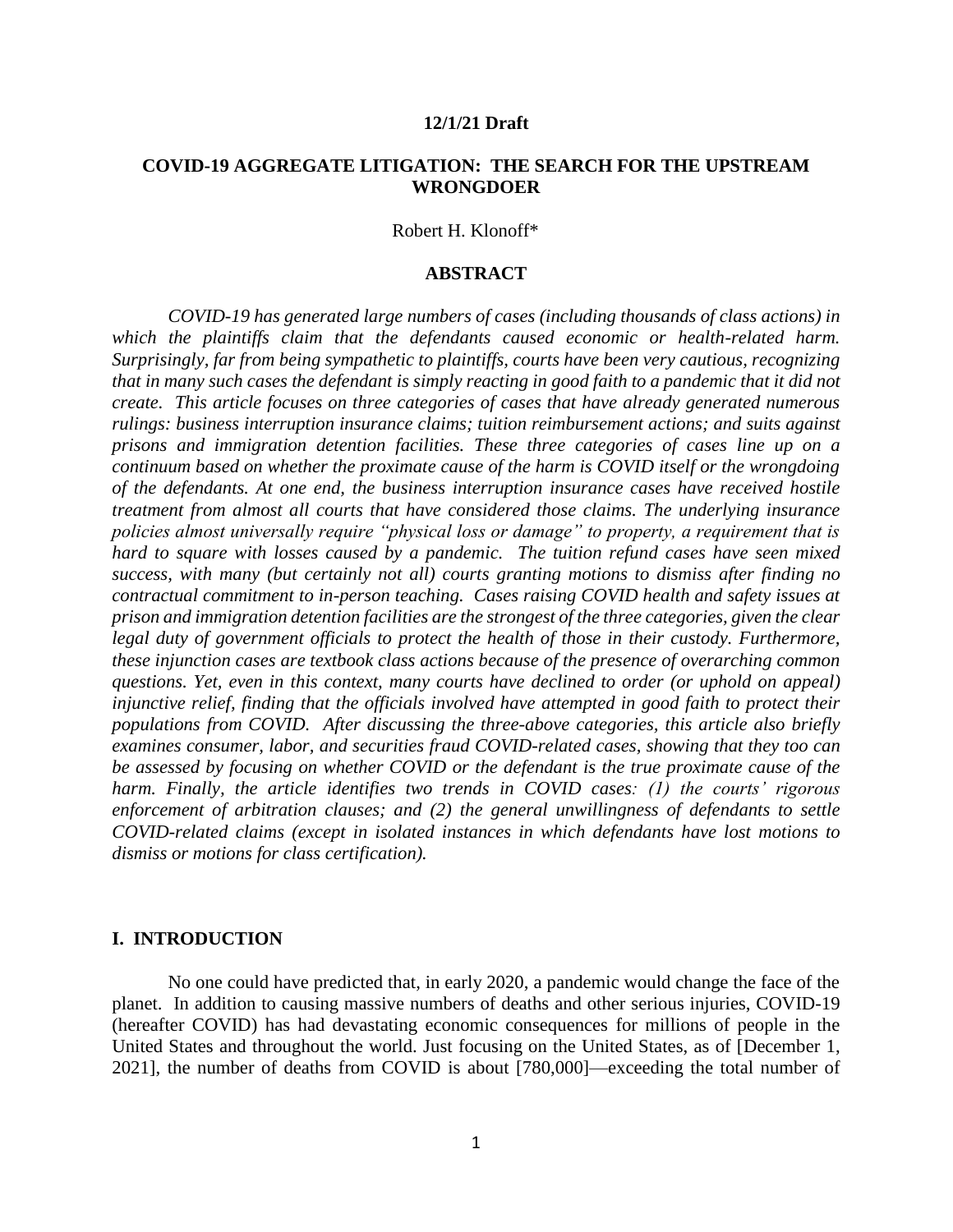#### **12/1/21 Draft**

## **COVID-19 AGGREGATE LITIGATION: THE SEARCH FOR THE UPSTREAM WRONGDOER**

Robert H. Klonoff\*

### **ABSTRACT**

*COVID-19 has generated large numbers of cases (including thousands of class actions) in which the plaintiffs claim that the defendants caused economic or health-related harm. Surprisingly, far from being sympathetic to plaintiffs, courts have been very cautious, recognizing that in many such cases the defendant is simply reacting in good faith to a pandemic that it did not create. This article focuses on three categories of cases that have already generated numerous rulings: business interruption insurance claims; tuition reimbursement actions; and suits against prisons and immigration detention facilities. These three categories of cases line up on a continuum based on whether the proximate cause of the harm is COVID itself or the wrongdoing of the defendants. At one end, the business interruption insurance cases have received hostile treatment from almost all courts that have considered those claims. The underlying insurance policies almost universally require "physical loss or damage" to property, a requirement that is hard to square with losses caused by a pandemic. The tuition refund cases have seen mixed success, with many (but certainly not all) courts granting motions to dismiss after finding no contractual commitment to in-person teaching. Cases raising COVID health and safety issues at prison and immigration detention facilities are the strongest of the three categories, given the clear legal duty of government officials to protect the health of those in their custody. Furthermore, these injunction cases are textbook class actions because of the presence of overarching common questions. Yet, even in this context, many courts have declined to order (or uphold on appeal) injunctive relief, finding that the officials involved have attempted in good faith to protect their populations from COVID. After discussing the three-above categories, this article also briefly examines consumer, labor, and securities fraud COVID-related cases, showing that they too can be assessed by focusing on whether COVID or the defendant is the true proximate cause of the harm. Finally, the article identifies two trends in COVID cases: (1) the courts' rigorous enforcement of arbitration clauses; and (2) the general unwillingness of defendants to settle COVID-related claims (except in isolated instances in which defendants have lost motions to dismiss or motions for class certification).*

#### **I. INTRODUCTION**

No one could have predicted that, in early 2020, a pandemic would change the face of the planet. In addition to causing massive numbers of deaths and other serious injuries, COVID-19 (hereafter COVID) has had devastating economic consequences for millions of people in the United States and throughout the world. Just focusing on the United States, as of [December 1, 2021], the number of deaths from COVID is about [780,000]—exceeding the total number of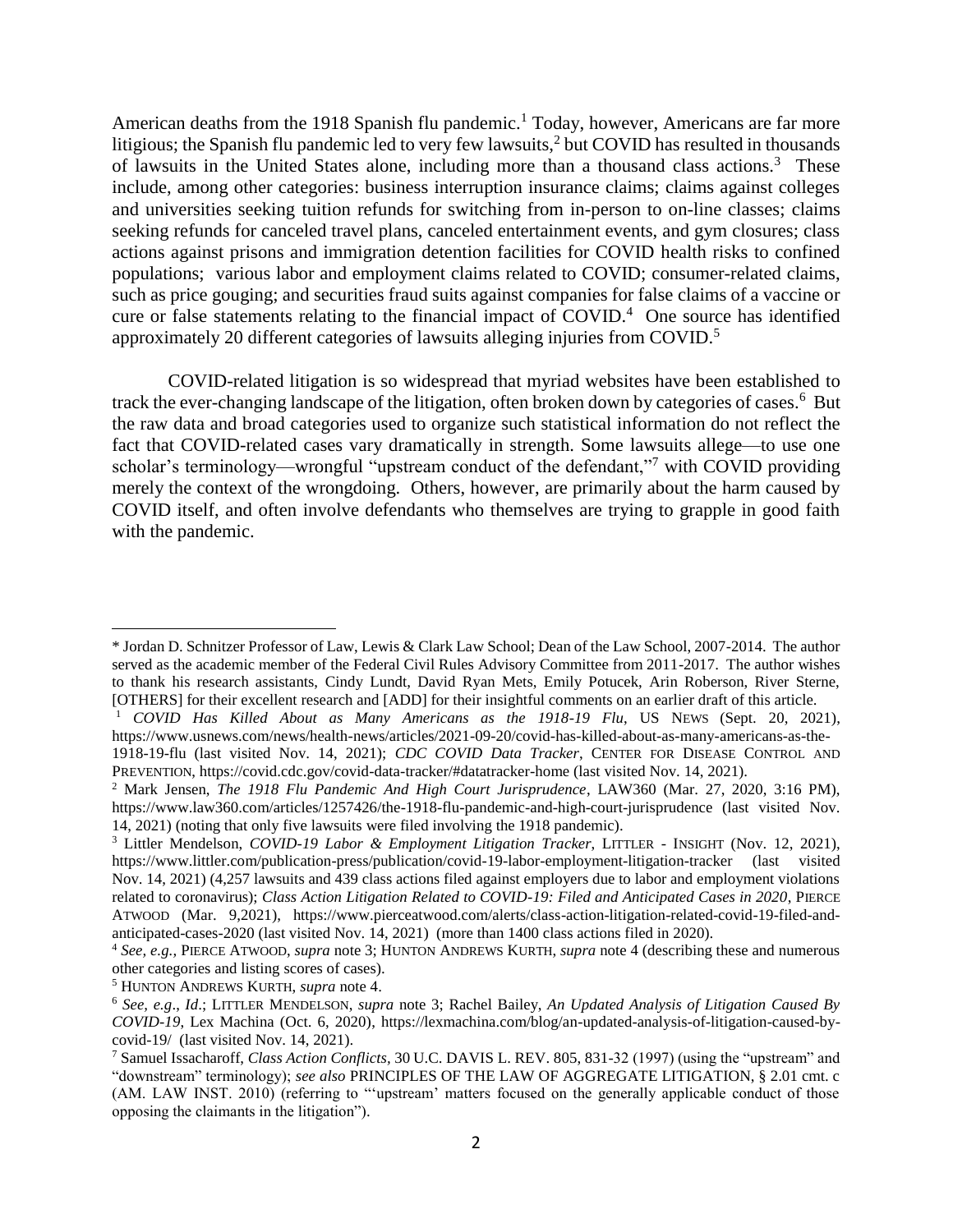American deaths from the 1918 Spanish flu pandemic.<sup>1</sup> Today, however, Americans are far more litigious; the Spanish flu pandemic led to very few lawsuits,  $2$  but COVID has resulted in thousands of lawsuits in the United States alone, including more than a thousand class actions.<sup>3</sup> These include, among other categories: business interruption insurance claims; claims against colleges and universities seeking tuition refunds for switching from in-person to on-line classes; claims seeking refunds for canceled travel plans, canceled entertainment events, and gym closures; class actions against prisons and immigration detention facilities for COVID health risks to confined populations; various labor and employment claims related to COVID; consumer-related claims, such as price gouging; and securities fraud suits against companies for false claims of a vaccine or cure or false statements relating to the financial impact of COVID. 4 One source has identified approximately 20 different categories of lawsuits alleging injuries from COVID.<sup>5</sup>

COVID-related litigation is so widespread that myriad websites have been established to track the ever-changing landscape of the litigation, often broken down by categories of cases.<sup>6</sup> But the raw data and broad categories used to organize such statistical information do not reflect the fact that COVID-related cases vary dramatically in strength. Some lawsuits allege—to use one scholar's terminology—wrongful "upstream conduct of the defendant,"<sup>7</sup> with COVID providing merely the context of the wrongdoing. Others, however, are primarily about the harm caused by COVID itself, and often involve defendants who themselves are trying to grapple in good faith with the pandemic.

<sup>\*</sup> Jordan D. Schnitzer Professor of Law, Lewis & Clark Law School; Dean of the Law School, 2007-2014. The author served as the academic member of the Federal Civil Rules Advisory Committee from 2011-2017. The author wishes to thank his research assistants, Cindy Lundt, David Ryan Mets, Emily Potucek, Arin Roberson, River Sterne, [OTHERS] for their excellent research and [ADD] for their insightful comments on an earlier draft of this article.

<sup>1</sup> *COVID Has Killed About as Many Americans as the 1918-19 Flu*, US NEWS (Sept. 20, 2021), https://www.usnews.com/news/health-news/articles/2021-09-20/covid-has-killed-about-as-many-americans-as-the-

<sup>1918-19-</sup>flu (last visited Nov. 14, 2021); *CDC COVID Data Tracker*, CENTER FOR DISEASE CONTROL AND PREVENTION, https://covid.cdc.gov/covid-data-tracker/#datatracker-home (last visited Nov. 14, 2021).

<sup>2</sup> Mark Jensen, *The 1918 Flu Pandemic And High Court Jurisprudence*, LAW360 (Mar. 27, 2020, 3:16 PM), https://www.law360.com/articles/1257426/the-1918-flu-pandemic-and-high-court-jurisprudence (last visited Nov. 14, 2021) (noting that only five lawsuits were filed involving the 1918 pandemic).

<sup>3</sup> Littler Mendelson, *COVID-19 Labor & Employment Litigation Tracker*, LITTLER - INSIGHT (Nov. 12, 2021), <https://www.littler.com/publication-press/publication/covid-19-labor-employment-litigation-tracker> (last visited Nov. 14, 2021) (4,257 lawsuits and 439 class actions filed against employers due to labor and employment violations related to coronavirus); *Class Action Litigation Related to COVID-19: Filed and Anticipated Cases in 2020*, PIERCE ATWOOD (Mar. 9,2021), https://www.pierceatwood.com/alerts/class-action-litigation-related-covid-19-filed-andanticipated-cases-2020 (last visited Nov. 14, 2021) (more than 1400 class actions filed in 2020).

<sup>4</sup> *See, e.g.,* PIERCE ATWOOD, *supra* note 3; HUNTON ANDREWS KURTH, *supra* note 4 (describing these and numerous other categories and listing scores of cases).

<sup>5</sup> HUNTON ANDREWS KURTH, *supra* note 4.

<sup>6</sup> *See, e.g*., *Id*.; LITTLER MENDELSON, *supra* note 3; Rachel Bailey, *An Updated Analysis of Litigation Caused By COVID-19*, Lex Machina (Oct. 6, 2020), https://lexmachina.com/blog/an-updated-analysis-of-litigation-caused-bycovid-19/ (last visited Nov. 14, 2021).

<sup>7</sup> Samuel Issacharoff, *Class Action Conflicts,* 30 U.C. DAVIS L. REV. 805, 831-32 (1997) (using the "upstream" and "downstream" terminology); *see also* PRINCIPLES OF THE LAW OF AGGREGATE LITIGATION, § 2.01 cmt. c (AM. LAW INST. 2010) (referring to "'upstream' matters focused on the generally applicable conduct of those opposing the claimants in the litigation").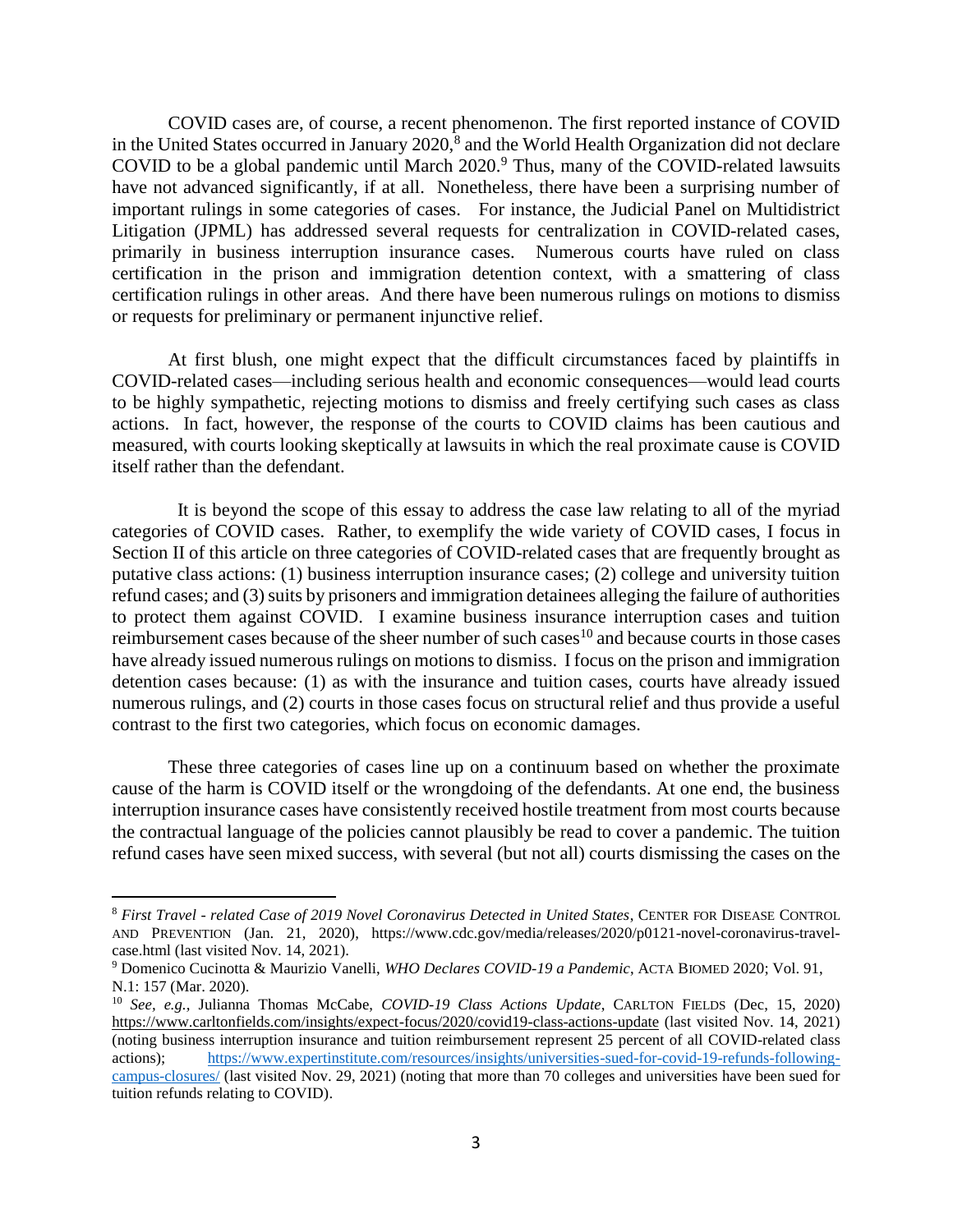COVID cases are, of course, a recent phenomenon. The first reported instance of COVID in the United States occurred in January  $2020$ ,<sup>8</sup> and the World Health Organization did not declare COVID to be a global pandemic until March 2020.<sup>9</sup> Thus, many of the COVID-related lawsuits have not advanced significantly, if at all. Nonetheless, there have been a surprising number of important rulings in some categories of cases. For instance, the Judicial Panel on Multidistrict Litigation (JPML) has addressed several requests for centralization in COVID-related cases, primarily in business interruption insurance cases. Numerous courts have ruled on class certification in the prison and immigration detention context, with a smattering of class certification rulings in other areas. And there have been numerous rulings on motions to dismiss or requests for preliminary or permanent injunctive relief.

At first blush, one might expect that the difficult circumstances faced by plaintiffs in COVID-related cases—including serious health and economic consequences—would lead courts to be highly sympathetic, rejecting motions to dismiss and freely certifying such cases as class actions. In fact, however, the response of the courts to COVID claims has been cautious and measured, with courts looking skeptically at lawsuits in which the real proximate cause is COVID itself rather than the defendant.

 It is beyond the scope of this essay to address the case law relating to all of the myriad categories of COVID cases. Rather, to exemplify the wide variety of COVID cases, I focus in Section II of this article on three categories of COVID-related cases that are frequently brought as putative class actions: (1) business interruption insurance cases; (2) college and university tuition refund cases; and (3) suits by prisoners and immigration detainees alleging the failure of authorities to protect them against COVID. I examine business insurance interruption cases and tuition reimbursement cases because of the sheer number of such cases<sup>10</sup> and because courts in those cases have already issued numerous rulings on motions to dismiss. I focus on the prison and immigration detention cases because: (1) as with the insurance and tuition cases, courts have already issued numerous rulings, and (2) courts in those cases focus on structural relief and thus provide a useful contrast to the first two categories, which focus on economic damages.

These three categories of cases line up on a continuum based on whether the proximate cause of the harm is COVID itself or the wrongdoing of the defendants. At one end, the business interruption insurance cases have consistently received hostile treatment from most courts because the contractual language of the policies cannot plausibly be read to cover a pandemic. The tuition refund cases have seen mixed success, with several (but not all) courts dismissing the cases on the

<sup>8</sup> *First Travel - related Case of 2019 Novel Coronavirus Detected in United States*, CENTER FOR DISEASE CONTROL AND PREVENTION (Jan. 21, 2020), https://www.cdc.gov/media/releases/2020/p0121-novel-coronavirus-travelcase.html (last visited Nov. 14, 2021).

<sup>9</sup> Domenico Cucinotta & Maurizio Vanelli, *WHO Declares COVID-19 a Pandemic*, ACTA BIOMED 2020; Vol. 91, N.1: 157 (Mar. 2020).

<sup>10</sup> *See, e.g.,* Julianna Thomas McCabe, *COVID-19 Class Actions Update*, CARLTON FIELDS (Dec, 15, 2020) <https://www.carltonfields.com/insights/expect-focus/2020/covid19-class-actions-update> (last visited Nov. 14, 2021) (noting business interruption insurance and tuition reimbursement represent 25 percent of all COVID-related class actions); [https://www.expertinstitute.com/resources/insights/universities-sued-for-covid-19-refunds-following](https://www.expertinstitute.com/resources/insights/universities-sued-for-covid-19-refunds-following-campus-closures/)[campus-closures/](https://www.expertinstitute.com/resources/insights/universities-sued-for-covid-19-refunds-following-campus-closures/) (last visited Nov. 29, 2021) (noting that more than 70 colleges and universities have been sued for tuition refunds relating to COVID).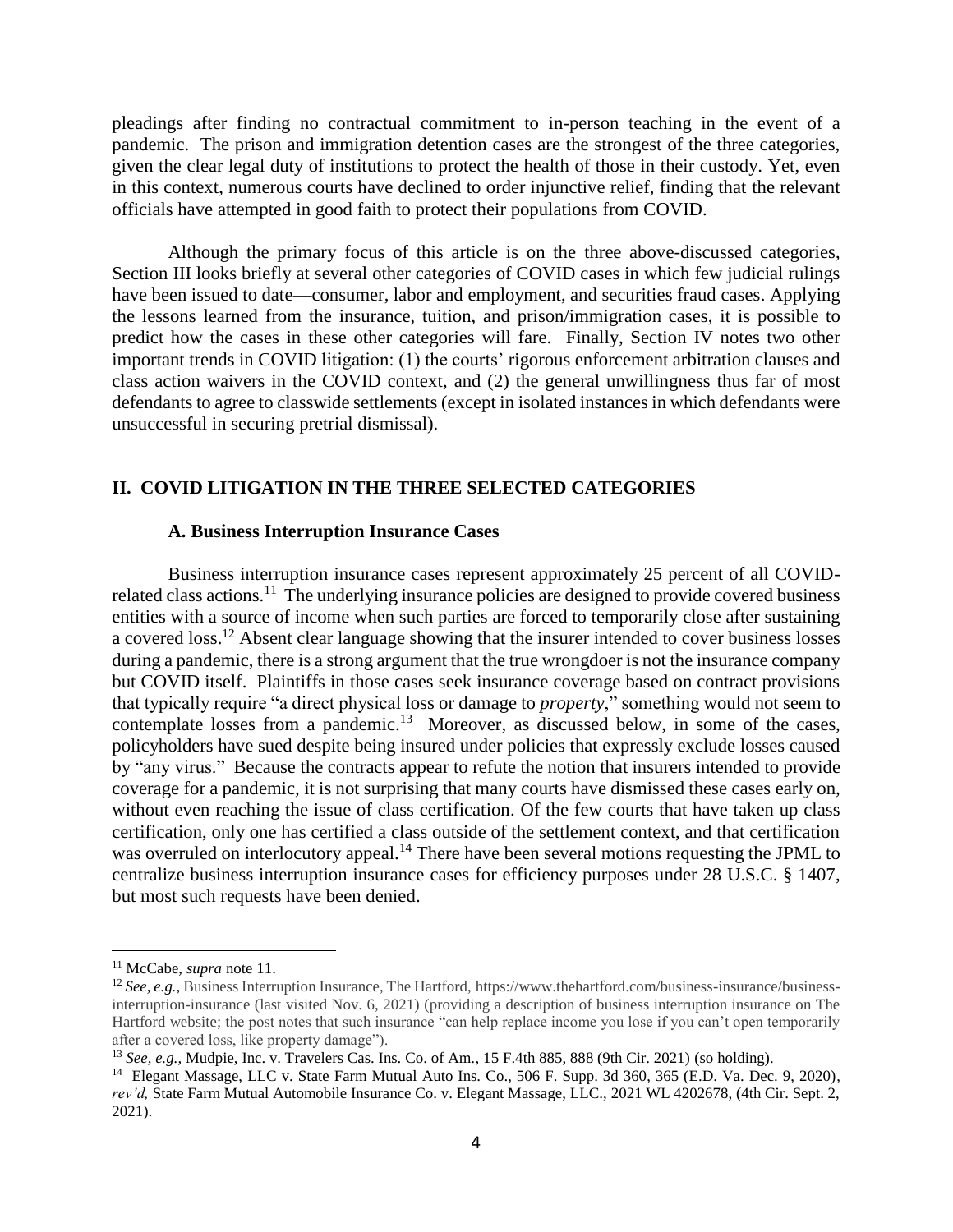pleadings after finding no contractual commitment to in-person teaching in the event of a pandemic. The prison and immigration detention cases are the strongest of the three categories, given the clear legal duty of institutions to protect the health of those in their custody. Yet, even in this context, numerous courts have declined to order injunctive relief, finding that the relevant officials have attempted in good faith to protect their populations from COVID.

Although the primary focus of this article is on the three above-discussed categories, Section III looks briefly at several other categories of COVID cases in which few judicial rulings have been issued to date—consumer, labor and employment, and securities fraud cases. Applying the lessons learned from the insurance, tuition, and prison/immigration cases, it is possible to predict how the cases in these other categories will fare. Finally, Section IV notes two other important trends in COVID litigation: (1) the courts' rigorous enforcement arbitration clauses and class action waivers in the COVID context, and (2) the general unwillingness thus far of most defendants to agree to classwide settlements (except in isolated instances in which defendants were unsuccessful in securing pretrial dismissal).

## **II. COVID LITIGATION IN THE THREE SELECTED CATEGORIES**

### **A. Business Interruption Insurance Cases**

Business interruption insurance cases represent approximately 25 percent of all COVIDrelated class actions.<sup>11</sup> The underlying insurance policies are designed to provide covered business entities with a source of income when such parties are forced to temporarily close after sustaining a covered loss.<sup>12</sup> Absent clear language showing that the insurer intended to cover business losses during a pandemic, there is a strong argument that the true wrongdoer is not the insurance company but COVID itself. Plaintiffs in those cases seek insurance coverage based on contract provisions that typically require "a direct physical loss or damage to *property*," something would not seem to contemplate losses from a pandemic.<sup>13</sup> Moreover, as discussed below, in some of the cases, policyholders have sued despite being insured under policies that expressly exclude losses caused by "any virus." Because the contracts appear to refute the notion that insurers intended to provide coverage for a pandemic, it is not surprising that many courts have dismissed these cases early on, without even reaching the issue of class certification. Of the few courts that have taken up class certification, only one has certified a class outside of the settlement context, and that certification was overruled on interlocutory appeal.<sup>14</sup> There have been several motions requesting the JPML to centralize business interruption insurance cases for efficiency purposes under 28 U.S.C. § 1407, but most such requests have been denied.

<sup>11</sup> McCabe, *supra* note 11.

<sup>12</sup> *See, e.g.,* Business Interruption Insurance, The Hartford, https://www.thehartford.com/business-insurance/businessinterruption-insurance (last visited Nov. 6, 2021) (providing a description of business interruption insurance on The Hartford website; the post notes that such insurance "can help replace income you lose if you can't open temporarily after a covered loss, like property damage").

<sup>13</sup> *See, e.g.,* Mudpie, Inc. v. Travelers Cas. Ins. Co. of Am*.*, 15 F.4th 885, 888 (9th Cir. 2021) (so holding).

<sup>&</sup>lt;sup>14</sup> Elegant Massage, LLC v. State Farm Mutual Auto Ins. Co., 506 F. Supp. 3d 360, 365 (E.D. Va. Dec. 9, 2020), *rev'd,* State Farm Mutual Automobile Insurance Co. v. Elegant Massage, LLC., 2021 WL 4202678, (4th Cir. Sept. 2, 2021).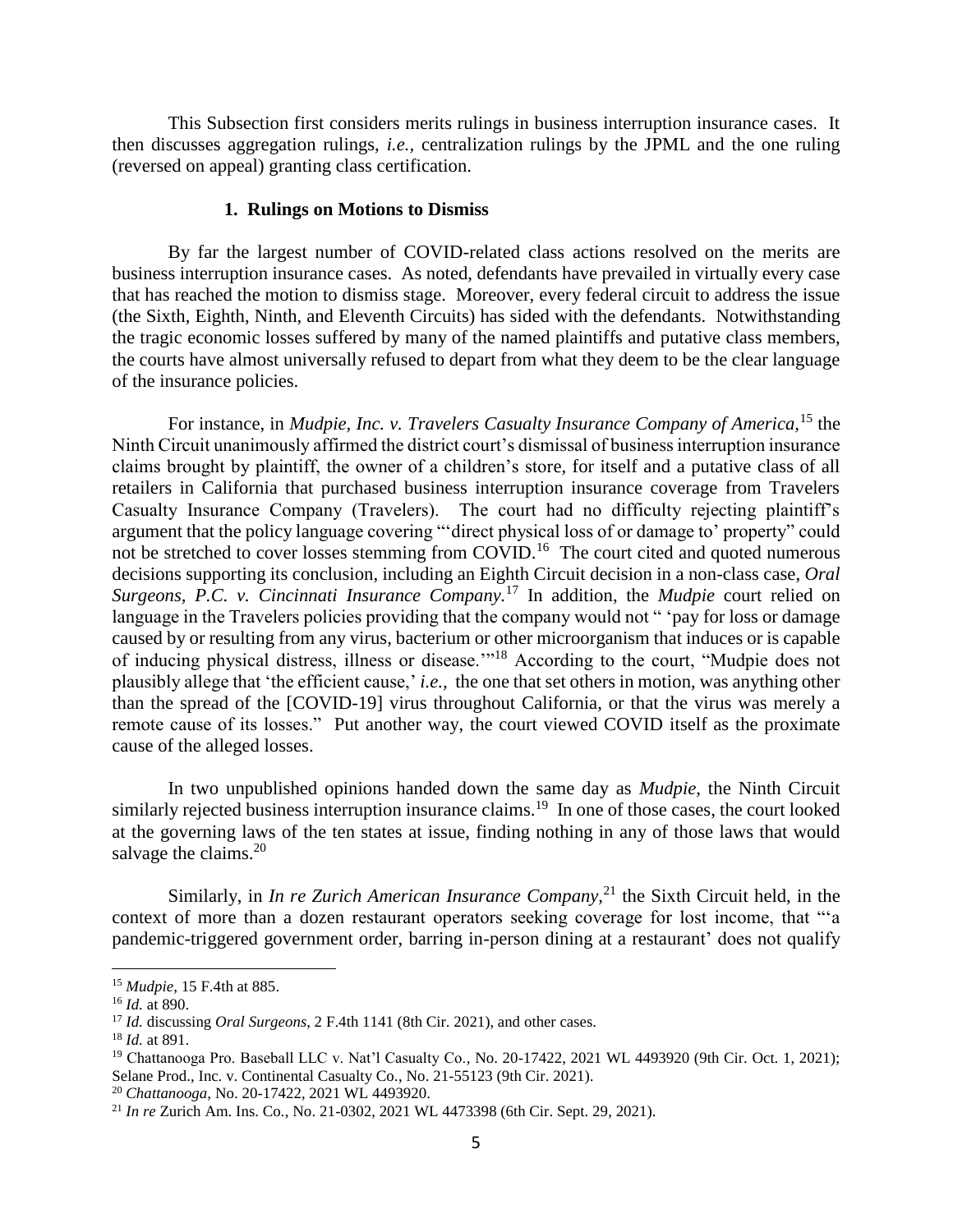This Subsection first considers merits rulings in business interruption insurance cases. It then discusses aggregation rulings, *i.e.,* centralization rulings by the JPML and the one ruling (reversed on appeal) granting class certification.

### **1. Rulings on Motions to Dismiss**

By far the largest number of COVID-related class actions resolved on the merits are business interruption insurance cases. As noted, defendants have prevailed in virtually every case that has reached the motion to dismiss stage. Moreover, every federal circuit to address the issue (the Sixth, Eighth, Ninth, and Eleventh Circuits) has sided with the defendants. Notwithstanding the tragic economic losses suffered by many of the named plaintiffs and putative class members, the courts have almost universally refused to depart from what they deem to be the clear language of the insurance policies.

For instance, in *Mudpie, Inc. v. Travelers Casualty Insurance Company of America,*<sup>15</sup> the Ninth Circuit unanimously affirmed the district court's dismissal of business interruption insurance claims brought by plaintiff, the owner of a children's store, for itself and a putative class of all retailers in California that purchased business interruption insurance coverage from Travelers Casualty Insurance Company (Travelers). The court had no difficulty rejecting plaintiff's argument that the policy language covering "'direct physical loss of or damage to' property" could not be stretched to cover losses stemming from COVID.<sup>16</sup> The court cited and quoted numerous decisions supporting its conclusion, including an Eighth Circuit decision in a non-class case, *Oral Surgeons, P.C. v. Cincinnati Insurance Company.*<sup>17</sup> In addition, the *Mudpie* court relied on language in the Travelers policies providing that the company would not " 'pay for loss or damage caused by or resulting from any virus, bacterium or other microorganism that induces or is capable of inducing physical distress, illness or disease.'"<sup>18</sup> According to the court, "Mudpie does not plausibly allege that 'the efficient cause,' *i.e.,* the one that set others in motion, was anything other than the spread of the [COVID-19] virus throughout California, or that the virus was merely a remote cause of its losses." Put another way, the court viewed COVID itself as the proximate cause of the alleged losses.

In two unpublished opinions handed down the same day as *Mudpie,* the Ninth Circuit similarly rejected business interruption insurance claims.<sup>19</sup> In one of those cases, the court looked at the governing laws of the ten states at issue, finding nothing in any of those laws that would salvage the claims.<sup>20</sup>

Similarly, in *In re Zurich American Insurance Company*,<sup>21</sup> the Sixth Circuit held, in the context of more than a dozen restaurant operators seeking coverage for lost income, that "'a pandemic-triggered government order, barring in-person dining at a restaurant' does not qualify

<sup>15</sup> *Mudpie*, 15 F.4th at 885.

<sup>16</sup> *Id.* at 890.

<sup>17</sup> *Id.* discussing *Oral Surgeons*, 2 F.4th 1141 (8th Cir. 2021), and other cases.

<sup>18</sup> *Id.* at 891.

<sup>19</sup> Chattanooga Pro. Baseball LLC v. Nat'l Casualty Co.*,* No. 20-17422, 2021 WL 4493920 (9th Cir. Oct. 1, 2021); Selane Prod., Inc. v. Continental Casualty Co*.*, No. 21-55123 (9th Cir. 2021).

<sup>20</sup> *Chattanooga,* No. 20-17422, 2021 WL 4493920.

<sup>21</sup> *In re* Zurich Am. Ins. Co*.*, No. 21-0302, 2021 WL 4473398 (6th Cir. Sept. 29, 2021).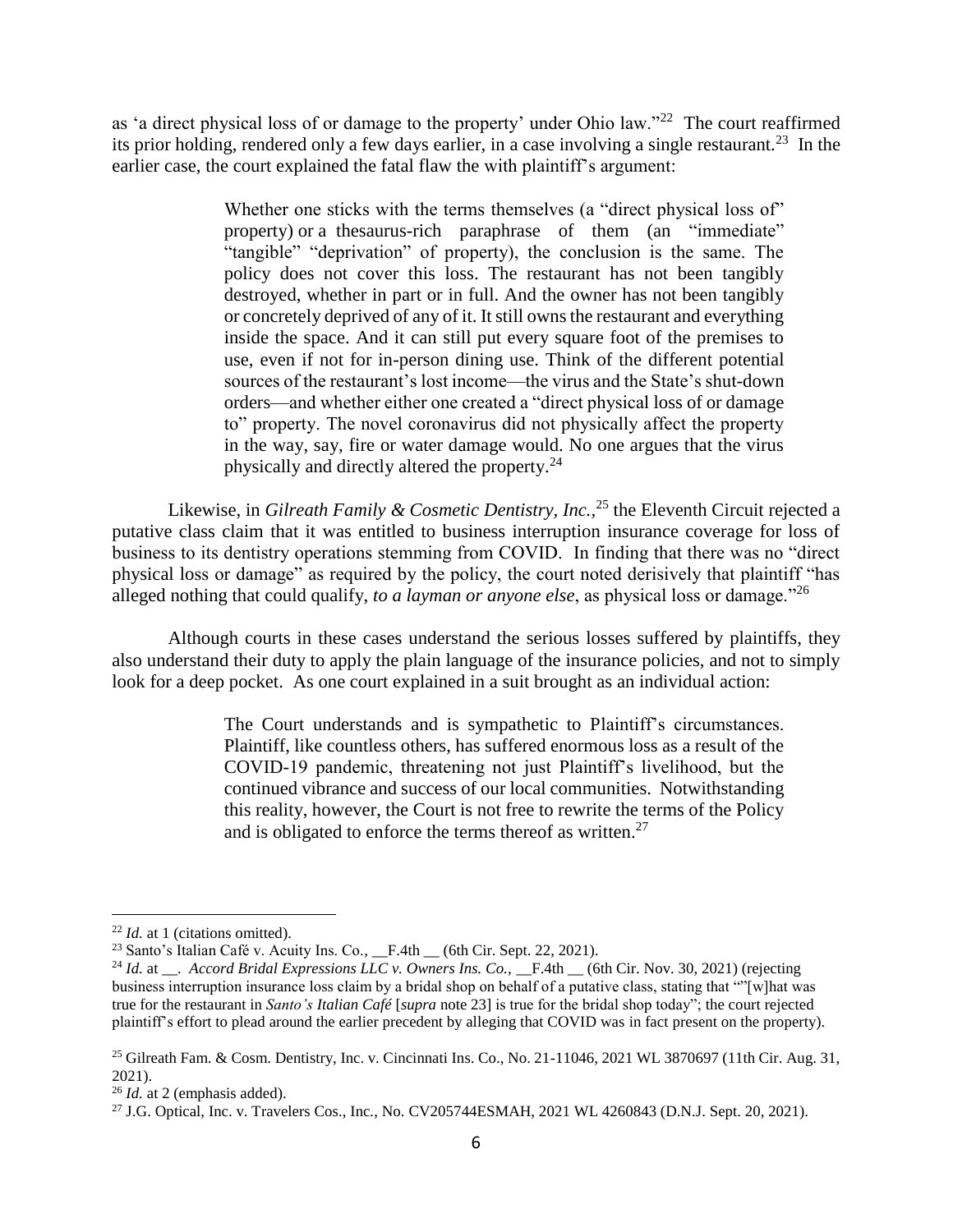as 'a direct physical loss of or damage to the property' under Ohio law."<sup>22</sup> The court reaffirmed its prior holding, rendered only a few days earlier, in a case involving a single restaurant.<sup>23</sup> In the earlier case, the court explained the fatal flaw the with plaintiff's argument:

> Whether one sticks with the terms themselves (a "direct physical loss of" property) or a thesaurus-rich paraphrase of them (an "immediate" "tangible" "deprivation" of property), the conclusion is the same. The policy does not cover this loss. The restaurant has not been tangibly destroyed, whether in part or in full. And the owner has not been tangibly or concretely deprived of any of it. It still owns the restaurant and everything inside the space. And it can still put every square foot of the premises to use, even if not for in-person dining use. Think of the different potential sources of the restaurant's lost income—the virus and the State's shut-down orders—and whether either one created a "direct physical loss of or damage to" property. The novel coronavirus did not physically affect the property in the way, say, fire or water damage would. No one argues that the virus physically and directly altered the property.<sup>24</sup>

Likewise, in *Gilreath Family & Cosmetic Dentistry, Inc.,*<sup>25</sup> the Eleventh Circuit rejected a putative class claim that it was entitled to business interruption insurance coverage for loss of business to its dentistry operations stemming from COVID. In finding that there was no "direct physical loss or damage" as required by the policy, the court noted derisively that plaintiff "has alleged nothing that could qualify, *to a layman or anyone else*, as physical loss or damage."<sup>26</sup>

Although courts in these cases understand the serious losses suffered by plaintiffs, they also understand their duty to apply the plain language of the insurance policies, and not to simply look for a deep pocket. As one court explained in a suit brought as an individual action:

> The Court understands and is sympathetic to Plaintiff's circumstances. Plaintiff, like countless others, has suffered enormous loss as a result of the COVID-19 pandemic, threatening not just Plaintiff's livelihood, but the continued vibrance and success of our local communities. Notwithstanding this reality, however, the Court is not free to rewrite the terms of the Policy and is obligated to enforce the terms thereof as written. $27$

<sup>22</sup> *Id.* at 1 (citations omitted).

<sup>&</sup>lt;sup>23</sup> Santo's Italian Café v. Acuity Ins. Co.,  $_F.4th$  (6th Cir. Sept. 22, 2021).

<sup>&</sup>lt;sup>24</sup> *Id.* at \_\_. *Accord Bridal Expressions LLC v. Owners Ins. Co.*, \_\_F.4th \_\_ (6th Cir. Nov. 30, 2021) (rejecting business interruption insurance loss claim by a bridal shop on behalf of a putative class, stating that ""[w]hat was true for the restaurant in *Santo's Italian Café* [*supra* note 23] is true for the bridal shop today"; the court rejected plaintiff's effort to plead around the earlier precedent by alleging that COVID was in fact present on the property).

<sup>&</sup>lt;sup>25</sup> Gilreath Fam. & Cosm. Dentistry, Inc. v. Cincinnati Ins. Co., No. 21-11046, 2021 WL 3870697 (11th Cir. Aug. 31, 2021).

<sup>26</sup> *Id.* at 2 (emphasis added).

<sup>27</sup> J.G. Optical, Inc. v. Travelers Cos., Inc*.*, No. CV205744ESMAH, 2021 WL 4260843 (D.N.J. Sept. 20, 2021).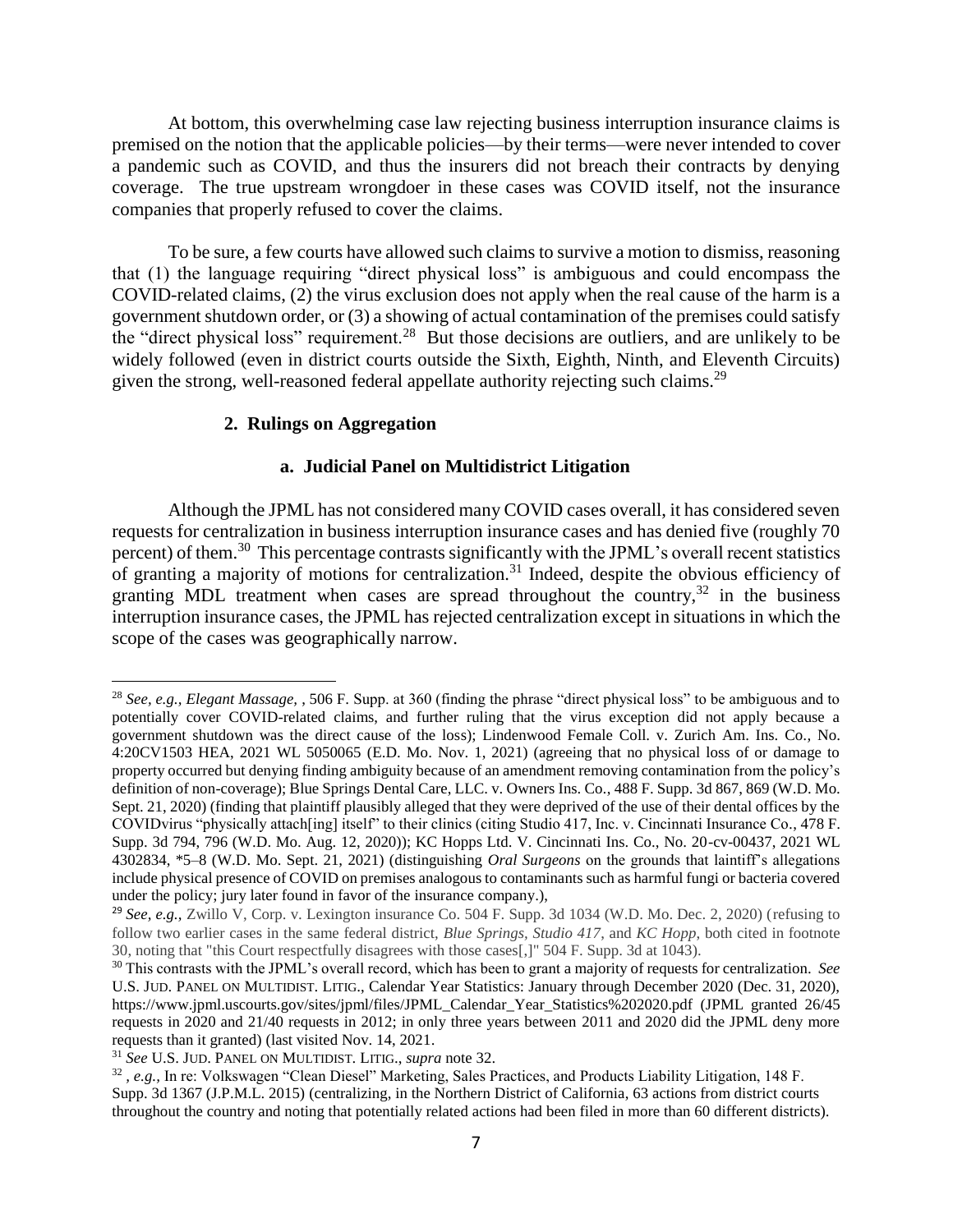At bottom, this overwhelming case law rejecting business interruption insurance claims is premised on the notion that the applicable policies—by their terms—were never intended to cover a pandemic such as COVID, and thus the insurers did not breach their contracts by denying coverage. The true upstream wrongdoer in these cases was COVID itself, not the insurance companies that properly refused to cover the claims.

To be sure, a few courts have allowed such claims to survive a motion to dismiss, reasoning that (1) the language requiring "direct physical loss" is ambiguous and could encompass the COVID-related claims, (2) the virus exclusion does not apply when the real cause of the harm is a government shutdown order, or (3) a showing of actual contamination of the premises could satisfy the "direct physical loss" requirement.<sup>28</sup> But those decisions are outliers, and are unlikely to be widely followed (even in district courts outside the Sixth, Eighth, Ninth, and Eleventh Circuits) given the strong, well-reasoned federal appellate authority rejecting such claims.<sup>29</sup>

### **2. Rulings on Aggregation**

### **a. Judicial Panel on Multidistrict Litigation**

Although the JPML has not considered many COVID cases overall, it has considered seven requests for centralization in business interruption insurance cases and has denied five (roughly 70 percent) of them.<sup>30</sup> This percentage contrasts significantly with the JPML's overall recent statistics of granting a majority of motions for centralization.<sup>31</sup> Indeed, despite the obvious efficiency of granting MDL treatment when cases are spread throughout the country,  $32$  in the business interruption insurance cases, the JPML has rejected centralization except in situations in which the scope of the cases was geographically narrow.

<sup>28</sup> *See, e.g., Elegant Massage,* , 506 F. Supp. at 360 (finding the phrase "direct physical loss" to be ambiguous and to potentially cover COVID-related claims, and further ruling that the virus exception did not apply because a government shutdown was the direct cause of the loss); Lindenwood Female Coll. v. Zurich Am. Ins. Co*.,* No. 4:20CV1503 HEA, 2021 WL 5050065 (E.D. Mo. Nov. 1, 2021) (agreeing that no physical loss of or damage to property occurred but denying finding ambiguity because of an amendment removing contamination from the policy's definition of non-coverage); Blue Springs Dental Care, LLC. v. Owners Ins. Co*.*, 488 F. Supp. 3d 867, 869 (W.D. Mo. Sept. 21, 2020) (finding that plaintiff plausibly alleged that they were deprived of the use of their dental offices by the COVIDvirus "physically attach[ing] itself" to their clinics (citing Studio 417, Inc. v. Cincinnati Insurance Co*.*, 478 F. Supp. 3d 794, 796 (W.D. Mo. Aug. 12, 2020)); KC Hopps Ltd. V. Cincinnati Ins. Co., No. 20-cv-00437, 2021 WL 4302834, \*5–8 (W.D. Mo. Sept. 21, 2021) (distinguishing *Oral Surgeons* on the grounds that laintiff's allegations include physical presence of COVID on premises analogous to contaminants such as harmful fungi or bacteria covered under the policy; jury later found in favor of the insurance company.),

<sup>29</sup> *See, e.g.,* Zwillo V, Corp. v. Lexington insurance Co. 504 F. Supp. 3d 1034 (W.D. Mo. Dec. 2, 2020) (refusing to follow two earlier cases in the same federal district, *Blue Springs, Studio 417*, and *KC Hopp*, both cited in footnote 30, noting that "this Court respectfully disagrees with those cases[,]" 504 F. Supp. 3d at 1043).

<sup>30</sup> This contrasts with the JPML's overall record, which has been to grant a majority of requests for centralization. *See* U.S. JUD. PANEL ON MULTIDIST. LITIG., Calendar Year Statistics: January through December 2020 (Dec. 31, 2020), https://www.jpml.uscourts.gov/sites/jpml/files/JPML\_Calendar\_Year\_Statistics%202020.pdf (JPML granted 26/45 requests in 2020 and 21/40 requests in 2012; in only three years between 2011 and 2020 did the JPML deny more requests than it granted) (last visited Nov. 14, 2021.

<sup>31</sup> *See* U.S. JUD. PANEL ON MULTIDIST. LITIG., *supra* note 32.

<sup>32</sup> *, e.g.,* In re: Volkswagen "Clean Diesel" Marketing, Sales Practices, and Products Liability Litigation, 148 F. Supp. 3d 1367 (J.P.M.L. 2015) (centralizing, in the Northern District of California, 63 actions from district courts throughout the country and noting that potentially related actions had been filed in more than 60 different districts).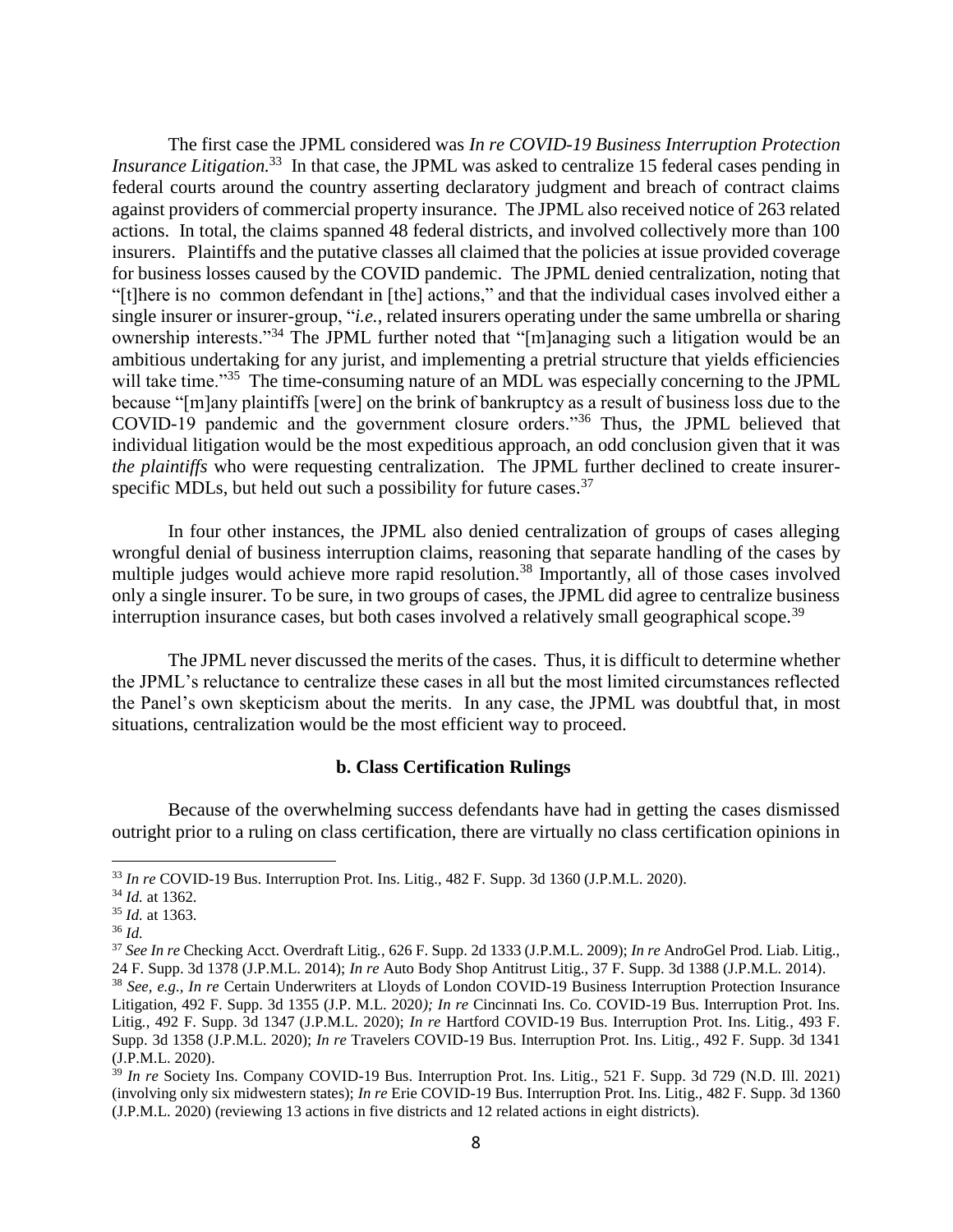The first case the JPML considered was *In re COVID-19 Business Interruption Protection Insurance Litigation*<sup>33</sup> In that case, the JPML was asked to centralize 15 federal cases pending in federal courts around the country asserting declaratory judgment and breach of contract claims against providers of commercial property insurance. The JPML also received notice of 263 related actions. In total, the claims spanned 48 federal districts, and involved collectively more than 100 insurers. Plaintiffs and the putative classes all claimed that the policies at issue provided coverage for business losses caused by the COVID pandemic. The JPML denied centralization, noting that "[t]here is no common defendant in [the] actions," and that the individual cases involved either a single insurer or insurer-group, "*i.e.*, related insurers operating under the same umbrella or sharing ownership interests."<sup>34</sup> The JPML further noted that "[m]anaging such a litigation would be an ambitious undertaking for any jurist, and implementing a pretrial structure that yields efficiencies will take time."<sup>35</sup> The time-consuming nature of an MDL was especially concerning to the JPML because "[m]any plaintiffs [were] on the brink of bankruptcy as a result of business loss due to the COVID-19 pandemic and the government closure orders."<sup>36</sup> Thus, the JPML believed that individual litigation would be the most expeditious approach, an odd conclusion given that it was *the plaintiffs* who were requesting centralization. The JPML further declined to create insurerspecific MDLs, but held out such a possibility for future cases.<sup>37</sup>

In four other instances, the JPML also denied centralization of groups of cases alleging wrongful denial of business interruption claims, reasoning that separate handling of the cases by multiple judges would achieve more rapid resolution.<sup>38</sup> Importantly, all of those cases involved only a single insurer. To be sure, in two groups of cases, the JPML did agree to centralize business interruption insurance cases, but both cases involved a relatively small geographical scope.<sup>39</sup>

The JPML never discussed the merits of the cases. Thus, it is difficult to determine whether the JPML's reluctance to centralize these cases in all but the most limited circumstances reflected the Panel's own skepticism about the merits. In any case, the JPML was doubtful that, in most situations, centralization would be the most efficient way to proceed.

#### **b. Class Certification Rulings**

Because of the overwhelming success defendants have had in getting the cases dismissed outright prior to a ruling on class certification, there are virtually no class certification opinions in

<sup>33</sup> *In re* COVID-19 Bus. Interruption Prot. Ins. Litig., 482 F. Supp. 3d 1360 (J.P.M.L. 2020).

<sup>34</sup> *Id.* at 1362.

<sup>35</sup> *Id.* at 1363.

<sup>36</sup> *Id.*

<sup>37</sup> *See In re* Checking Acct. Overdraft Litig*.*, 626 F. Supp. 2d 1333 (J.P.M.L. 2009); *In re* AndroGel Prod. Liab. Litig., 24 F. Supp. 3d 1378 (J.P.M.L. 2014); *In re* Auto Body Shop Antitrust Litig., 37 F. Supp. 3d 1388 (J.P.M.L. 2014). <sup>38</sup> *See, e.g., In re* Certain Underwriters at Lloyds of London COVID-19 Business Interruption Protection Insurance

Litigation*,* 492 F. Supp. 3d 1355 (J.P. M.L. 2020*); In re* Cincinnati Ins. Co. COVID-19 Bus. Interruption Prot. Ins. Litig*.*, 492 F. Supp. 3d 1347 (J.P.M.L. 2020); *In re* Hartford COVID-19 Bus. Interruption Prot. Ins. Litig*.*, 493 F. Supp. 3d 1358 (J.P.M.L. 2020); *In re* Travelers COVID-19 Bus. Interruption Prot. Ins. Litig*.,* 492 F. Supp. 3d 1341 (J.P.M.L. 2020).

<sup>39</sup> *In re* Society Ins. Company COVID-19 Bus. Interruption Prot. Ins. Litig., 521 F. Supp. 3d 729 (N.D. Ill. 2021) (involving only six midwestern states); *In re* Erie COVID-19 Bus. Interruption Prot. Ins. Litig., 482 F. Supp. 3d 1360 (J.P.M.L. 2020) (reviewing 13 actions in five districts and 12 related actions in eight districts).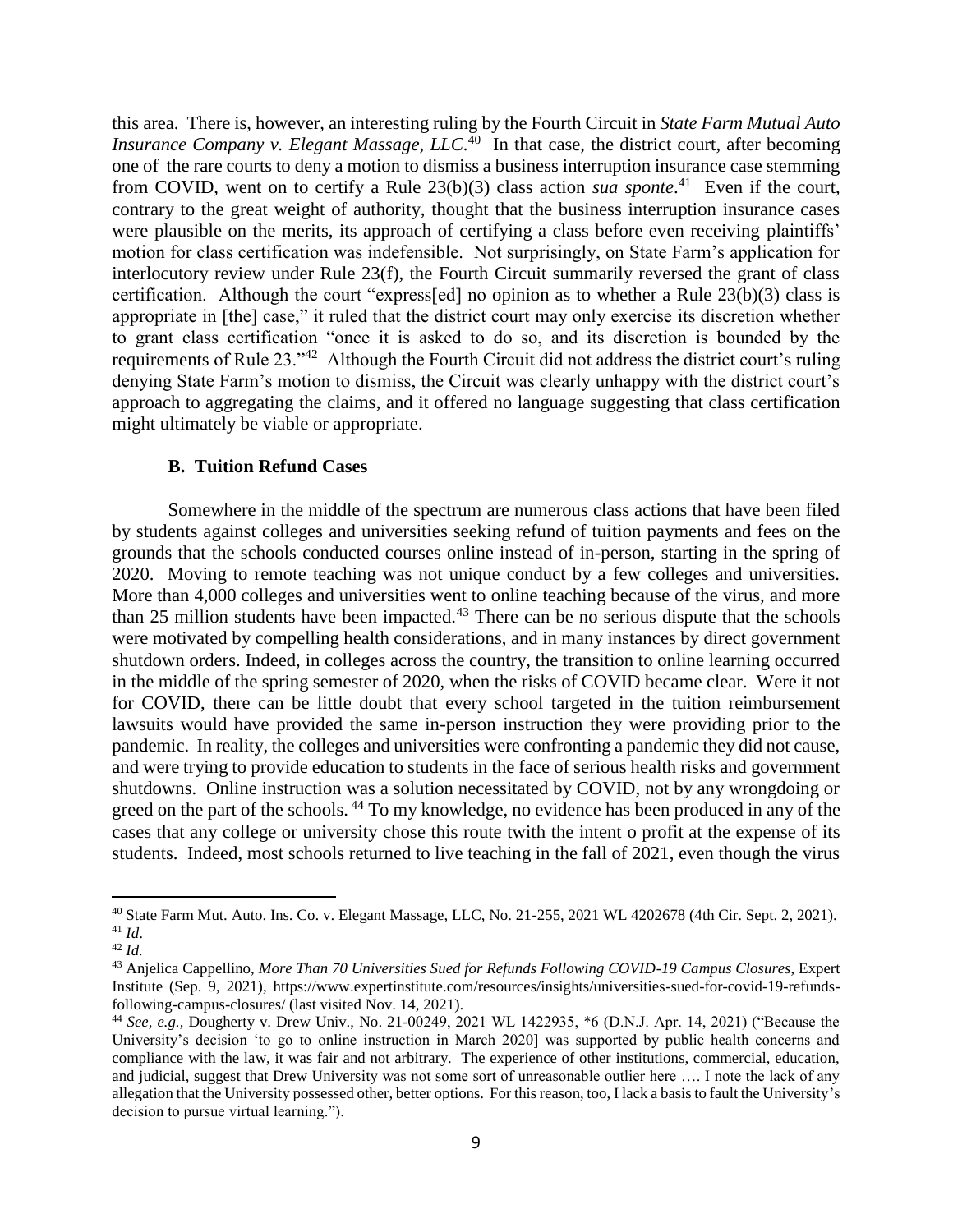this area. There is, however, an interesting ruling by the Fourth Circuit in *State Farm Mutual Auto Insurance Company v. Elegant Massage, LLC.*<sup>40</sup> In that case, the district court, after becoming one of the rare courts to deny a motion to dismiss a business interruption insurance case stemming from COVID, went on to certify a Rule 23(b)(3) class action *sua sponte*. 41 Even if the court, contrary to the great weight of authority, thought that the business interruption insurance cases were plausible on the merits, its approach of certifying a class before even receiving plaintiffs' motion for class certification was indefensible. Not surprisingly, on State Farm's application for interlocutory review under Rule 23(f), the Fourth Circuit summarily reversed the grant of class certification. Although the court "express[ed] no opinion as to whether a Rule 23(b)(3) class is appropriate in [the] case," it ruled that the district court may only exercise its discretion whether to grant class certification "once it is asked to do so, and its discretion is bounded by the requirements of Rule  $23.^{342}$  Although the Fourth Circuit did not address the district court's ruling denying State Farm's motion to dismiss, the Circuit was clearly unhappy with the district court's approach to aggregating the claims, and it offered no language suggesting that class certification might ultimately be viable or appropriate.

### **B. Tuition Refund Cases**

Somewhere in the middle of the spectrum are numerous class actions that have been filed by students against colleges and universities seeking refund of tuition payments and fees on the grounds that the schools conducted courses online instead of in-person, starting in the spring of 2020. Moving to remote teaching was not unique conduct by a few colleges and universities. More than 4,000 colleges and universities went to online teaching because of the virus, and more than 25 million students have been impacted.<sup>43</sup> There can be no serious dispute that the schools were motivated by compelling health considerations, and in many instances by direct government shutdown orders. Indeed, in colleges across the country, the transition to online learning occurred in the middle of the spring semester of 2020, when the risks of COVID became clear. Were it not for COVID, there can be little doubt that every school targeted in the tuition reimbursement lawsuits would have provided the same in-person instruction they were providing prior to the pandemic. In reality, the colleges and universities were confronting a pandemic they did not cause, and were trying to provide education to students in the face of serious health risks and government shutdowns. Online instruction was a solution necessitated by COVID, not by any wrongdoing or greed on the part of the schools.<sup>44</sup> To my knowledge, no evidence has been produced in any of the cases that any college or university chose this route twith the intent o profit at the expense of its students. Indeed, most schools returned to live teaching in the fall of 2021, even though the virus

<sup>40</sup> State Farm Mut. Auto. Ins. Co. v. Elegant Massage, LLC, No. 21-255, 2021 WL 4202678 (4th Cir. Sept. 2, 2021). <sup>41</sup> *Id*.

<sup>42</sup> *Id.*

<sup>43</sup> Anjelica Cappellino, *More Than 70 Universities Sued for Refunds Following COVID-19 Campus Closures*, Expert Institute (Sep. 9, 2021), https://www.expertinstitute.com/resources/insights/universities-sued-for-covid-19-refundsfollowing-campus-closures/ (last visited Nov. 14, 2021).

<sup>44</sup> *See, e.g.,* Dougherty v. Drew Univ., No. 21-00249, 2021 WL 1422935, \*6 (D.N.J. Apr. 14, 2021) ("Because the University's decision 'to go to online instruction in March 2020] was supported by public health concerns and compliance with the law, it was fair and not arbitrary. The experience of other institutions, commercial, education, and judicial, suggest that Drew University was not some sort of unreasonable outlier here …. I note the lack of any allegation that the University possessed other, better options. For this reason, too, I lack a basis to fault the University's decision to pursue virtual learning.").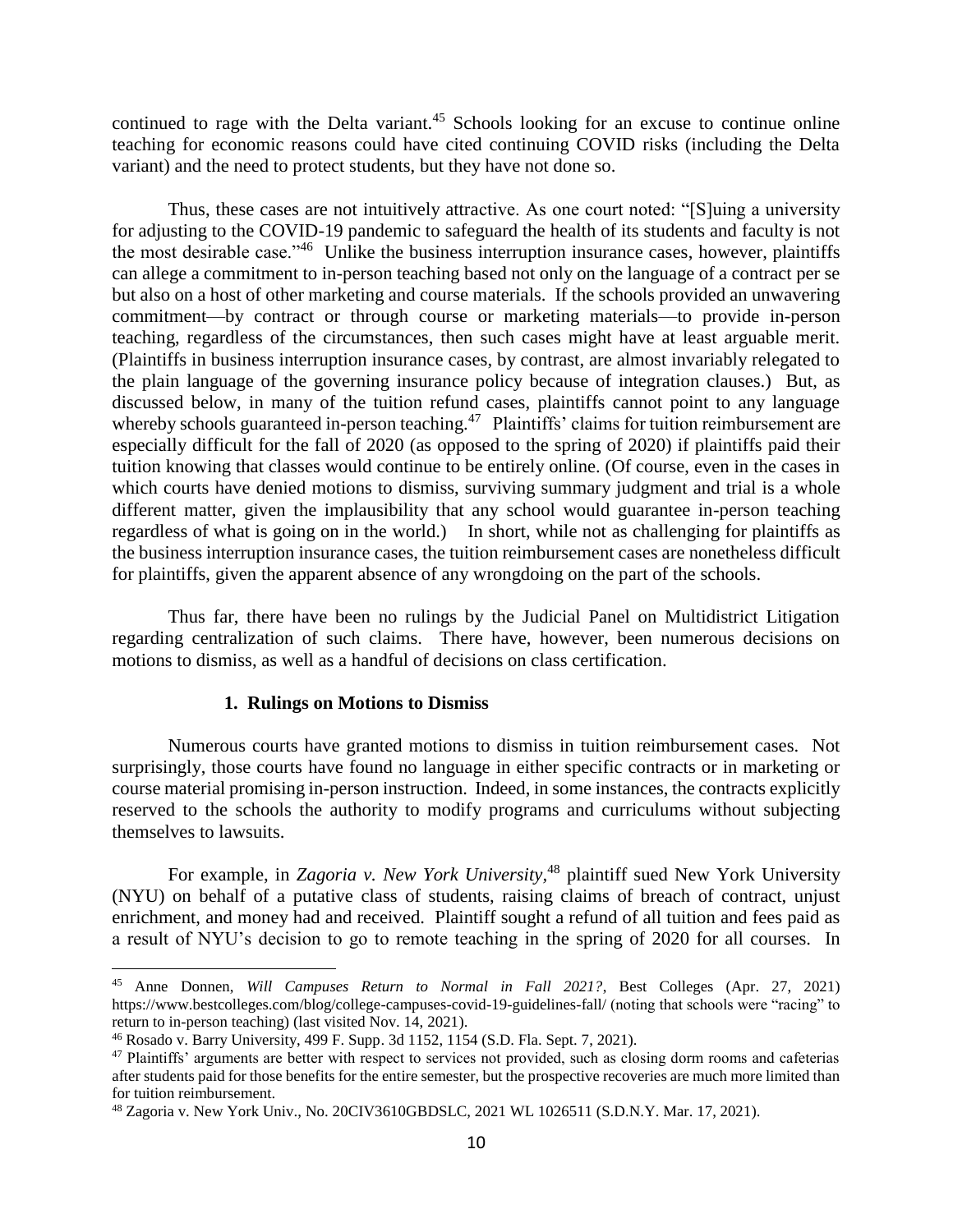continued to rage with the Delta variant.<sup>45</sup> Schools looking for an excuse to continue online teaching for economic reasons could have cited continuing COVID risks (including the Delta variant) and the need to protect students, but they have not done so.

Thus, these cases are not intuitively attractive. As one court noted: "[S]uing a university for adjusting to the COVID-19 pandemic to safeguard the health of its students and faculty is not the most desirable case."<sup>46</sup> Unlike the business interruption insurance cases, however, plaintiffs can allege a commitment to in-person teaching based not only on the language of a contract per se but also on a host of other marketing and course materials. If the schools provided an unwavering commitment—by contract or through course or marketing materials—to provide in-person teaching, regardless of the circumstances, then such cases might have at least arguable merit. (Plaintiffs in business interruption insurance cases, by contrast, are almost invariably relegated to the plain language of the governing insurance policy because of integration clauses.) But, as discussed below, in many of the tuition refund cases, plaintiffs cannot point to any language whereby schools guaranteed in-person teaching.<sup>47</sup> Plaintiffs' claims for tuition reimbursement are especially difficult for the fall of 2020 (as opposed to the spring of 2020) if plaintiffs paid their tuition knowing that classes would continue to be entirely online. (Of course, even in the cases in which courts have denied motions to dismiss, surviving summary judgment and trial is a whole different matter, given the implausibility that any school would guarantee in-person teaching regardless of what is going on in the world.) In short, while not as challenging for plaintiffs as the business interruption insurance cases, the tuition reimbursement cases are nonetheless difficult for plaintiffs, given the apparent absence of any wrongdoing on the part of the schools.

Thus far, there have been no rulings by the Judicial Panel on Multidistrict Litigation regarding centralization of such claims. There have, however, been numerous decisions on motions to dismiss, as well as a handful of decisions on class certification.

### **1. Rulings on Motions to Dismiss**

Numerous courts have granted motions to dismiss in tuition reimbursement cases. Not surprisingly, those courts have found no language in either specific contracts or in marketing or course material promising in-person instruction. Indeed, in some instances, the contracts explicitly reserved to the schools the authority to modify programs and curriculums without subjecting themselves to lawsuits.

For example, in *Zagoria v. New York University,*<sup>48</sup> plaintiff sued New York University (NYU) on behalf of a putative class of students, raising claims of breach of contract, unjust enrichment, and money had and received. Plaintiff sought a refund of all tuition and fees paid as a result of NYU's decision to go to remote teaching in the spring of 2020 for all courses. In

<sup>45</sup> Anne Donnen, *Will Campuses Return to Normal in Fall 2021?*, Best Colleges (Apr. 27, 2021) https://www.bestcolleges.com/blog/college-campuses-covid-19-guidelines-fall/ (noting that schools were "racing" to return to in-person teaching) (last visited Nov. 14, 2021).

<sup>46</sup> Rosado v. Barry University, 499 F. Supp. 3d 1152, 1154 (S.D. Fla. Sept. 7, 2021).

<sup>&</sup>lt;sup>47</sup> Plaintiffs' arguments are better with respect to services not provided, such as closing dorm rooms and cafeterias after students paid for those benefits for the entire semester, but the prospective recoveries are much more limited than for tuition reimbursement.

<sup>48</sup> Zagoria v. New York Univ., No. 20CIV3610GBDSLC, 2021 WL 1026511 (S.D.N.Y. Mar. 17, 2021).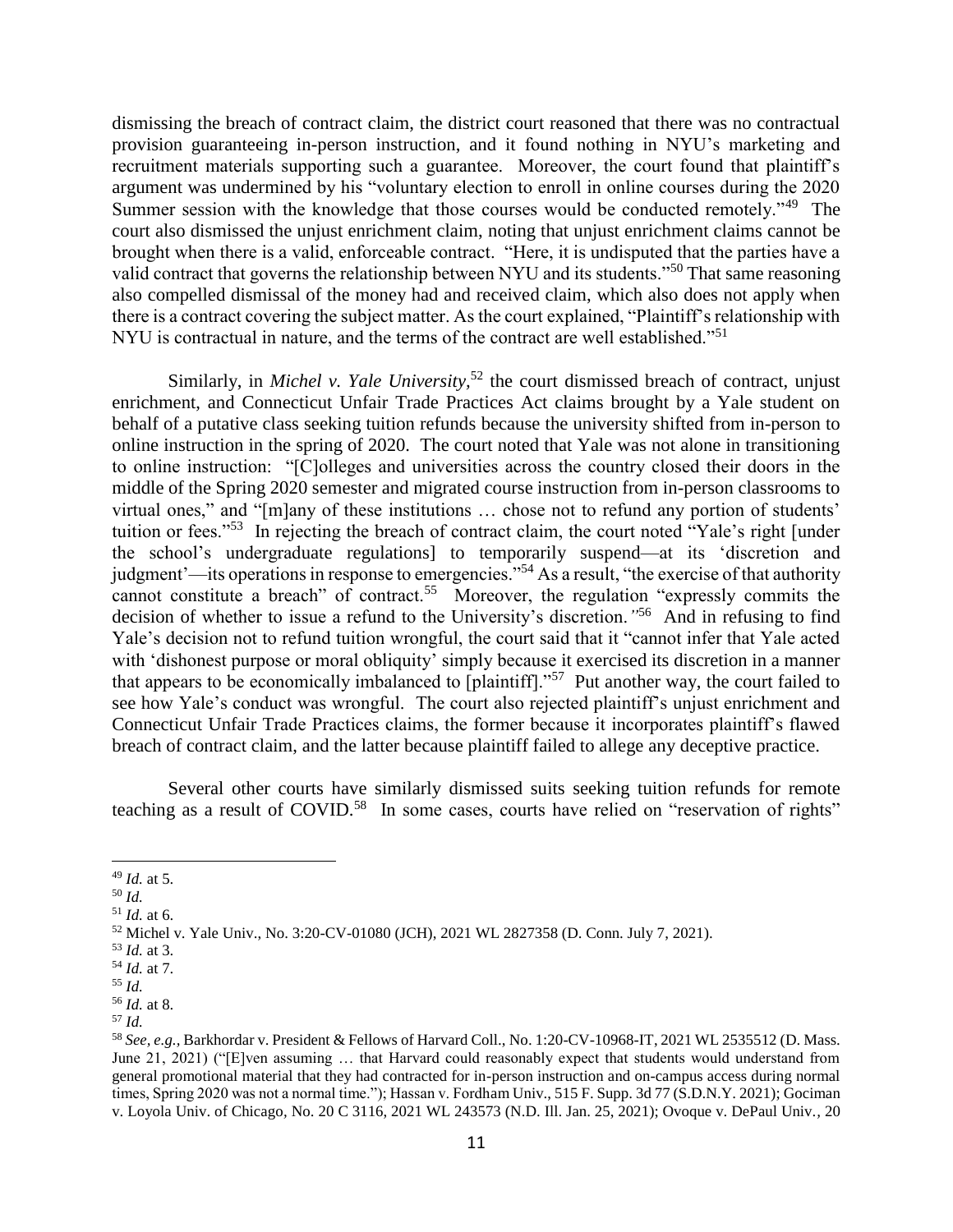dismissing the breach of contract claim, the district court reasoned that there was no contractual provision guaranteeing in-person instruction, and it found nothing in NYU's marketing and recruitment materials supporting such a guarantee. Moreover, the court found that plaintiff's argument was undermined by his "voluntary election to enroll in online courses during the 2020 Summer session with the knowledge that those courses would be conducted remotely."<sup>49</sup> The court also dismissed the unjust enrichment claim, noting that unjust enrichment claims cannot be brought when there is a valid, enforceable contract. "Here, it is undisputed that the parties have a valid contract that governs the relationship between NYU and its students."<sup>50</sup> That same reasoning also compelled dismissal of the money had and received claim, which also does not apply when there is a contract covering the subject matter. As the court explained, "Plaintiff's relationship with NYU is contractual in nature, and the terms of the contract are well established."<sup>51</sup>

Similarly, in *Michel v. Yale University*,<sup>52</sup> the court dismissed breach of contract, unjust enrichment, and Connecticut Unfair Trade Practices Act claims brought by a Yale student on behalf of a putative class seeking tuition refunds because the university shifted from in-person to online instruction in the spring of 2020. The court noted that Yale was not alone in transitioning to online instruction: "[C]olleges and universities across the country closed their doors in the middle of the Spring 2020 semester and migrated course instruction from in-person classrooms to virtual ones," and "[m]any of these institutions … chose not to refund any portion of students' tuition or fees."<sup>53</sup> In rejecting the breach of contract claim, the court noted "Yale's right [under the school's undergraduate regulations] to temporarily suspend—at its 'discretion and judgment'—its operations in response to emergencies."<sup>54</sup> As a result, "the exercise of that authority cannot constitute a breach" of contract.<sup>55</sup> Moreover, the regulation "expressly commits the decision of whether to issue a refund to the University's discretion.<sup>"56</sup> And in refusing to find Yale's decision not to refund tuition wrongful, the court said that it "cannot infer that Yale acted with 'dishonest purpose or moral obliquity' simply because it exercised its discretion in a manner that appears to be economically imbalanced to [plaintiff]."<sup>57</sup> Put another way, the court failed to see how Yale's conduct was wrongful. The court also rejected plaintiff's unjust enrichment and Connecticut Unfair Trade Practices claims, the former because it incorporates plaintiff's flawed breach of contract claim, and the latter because plaintiff failed to allege any deceptive practice.

Several other courts have similarly dismissed suits seeking tuition refunds for remote teaching as a result of COVID.<sup>58</sup> In some cases, courts have relied on "reservation of rights"

<sup>49</sup> *Id.* at 5.

<sup>50</sup> *Id.*

<sup>51</sup> *Id.* at 6.

<sup>52</sup> Michel v. Yale Univ., No. 3:20-CV-01080 (JCH), 2021 WL 2827358 (D. Conn. July 7, 2021).

<sup>53</sup> *Id.* at 3.

<sup>54</sup> *Id.* at 7. <sup>55</sup> *Id.*

<sup>56</sup> *Id.* at 8. <sup>57</sup> *Id.* 

<sup>58</sup> *See, e.g.,* Barkhordar v. President & Fellows of Harvard Coll., No. 1:20-CV-10968-IT, 2021 WL 2535512 (D. Mass. June 21, 2021) ("[E]ven assuming … that Harvard could reasonably expect that students would understand from general promotional material that they had contracted for in-person instruction and on-campus access during normal times, Spring 2020 was not a normal time."); Hassan v. Fordham Univ., 515 F. Supp. 3d 77 (S.D.N.Y. 2021); Gociman v. Loyola Univ. of Chicago*,* No. 20 C 3116, 2021 WL 243573 (N.D. Ill. Jan. 25, 2021); Ovoque v. DePaul Univ.*,* 20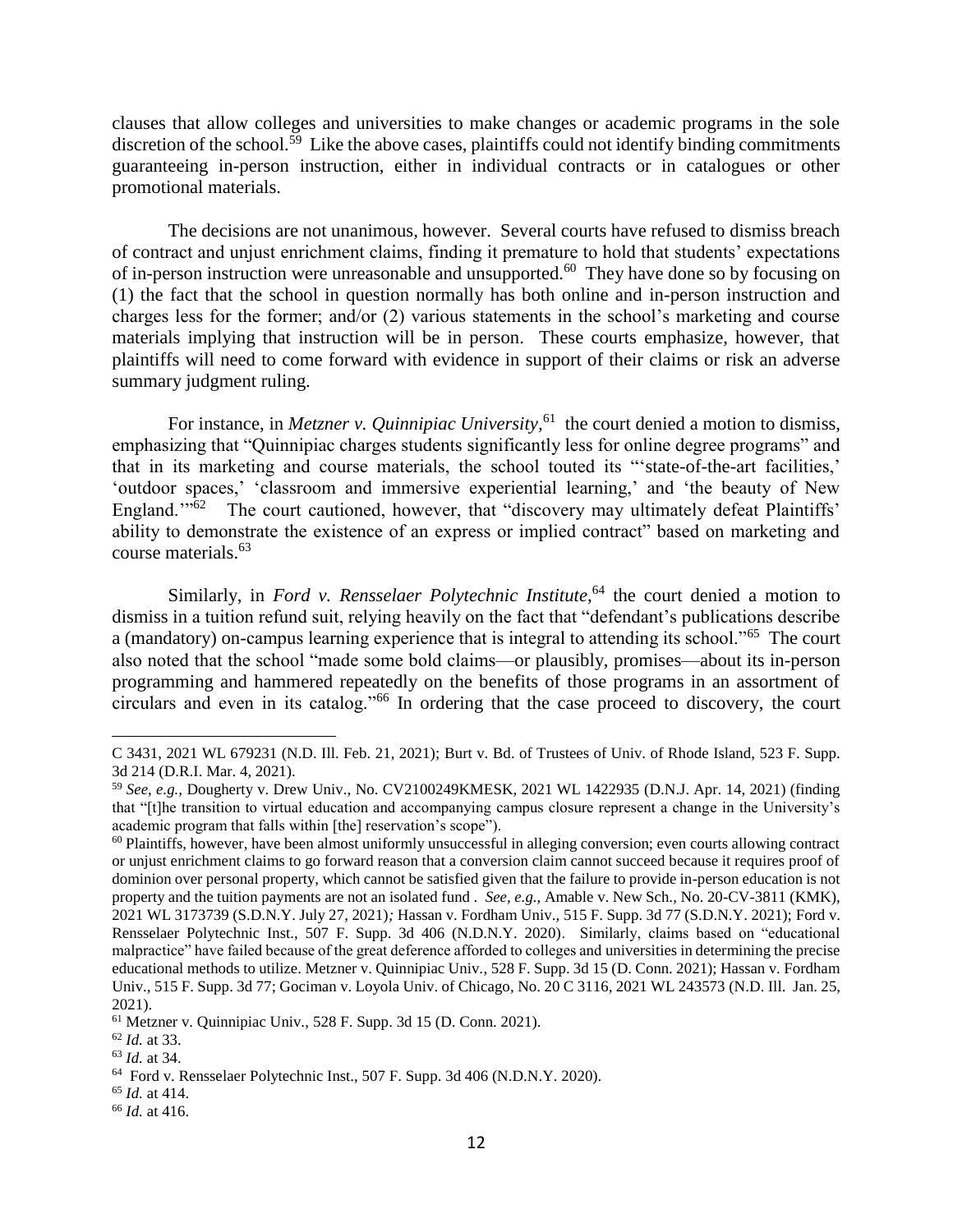clauses that allow colleges and universities to make changes or academic programs in the sole discretion of the school.<sup>59</sup> Like the above cases, plaintiffs could not identify binding commitments guaranteeing in-person instruction, either in individual contracts or in catalogues or other promotional materials.

The decisions are not unanimous, however. Several courts have refused to dismiss breach of contract and unjust enrichment claims, finding it premature to hold that students' expectations of in-person instruction were unreasonable and unsupported.<sup>60</sup> They have done so by focusing on (1) the fact that the school in question normally has both online and in-person instruction and charges less for the former; and/or (2) various statements in the school's marketing and course materials implying that instruction will be in person. These courts emphasize, however, that plaintiffs will need to come forward with evidence in support of their claims or risk an adverse summary judgment ruling.

For instance, in *Metzner v. Quinnipiac University*, <sup>61</sup> the court denied a motion to dismiss, emphasizing that "Quinnipiac charges students significantly less for online degree programs" and that in its marketing and course materials, the school touted its "'state-of-the-art facilities,' 'outdoor spaces,' 'classroom and immersive experiential learning,' and 'the beauty of New England."<sup>62</sup> The court cautioned, however, that "discovery may ultimately defeat Plaintiffs' ability to demonstrate the existence of an express or implied contract" based on marketing and course materials.<sup>63</sup>

Similarly, in *Ford v. Rensselaer Polytechnic Institute*,<sup>64</sup> the court denied a motion to dismiss in a tuition refund suit, relying heavily on the fact that "defendant's publications describe a (mandatory) on-campus learning experience that is integral to attending its school."<sup>65</sup> The court also noted that the school "made some bold claims—or plausibly, promises—about its in-person programming and hammered repeatedly on the benefits of those programs in an assortment of circulars and even in its catalog."<sup>66</sup> In ordering that the case proceed to discovery, the court

C 3431, 2021 WL 679231 (N.D. Ill. Feb. 21, 2021); Burt v. Bd. of Trustees of Univ. of Rhode Island, 523 F. Supp. 3d 214 (D.R.I. Mar. 4, 2021).

<sup>59</sup> *See, e.g.,* Dougherty v. Drew Univ., No. CV2100249KMESK, 2021 WL 1422935 (D.N.J. Apr. 14, 2021) (finding that "[t]he transition to virtual education and accompanying campus closure represent a change in the University's academic program that falls within [the] reservation's scope").

 $60$  Plaintiffs, however, have been almost uniformly unsuccessful in alleging conversion; even courts allowing contract or unjust enrichment claims to go forward reason that a conversion claim cannot succeed because it requires proof of dominion over personal property, which cannot be satisfied given that the failure to provide in-person education is not property and the tuition payments are not an isolated fund . *See, e.g.,* Amable v. New Sch., No. 20-CV-3811 (KMK), 2021 WL 3173739 (S.D.N.Y. July 27, 2021)*;* Hassan v. Fordham Univ.*,* 515 F. Supp. 3d 77 (S.D.N.Y. 2021); Ford v. Rensselaer Polytechnic Inst., 507 F. Supp. 3d 406 (N.D.N.Y. 2020). Similarly, claims based on "educational malpractice" have failed because of the great deference afforded to colleges and universities in determining the precise educational methods to utilize. Metzner v. Quinnipiac Univ., 528 F. Supp. 3d 15 (D. Conn. 2021); Hassan v. Fordham Univ.*,* 515 F. Supp. 3d 77; Gociman v. Loyola Univ. of Chicago*,* No. 20 C 3116, 2021 WL 243573 (N.D. Ill. Jan. 25, 2021).

<sup>61</sup> Metzner v. Quinnipiac Univ., 528 F. Supp. 3d 15 (D. Conn. 2021).

<sup>62</sup> *Id.* at 33.

<sup>63</sup> *Id.* at 34.

<sup>64</sup> Ford v. Rensselaer Polytechnic Inst., 507 F. Supp. 3d 406 (N.D.N.Y. 2020).

<sup>65</sup> *Id.* at 414.

<sup>66</sup> *Id.* at 416.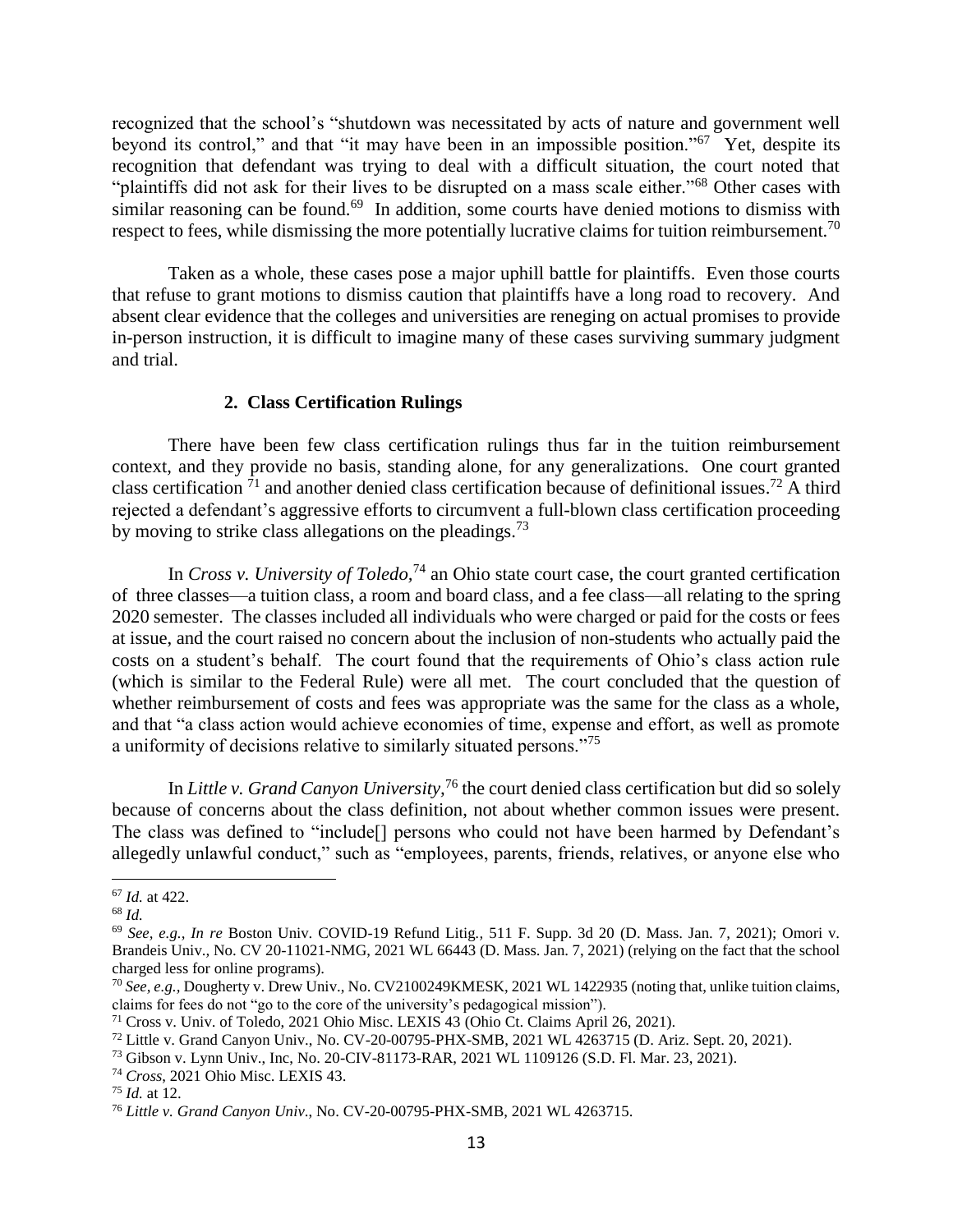recognized that the school's "shutdown was necessitated by acts of nature and government well beyond its control," and that "it may have been in an impossible position."<sup>67</sup> Yet, despite its recognition that defendant was trying to deal with a difficult situation, the court noted that "plaintiffs did not ask for their lives to be disrupted on a mass scale either."<sup>68</sup> Other cases with similar reasoning can be found.<sup>69</sup> In addition, some courts have denied motions to dismiss with respect to fees, while dismissing the more potentially lucrative claims for tuition reimbursement.<sup>70</sup>

Taken as a whole, these cases pose a major uphill battle for plaintiffs. Even those courts that refuse to grant motions to dismiss caution that plaintiffs have a long road to recovery. And absent clear evidence that the colleges and universities are reneging on actual promises to provide in-person instruction, it is difficult to imagine many of these cases surviving summary judgment and trial.

## **2. Class Certification Rulings**

There have been few class certification rulings thus far in the tuition reimbursement context, and they provide no basis, standing alone, for any generalizations. One court granted class certification  $1$  and another denied class certification because of definitional issues.<sup>72</sup> A third rejected a defendant's aggressive efforts to circumvent a full-blown class certification proceeding by moving to strike class allegations on the pleadings.<sup>73</sup>

In *Cross v. University of Toledo,*<sup>74</sup> an Ohio state court case, the court granted certification of three classes—a tuition class, a room and board class, and a fee class—all relating to the spring 2020 semester. The classes included all individuals who were charged or paid for the costs or fees at issue, and the court raised no concern about the inclusion of non-students who actually paid the costs on a student's behalf. The court found that the requirements of Ohio's class action rule (which is similar to the Federal Rule) were all met. The court concluded that the question of whether reimbursement of costs and fees was appropriate was the same for the class as a whole, and that "a class action would achieve economies of time, expense and effort, as well as promote a uniformity of decisions relative to similarly situated persons."<sup>75</sup>

In *Little v. Grand Canyon University,*<sup>76</sup> the court denied class certification but did so solely because of concerns about the class definition, not about whether common issues were present. The class was defined to "include[] persons who could not have been harmed by Defendant's allegedly unlawful conduct," such as "employees, parents, friends, relatives, or anyone else who

<sup>67</sup> *Id.* at 422.

<sup>68</sup> *Id.*

<sup>69</sup> *See, e.g., In re* Boston Univ. COVID-19 Refund Litig*.,* 511 F. Supp. 3d 20 (D. Mass. Jan. 7, 2021); Omori v. Brandeis Univ.*,* No. CV 20-11021-NMG, 2021 WL 66443 (D. Mass. Jan. 7, 2021) (relying on the fact that the school charged less for online programs).

<sup>70</sup> *See, e.g.,* Dougherty v. Drew Univ., No. CV2100249KMESK, 2021 WL 1422935 (noting that, unlike tuition claims, claims for fees do not "go to the core of the university's pedagogical mission").

<sup>71</sup> Cross v. Univ. of Toledo, [2021 Ohio Misc. LEXIS 43](https://plus.lexis.com/api/document/collection/cases/id/62M1-MXD1-JX8W-M40P-00000-00?cite=2021%20Ohio%20Misc.%20LEXIS%2043&context=1530671) [\(](https://plus.lexis.com/api/document/collection/cases/id/62M1-MXD1-JX8W-M40P-00000-00?cite=2021%20Ohio%20Misc.%20LEXIS%2043&context=1530671)Ohio Ct. Claims April 26, 2021)*[.](https://plus.lexis.com/api/document/collection/cases/id/62M1-MXD1-JX8W-M40P-00000-00?cite=2021%20Ohio%20Misc.%20LEXIS%2043&context=1530671)*

<sup>72</sup> Little v. Grand Canyon Univ., No. CV-20-00795-PHX-SMB, 2021 WL 4263715 (D. Ariz. Sept. 20, 2021).

<sup>73</sup> Gibson v. Lynn Univ., Inc, No. 20-CIV-81173-RAR, 2021 WL 1109126 (S.D. Fl. Mar. 23, 2021).

<sup>74</sup> *Cross*, [2021 Ohio Misc. LEXIS 43.](https://plus.lexis.com/api/document/collection/cases/id/62M1-MXD1-JX8W-M40P-00000-00?cite=2021%20Ohio%20Misc.%20LEXIS%2043&context=1530671)

<sup>75</sup> *Id.* at 12.

<sup>76</sup> *Little v. Grand Canyon Univ*., No. CV-20-00795-PHX-SMB, 2021 WL 4263715.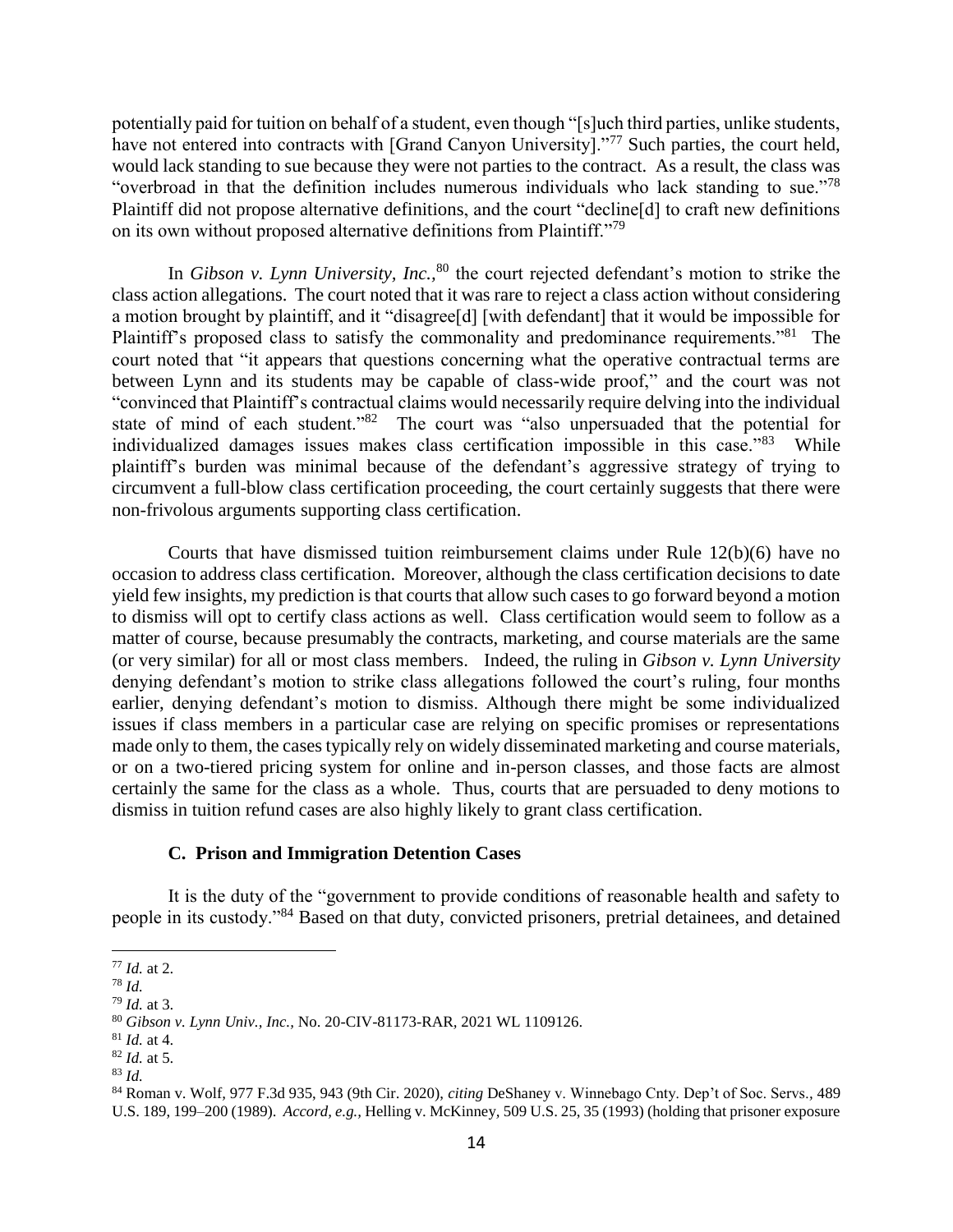potentially paid for tuition on behalf of a student, even though "[s]uch third parties, unlike students, have not entered into contracts with [Grand Canyon University]."<sup>77</sup> Such parties, the court held, would lack standing to sue because they were not parties to the contract. As a result, the class was "overbroad in that the definition includes numerous individuals who lack standing to sue."<sup>78</sup> Plaintiff did not propose alternative definitions, and the court "decline[d] to craft new definitions on its own without proposed alternative definitions from Plaintiff."<sup>79</sup>

In *Gibson v. Lynn University, Inc.*, <sup>80</sup> the court rejected defendant's motion to strike the class action allegations. The court noted that it was rare to reject a class action without considering a motion brought by plaintiff, and it "disagree[d] [with defendant] that it would be impossible for Plaintiff's proposed class to satisfy the commonality and predominance requirements."<sup>81</sup> The court noted that "it appears that questions concerning what the operative contractual terms are between Lynn and its students may be capable of class-wide proof," and the court was not "convinced that Plaintiff's contractual claims would necessarily require delving into the individual state of mind of each student."<sup>82</sup> The court was "also unpersuaded that the potential for individualized damages issues makes class certification impossible in this case."<sup>83</sup> While plaintiff's burden was minimal because of the defendant's aggressive strategy of trying to circumvent a full-blow class certification proceeding, the court certainly suggests that there were non-frivolous arguments supporting class certification.

Courts that have dismissed tuition reimbursement claims under Rule 12(b)(6) have no occasion to address class certification. Moreover, although the class certification decisions to date yield few insights, my prediction is that courts that allow such cases to go forward beyond a motion to dismiss will opt to certify class actions as well. Class certification would seem to follow as a matter of course, because presumably the contracts, marketing, and course materials are the same (or very similar) for all or most class members. Indeed, the ruling in *Gibson v. Lynn University*  denying defendant's motion to strike class allegations followed the court's ruling, four months earlier, denying defendant's motion to dismiss. Although there might be some individualized issues if class members in a particular case are relying on specific promises or representations made only to them, the cases typically rely on widely disseminated marketing and course materials, or on a two-tiered pricing system for online and in-person classes, and those facts are almost certainly the same for the class as a whole. Thus, courts that are persuaded to deny motions to dismiss in tuition refund cases are also highly likely to grant class certification.

#### **C. Prison and Immigration Detention Cases**

It is the duty of the "government to provide conditions of reasonable health and safety to people in its custody."<sup>84</sup> Based on that duty, convicted prisoners, pretrial detainees, and detained

<sup>77</sup> *Id.* at 2.

<sup>78</sup> *Id.* 

<sup>79</sup> *Id.* at 3.

<sup>80</sup> *Gibson v. Lynn Univ., Inc.,* No. 20-CIV-81173-RAR*,* 2021 WL 1109126.

<sup>81</sup> *Id.* at 4.

<sup>82</sup> *Id.* at 5.

<sup>83</sup> *Id.* 

<sup>84</sup> Roman v. Wolf*,* 977 F.3d 935, 943 (9th Cir. 2020), *citing* DeShaney v. Winnebago Cnty. Dep't of Soc. Servs.*,* 489 U.S. 189, 199–200 (1989). *Accord, e.g.,* Helling v. McKinney*,* 509 U.S. 25, 35 (1993) (holding that prisoner exposure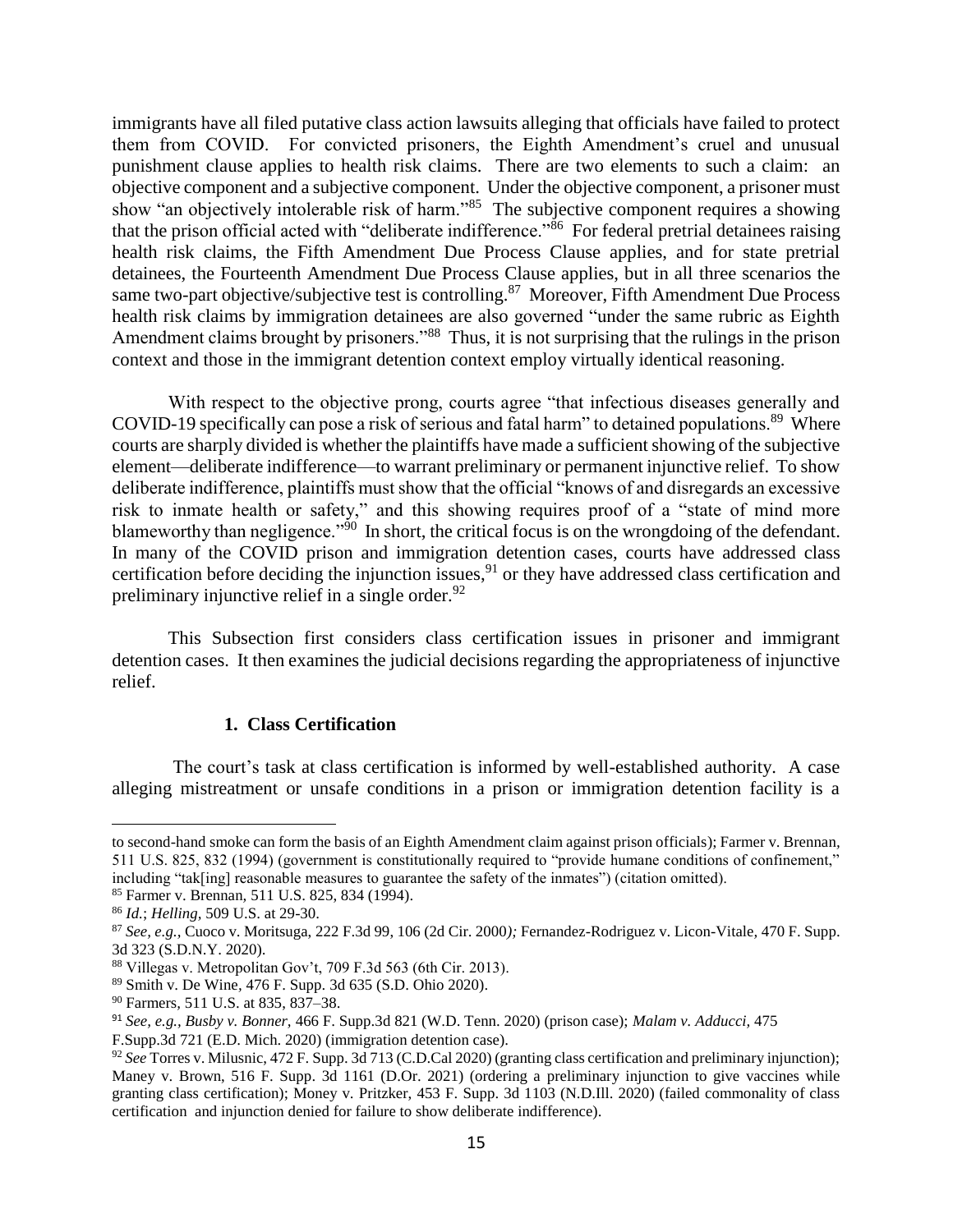immigrants have all filed putative class action lawsuits alleging that officials have failed to protect them from COVID. For convicted prisoners, the Eighth Amendment's cruel and unusual punishment clause applies to health risk claims. There are two elements to such a claim: an objective component and a subjective component. Under the objective component, a prisoner must show "an objectively intolerable risk of harm."<sup>85</sup> The subjective component requires a showing that the prison official acted with "deliberate indifference."<sup>86</sup> For federal pretrial detainees raising health risk claims, the Fifth Amendment Due Process Clause applies, and for state pretrial detainees, the Fourteenth Amendment Due Process Clause applies, but in all three scenarios the same two-part objective/subjective test is controlling.<sup>87</sup> Moreover, Fifth Amendment Due Process health risk claims by immigration detainees are also governed "under the same rubric as Eighth Amendment claims brought by prisoners."<sup>88</sup> Thus, it is not surprising that the rulings in the prison context and those in the immigrant detention context employ virtually identical reasoning.

With respect to the objective prong, courts agree "that infectious diseases generally and COVID-19 specifically can pose a risk of serious and fatal harm" to detained populations.<sup>89</sup> Where courts are sharply divided is whether the plaintiffs have made a sufficient showing of the subjective element—deliberate indifference—to warrant preliminary or permanent injunctive relief. To show deliberate indifference, plaintiffs must show that the official "knows of and disregards an excessive risk to inmate health or safety," and this showing requires proof of a "state of mind more blameworthy than negligence."<sup>90</sup> In short, the critical focus is on the wrongdoing of the defendant. In many of the COVID prison and immigration detention cases, courts have addressed class certification before deciding the injunction issues,  $91$  or they have addressed class certification and preliminary injunctive relief in a single order. $92$ 

This Subsection first considers class certification issues in prisoner and immigrant detention cases. It then examines the judicial decisions regarding the appropriateness of injunctive relief.

### **1. Class Certification**

The court's task at class certification is informed by well-established authority. A case alleging mistreatment or unsafe conditions in a prison or immigration detention facility is a

to second-hand smoke can form the basis of an Eighth Amendment claim against prison officials); Farmer v. Brennan*,*  511 U.S. 825, 832 (1994) (government is constitutionally required to "provide humane conditions of confinement," including "tak[ing] reasonable measures to guarantee the safety of the inmates") (citation omitted).

<sup>85</sup> Farmer v. Brennan*,* 511 U.S. 825, 834 (1994).

<sup>86</sup> *Id.*; *Helling,* 509 U.S. at 29-30.

<sup>87</sup> *See, e.g.,* Cuoco v. Moritsuga, 222 F.3d 99, 106 (2d Cir. 2000*);* Fernandez-Rodriguez v. Licon-Vitale*,* 470 F. Supp. 3d 323 (S.D.N.Y. 2020).

<sup>88</sup> Villegas v. Metropolitan Gov't, 709 F.3d 563 (6th Cir. 2013).

<sup>89</sup> Smith v. De Wine*,* 476 F. Supp. 3d 635 (S.D. Ohio 2020).

<sup>90</sup> Farmers*,* 511 U.S. at 835, 837–38.

<sup>91</sup> *See, e.g., Busby v. Bonner,* 466 F. Supp.3d 821 (W.D. Tenn. 2020) (prison case); *Malam v. Adducci,* 475

F.Supp.3d 721 (E.D. Mich. 2020) (immigration detention case).

<sup>92</sup> *See* Torres v. Milusnic, 472 F. Supp. 3d 713 (C.D.Cal 2020) (granting class certification and preliminary injunction); Maney v. Brown, 516 F. Supp. 3d 1161 (D.Or. 2021) (ordering a preliminary injunction to give vaccines while granting class certification); Money v. Pritzker, 453 F. Supp. 3d 1103 (N.D.Ill. 2020) (failed commonality of class certification and injunction denied for failure to show deliberate indifference).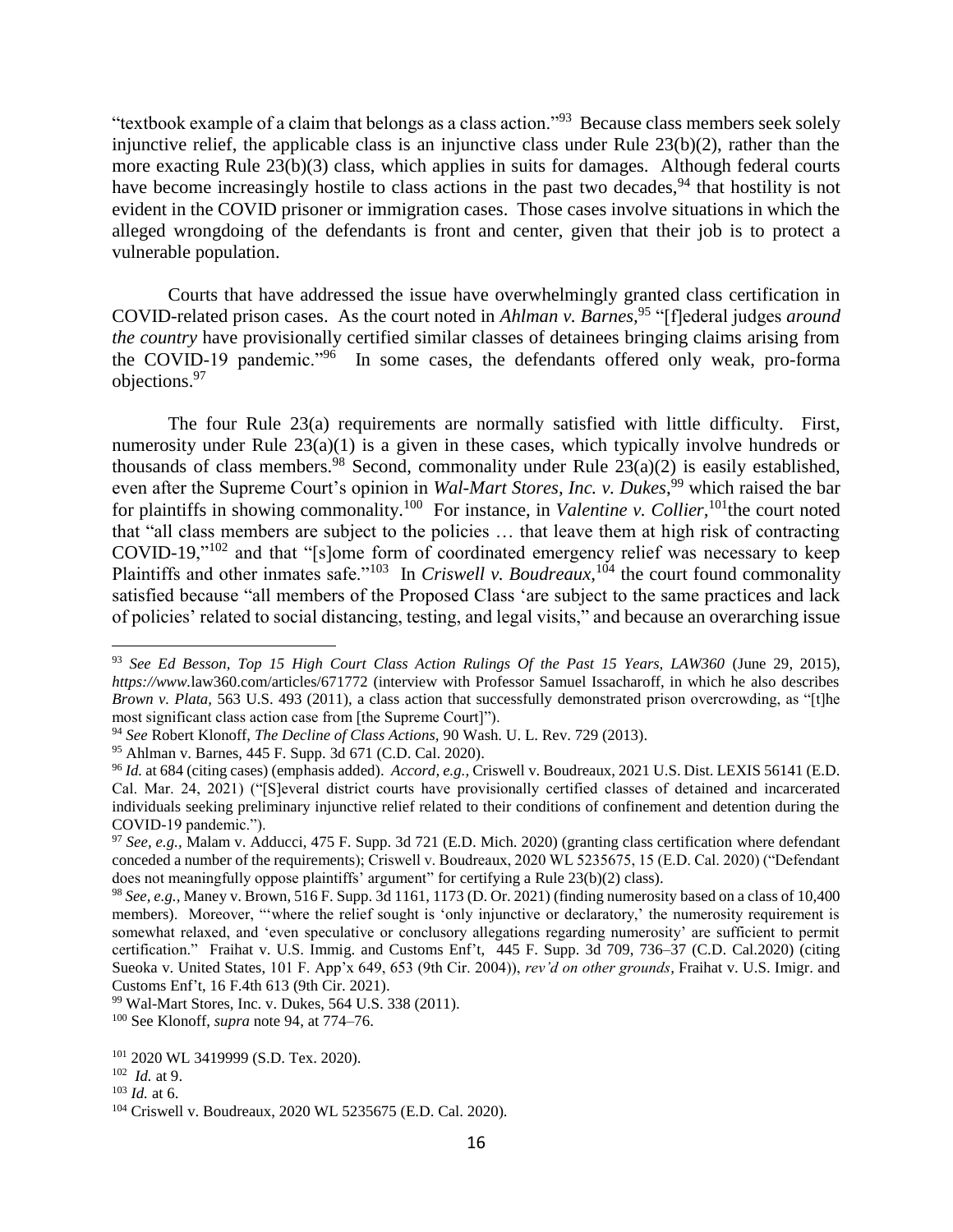"textbook example of a claim that belongs as a class action."<sup>93</sup> Because class members seek solely injunctive relief, the applicable class is an injunctive class under Rule 23(b)(2), rather than the more exacting Rule 23(b)(3) class, which applies in suits for damages. Although federal courts have become increasingly hostile to class actions in the past two decades,  $94$  that hostility is not evident in the COVID prisoner or immigration cases. Those cases involve situations in which the alleged wrongdoing of the defendants is front and center, given that their job is to protect a vulnerable population.

Courts that have addressed the issue have overwhelmingly granted class certification in COVID-related prison cases. As the court noted in *Ahlman v. Barnes,*<sup>95</sup> "[f]ederal judges *around the country* have provisionally certified similar classes of detainees bringing claims arising from the COVID-19 pandemic."<sup>96</sup> In some cases, the defendants offered only weak, pro-forma objections.<sup>97</sup>

The four Rule 23(a) requirements are normally satisfied with little difficulty. First, numerosity under Rule 23(a)(1) is a given in these cases, which typically involve hundreds or thousands of class members.<sup>98</sup> Second, commonality under Rule  $23(a)(2)$  is easily established, even after the Supreme Court's opinion in *Wal-Mart Stores, Inc. v. Dukes*,<sup>99</sup> which raised the bar for plaintiffs in showing commonality.<sup>100</sup> For instance, in *Valentine v. Collier*,<sup>101</sup>the court noted that "all class members are subject to the policies … that leave them at high risk of contracting COVID-19,"<sup>102</sup> and that "[s]ome form of coordinated emergency relief was necessary to keep Plaintiffs and other inmates safe."<sup>103</sup> In *Criswell v. Boudreaux*, <sup>104</sup> the court found commonality satisfied because "all members of the Proposed Class 'are subject to the same practices and lack of policies' related to social distancing, testing, and legal visits," and because an overarching issue

<sup>99</sup> Wal-Mart Stores, Inc. v. Dukes, 564 U.S. 338 (2011).

<sup>93</sup> *See Ed Besson, Top 15 High Court Class Action Rulings Of the Past 15 Years, LAW360* (June 29, 2015), *https://www.*law360.com/articles/671772 (interview with Professor Samuel Issacharoff, in which he also describes *Brown v. Plata,* 563 U.S. 493 (2011), a class action that successfully demonstrated prison overcrowding, as "[t]he most significant class action case from [the Supreme Court]").

<sup>94</sup> *See* Robert Klonoff, *The Decline of Class Actions,* 90 Wash. U. L. Rev. 729 (2013).

<sup>95</sup> Ahlman v. Barnes, 445 F. Supp. 3d 671 (C.D. Cal. 2020).

<sup>96</sup> *Id.* at 684 (citing cases) (emphasis added). *Accord, e.g.,* Criswell v. Boudreaux, 2021 U.S. Dist. LEXIS 56141 (E.D. Cal. Mar. 24, 2021) ("[S]everal district courts have provisionally certified classes of detained and incarcerated individuals seeking preliminary injunctive relief related to their conditions of confinement and detention during the COVID-19 pandemic.").

<sup>97</sup> *See, e.g.,* Malam v. Adducci, 475 F. Supp. 3d 721 (E.D. Mich. 2020) (granting class certification where defendant conceded a number of the requirements); Criswell v. Boudreaux, 2020 WL 5235675, 15 (E.D. Cal. 2020) ("Defendant does not meaningfully oppose plaintiffs' argument" for certifying a Rule 23(b)(2) class).

<sup>98</sup> *See, e.g.,* Maney v. Brown*,* 516 F. Supp. 3d 1161, 1173 (D. Or. 2021) (finding numerosity based on a class of 10,400 members). Moreover, ""where the relief sought is 'only injunctive or declaratory,' the numerosity requirement is somewhat relaxed, and 'even speculative or conclusory allegations regarding numerosity' are sufficient to permit certification." Fraihat v. U.S. Immig. and Customs Enf't, 445 F. Supp. 3d 709, 736–37 (C.D. Cal.2020) (citing Sueoka v. United States, 101 F. App'x 649, 653 (9th Cir. 2004)), *rev'd on other grounds,* Fraihat v. U.S. Imigr. and Customs Enf't, 16 F.4th 613 (9th Cir. 2021).

<sup>100</sup> See Klonoff, *supra* note 94, at 774–76.

<sup>101</sup> 2020 WL 3419999 (S.D. Tex. 2020).

<sup>102</sup> *Id.* at 9.

<sup>103</sup> *Id.* at 6.

<sup>104</sup> Criswell v. Boudreaux, 2020 WL 5235675 (E.D. Cal. 2020).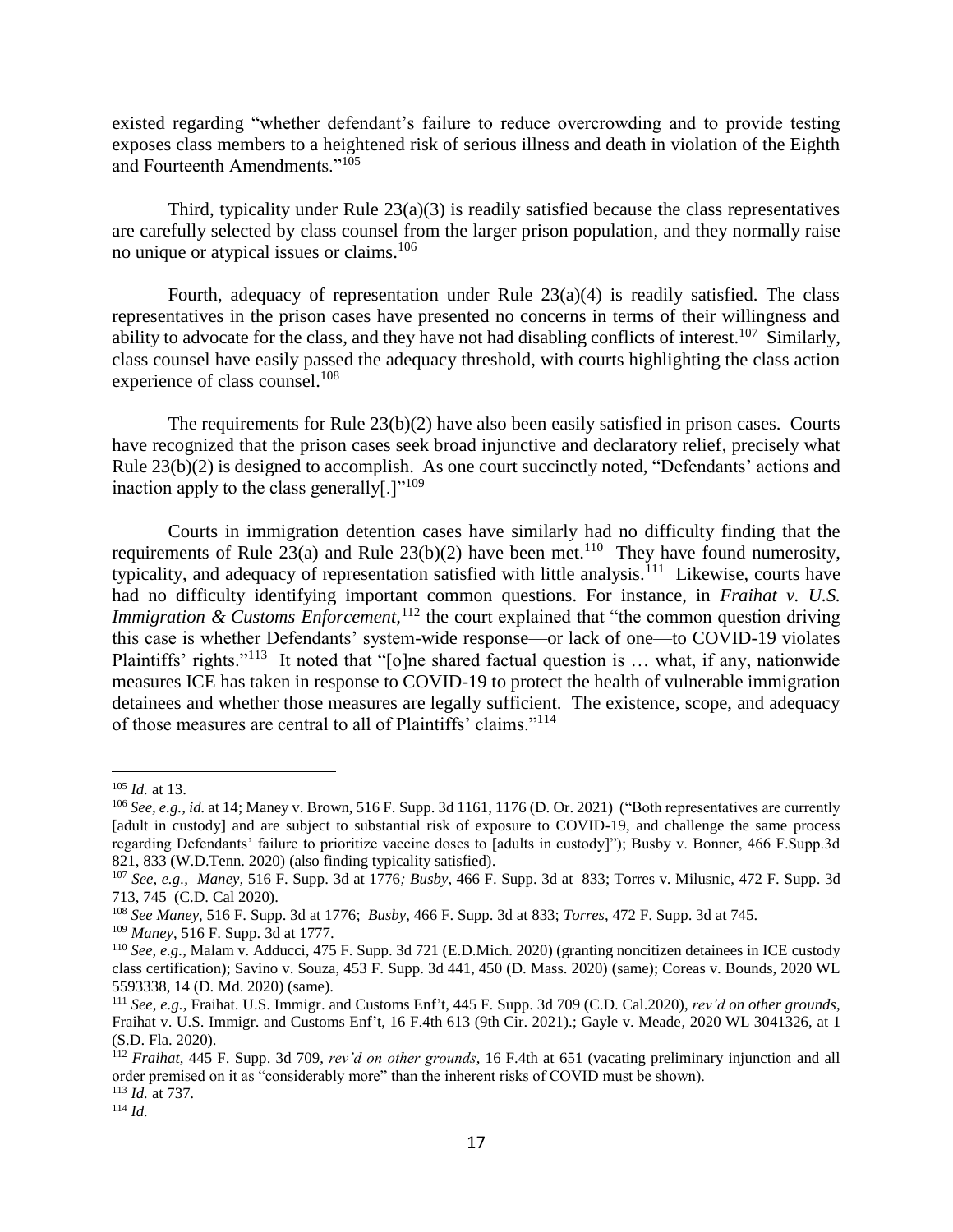existed regarding "whether defendant's failure to reduce overcrowding and to provide testing exposes class members to a heightened risk of serious illness and death in violation of the Eighth and Fourteenth Amendments."<sup>105</sup>

Third, typicality under Rule  $23(a)(3)$  is readily satisfied because the class representatives are carefully selected by class counsel from the larger prison population, and they normally raise no unique or atypical issues or claims.<sup>106</sup>

Fourth, adequacy of representation under Rule  $23(a)(4)$  is readily satisfied. The class representatives in the prison cases have presented no concerns in terms of their willingness and ability to advocate for the class, and they have not had disabling conflicts of interest.<sup>107</sup> Similarly, class counsel have easily passed the adequacy threshold, with courts highlighting the class action experience of class counsel.<sup>108</sup>

The requirements for Rule  $23(b)(2)$  have also been easily satisfied in prison cases. Courts have recognized that the prison cases seek broad injunctive and declaratory relief, precisely what Rule 23(b)(2) is designed to accomplish. As one court succinctly noted, "Defendants' actions and inaction apply to the class generally[.] $"109$ 

Courts in immigration detention cases have similarly had no difficulty finding that the requirements of Rule 23(a) and Rule  $23(b)(2)$  have been met.<sup>110</sup> They have found numerosity, typicality, and adequacy of representation satisfied with little analysis.<sup>111</sup> Likewise, courts have had no difficulty identifying important common questions. For instance, in *Fraihat v. U.S. Immigration & Customs Enforcement*,<sup>112</sup> the court explained that "the common question driving this case is whether Defendants' system-wide response—or lack of one—to COVID-19 violates Plaintiffs' rights."<sup>113</sup> It noted that "[o]ne shared factual question is ... what, if any, nationwide measures ICE has taken in response to COVID-19 to protect the health of vulnerable immigration detainees and whether those measures are legally sufficient. The existence, scope, and adequacy of those measures are central to all of Plaintiffs' claims."<sup>114</sup>

 $\overline{a}$ 

<sup>114</sup> *Id.*

<sup>105</sup> *Id.* at 13.

<sup>106</sup> *See, e.g., id.* at 14; Maney v. Brown, 516 F. Supp. 3d 1161, 1176 (D. Or. 2021) ("Both representatives are currently [adult in custody] and are subject to substantial risk of exposure to COVID-19, and challenge the same process regarding Defendants' failure to prioritize vaccine doses to [adults in custody]"); Busby v. Bonner, 466 F.Supp.3d 821, 833 (W.D.Tenn. 2020) (also finding typicality satisfied).

<sup>107</sup> *See, e.g., Maney,* 516 F. Supp. 3d at 1776*; Busby*, 466 F. Supp. 3d at 833; Torres v. Milusnic, 472 F. Supp. 3d 713, 745 (C.D. Cal 2020).

<sup>108</sup> *See Maney,* 516 F. Supp. 3d at 1776; *Busby*, 466 F. Supp. 3d at 833; *Torres*, 472 F. Supp. 3d at 745.

<sup>109</sup> *Maney*, 516 F. Supp. 3d at 1777.

<sup>110</sup> *See, e.g.,* Malam v. Adducci, 475 F. Supp. 3d 721 (E.D.Mich. 2020) (granting noncitizen detainees in ICE custody class certification); Savino v. Souza, 453 F. Supp. 3d 441, 450 (D. Mass. 2020) (same); Coreas v. Bounds, 2020 WL 5593338, 14 (D. Md. 2020) (same).

<sup>111</sup> *See, e.g.,* Fraihat. U.S. Immigr. and Customs Enf't, 445 F. Supp. 3d 709 (C.D. Cal.2020), *rev'd on other grounds*, Fraihat v. U.S. Immigr. and Customs Enf't, 16 F.4th 613 (9th Cir. 2021).; Gayle v. Meade*,* 2020 WL 3041326, at 1 (S.D. Fla. 2020).

<sup>112</sup> *Fraihat*, 445 F. Supp. 3d 709, *rev'd on other grounds*, 16 F.4th at 651 (vacating preliminary injunction and all order premised on it as "considerably more" than the inherent risks of COVID must be shown). <sup>113</sup> *Id.* at 737*.*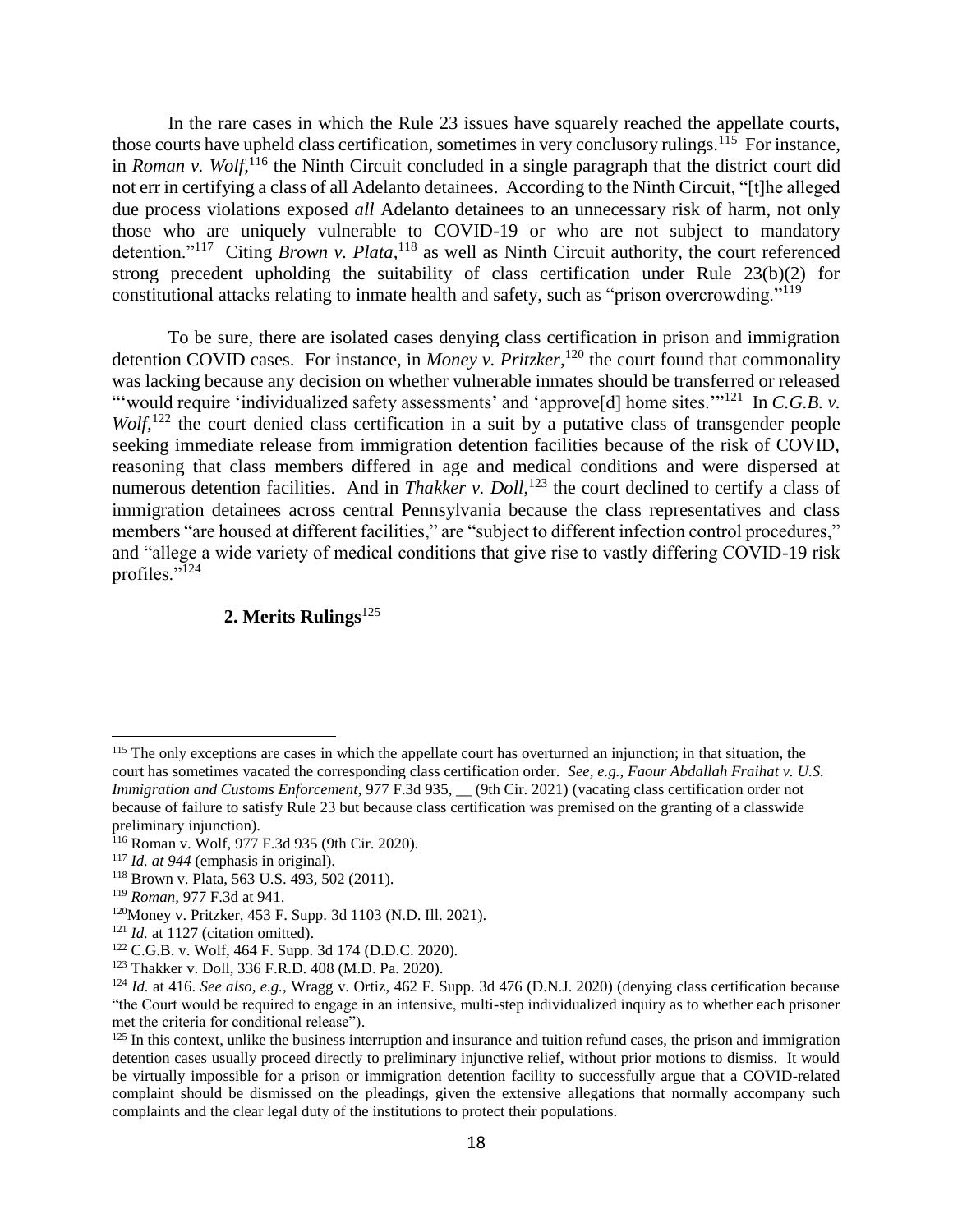In the rare cases in which the Rule 23 issues have squarely reached the appellate courts, those courts have upheld class certification, sometimes in very conclusory rulings.<sup>115</sup> For instance, in *Roman v. Wolf*,<sup>116</sup> the Ninth Circuit concluded in a single paragraph that the district court did not err in certifying a class of all Adelanto detainees. According to the Ninth Circuit, "[t]he alleged due process violations exposed *all* Adelanto detainees to an unnecessary risk of harm, not only those who are uniquely vulnerable to COVID-19 or who are not subject to mandatory detention."<sup>117</sup> Citing *Brown v. Plata*,<sup>118</sup> as well as Ninth Circuit authority, the court referenced strong precedent upholding the suitability of class certification under Rule 23(b)(2) for constitutional attacks relating to inmate health and safety, such as "prison overcrowding."<sup>119</sup>

To be sure, there are isolated cases denying class certification in prison and immigration detention COVID cases. For instance, in *Money v. Pritzker*,<sup>120</sup> the court found that commonality was lacking because any decision on whether vulnerable inmates should be transferred or released "would require 'individualized safety assessments' and 'approve[d] home sites."<sup>121</sup> In *C.G.B. v. Wolf*,<sup>122</sup> the court denied class certification in a suit by a putative class of transgender people seeking immediate release from immigration detention facilities because of the risk of COVID, reasoning that class members differed in age and medical conditions and were dispersed at numerous detention facilities. And in *Thakker v. Doll*,<sup>123</sup> the court declined to certify a class of immigration detainees across central Pennsylvania because the class representatives and class members "are housed at different facilities," are "subject to different infection control procedures," and "allege a wide variety of medical conditions that give rise to vastly differing COVID-19 risk profiles."<sup>124</sup>

## **2. Merits Rulings**<sup>125</sup>

<sup>&</sup>lt;sup>115</sup> The only exceptions are cases in which the appellate court has overturned an injunction; in that situation, the court has sometimes vacated the corresponding class certification order. *See, e.g., Faour Abdallah Fraihat v. U.S. Immigration and Customs Enforcement*, 977 F.3d 935, \_\_ (9th Cir. 2021) (vacating class certification order not because of failure to satisfy Rule 23 but because class certification was premised on the granting of a classwide preliminary injunction).

<sup>116</sup> Roman v. Wolf, 977 F.3d 935 (9th Cir. 2020).

<sup>117</sup> *Id. at 944* (emphasis in original).

<sup>118</sup> Brown v. Plata, 563 U.S. 493, 502 (2011).

<sup>119</sup> *Roman,* 977 F.3d at 941.

<sup>120</sup>Money v. Pritzker, 453 F. Supp. 3d 1103 (N.D. Ill. 2021).

<sup>&</sup>lt;sup>121</sup> *Id.* at 1127 (citation omitted).

<sup>122</sup> C.G.B. v. Wolf, 464 F. Supp. 3d 174 (D.D.C. 2020).

<sup>123</sup> Thakker v. Doll, 336 F.R.D. 408 (M.D. Pa. 2020).

<sup>124</sup> *Id.* at 416. *See also, e.g.,* Wragg v. Ortiz*,* 462 F. Supp. 3d 476 (D.N.J. 2020) (denying class certification because "the Court would be required to engage in an intensive, multi-step individualized inquiry as to whether each prisoner met the criteria for conditional release").

 $125$  In this context, unlike the business interruption and insurance and tuition refund cases, the prison and immigration detention cases usually proceed directly to preliminary injunctive relief, without prior motions to dismiss. It would be virtually impossible for a prison or immigration detention facility to successfully argue that a COVID-related complaint should be dismissed on the pleadings, given the extensive allegations that normally accompany such complaints and the clear legal duty of the institutions to protect their populations.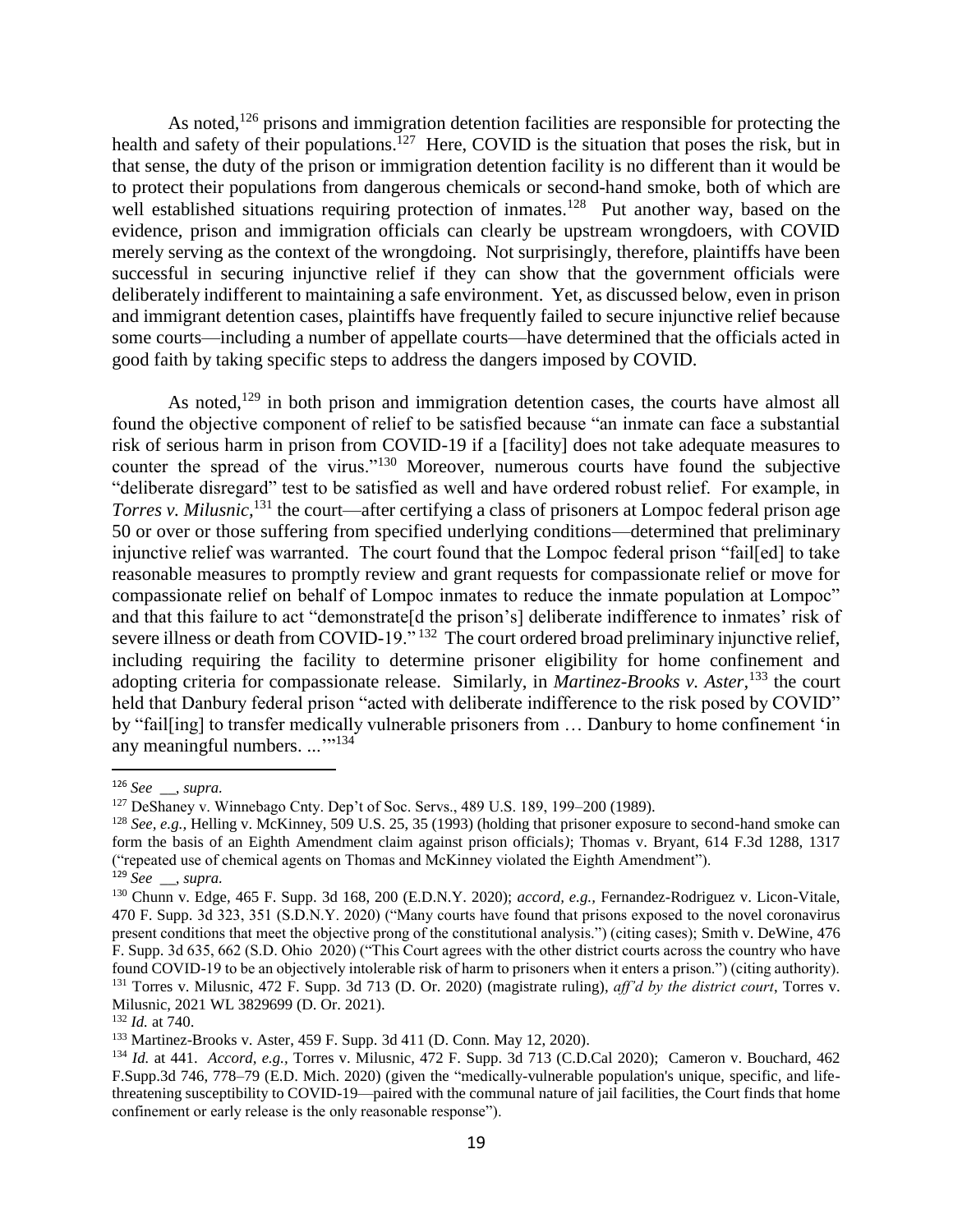As noted,<sup>126</sup> prisons and immigration detention facilities are responsible for protecting the health and safety of their populations.<sup>127</sup> Here, COVID is the situation that poses the risk, but in that sense, the duty of the prison or immigration detention facility is no different than it would be to protect their populations from dangerous chemicals or second-hand smoke, both of which are well established situations requiring protection of inmates.<sup>128</sup> Put another way, based on the evidence, prison and immigration officials can clearly be upstream wrongdoers, with COVID merely serving as the context of the wrongdoing. Not surprisingly, therefore, plaintiffs have been successful in securing injunctive relief if they can show that the government officials were deliberately indifferent to maintaining a safe environment. Yet, as discussed below, even in prison and immigrant detention cases, plaintiffs have frequently failed to secure injunctive relief because some courts—including a number of appellate courts—have determined that the officials acted in good faith by taking specific steps to address the dangers imposed by COVID.

As noted,<sup>129</sup> in both prison and immigration detention cases, the courts have almost all found the objective component of relief to be satisfied because "an inmate can face a substantial risk of serious harm in prison from COVID-19 if a [facility] does not take adequate measures to counter the spread of the virus."<sup>130</sup> Moreover, numerous courts have found the subjective "deliberate disregard" test to be satisfied as well and have ordered robust relief. For example, in *Torres v. Milusnic,*<sup>131</sup> the court—after certifying a class of prisoners at Lompoc federal prison age 50 or over or those suffering from specified underlying conditions—determined that preliminary injunctive relief was warranted. The court found that the Lompoc federal prison "fail[ed] to take reasonable measures to promptly review and grant requests for compassionate relief or move for compassionate relief on behalf of Lompoc inmates to reduce the inmate population at Lompoc" and that this failure to act "demonstrate<sup>[d the prison's]</sup> deliberate indifference to inmates' risk of severe illness or death from COVID-19."<sup>132</sup> The court ordered broad preliminary injunctive relief, including requiring the facility to determine prisoner eligibility for home confinement and adopting criteria for compassionate release. Similarly, in *Martinez-Brooks v. Aster,*<sup>133</sup> the court held that Danbury federal prison "acted with deliberate indifference to the risk posed by COVID" by "fail[ing] to transfer medically vulnerable prisoners from … Danbury to home confinement 'in any meaningful numbers. ..."<sup>134</sup>

<sup>126</sup> *See \_\_, supra.*

<sup>127</sup> DeShaney v. Winnebago Cnty. Dep't of Soc. Servs., 489 U.S. 189, 199–200 (1989).

<sup>128</sup> *See, e.g.,* Helling v. McKinney, 509 U.S. 25, 35 (1993) (holding that prisoner exposure to second-hand smoke can form the basis of an Eighth Amendment claim against prison officials*)*; Thomas v. Bryant, 614 F.3d 1288, 1317 ("repeated use of chemical agents on Thomas and McKinney violated the Eighth Amendment").

<sup>129</sup> *See \_\_, supra.*

<sup>130</sup> Chunn v. Edge*,* 465 F. Supp. 3d 168, 200 (E.D.N.Y. 2020); *accord, e.g.,* Fernandez-Rodriguez v. Licon-Vitale*,*  470 F. Supp. 3d 323, 351 (S.D.N.Y. 2020) ("Many courts have found that prisons exposed to the novel coronavirus present conditions that meet the objective prong of the constitutional analysis.") (citing cases); Smith v. DeWine*,* 476 F. Supp. 3d 635, 662 (S.D. Ohio 2020) ("This Court agrees with the other district courts across the country who have found COVID-19 to be an objectively intolerable risk of harm to prisoners when it enters a prison.") (citing authority). <sup>131</sup> Torres v. Milusnic, 472 F. Supp. 3d 713 (D. Or. 2020) (magistrate ruling), *aff'd by the district court*, Torres v. Milusnic, 2021 WL 3829699 (D. Or. 2021).

<sup>132</sup> *Id.* at 740.

<sup>133</sup> Martinez-Brooks v. Aster, 459 F. Supp. 3d 411 (D. Conn. May 12, 2020).

<sup>134</sup> *Id.* at 441. *Accord, e.g.,* Torres v. Milusnic, 472 F. Supp. 3d 713 (C.D.Cal 2020); Cameron v. Bouchard, 462 F.Supp.3d 746, 778–79 (E.D. Mich. 2020) (given the "medically-vulnerable population's unique, specific, and lifethreatening susceptibility to COVID-19—paired with the communal nature of jail facilities, the Court finds that home confinement or early release is the only reasonable response").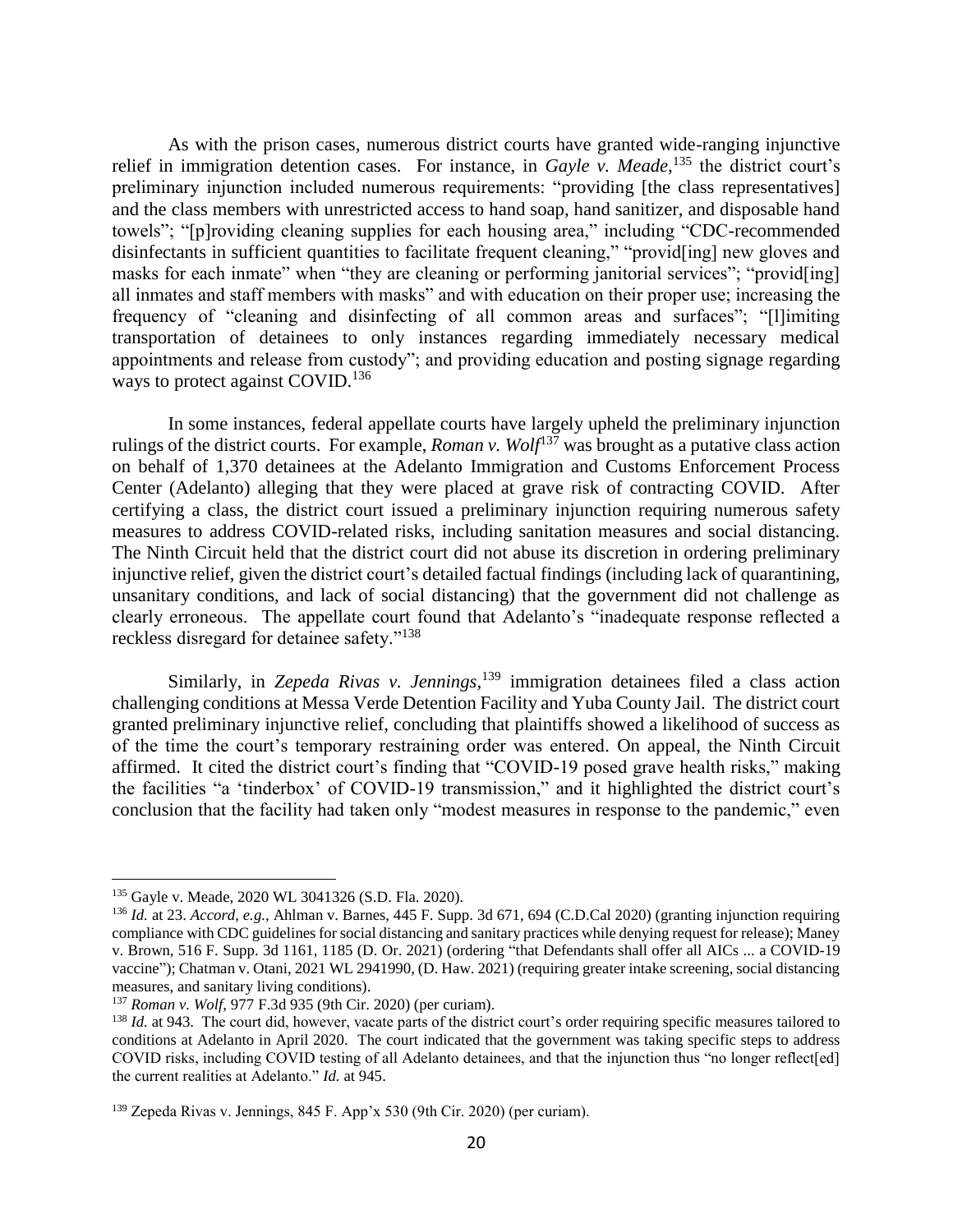As with the prison cases, numerous district courts have granted wide-ranging injunctive relief in immigration detention cases. For instance, in *Gayle v. Meade,*<sup>135</sup> the district court's preliminary injunction included numerous requirements: "providing [the class representatives] and the class members with unrestricted access to hand soap, hand sanitizer, and disposable hand towels"; "[p]roviding cleaning supplies for each housing area," including "CDC-recommended disinfectants in sufficient quantities to facilitate frequent cleaning," "provid[ing] new gloves and masks for each inmate" when "they are cleaning or performing janitorial services"; "provid[ing] all inmates and staff members with masks" and with education on their proper use; increasing the frequency of "cleaning and disinfecting of all common areas and surfaces"; "[l]imiting transportation of detainees to only instances regarding immediately necessary medical appointments and release from custody"; and providing education and posting signage regarding ways to protect against COVID.<sup>136</sup>

In some instances, federal appellate courts have largely upheld the preliminary injunction rulings of the district courts. For example, *Roman v. Wolf*<sup>137</sup> was brought as a putative class action on behalf of 1,370 detainees at the Adelanto Immigration and Customs Enforcement Process Center (Adelanto) alleging that they were placed at grave risk of contracting COVID. After certifying a class, the district court issued a preliminary injunction requiring numerous safety measures to address COVID-related risks, including sanitation measures and social distancing. The Ninth Circuit held that the district court did not abuse its discretion in ordering preliminary injunctive relief, given the district court's detailed factual findings (including lack of quarantining, unsanitary conditions, and lack of social distancing) that the government did not challenge as clearly erroneous. The appellate court found that Adelanto's "inadequate response reflected a reckless disregard for detainee safety."<sup>138</sup>

Similarly, in *Zepeda Rivas v. Jennings*,<sup>139</sup> immigration detainees filed a class action challenging conditions at Messa Verde Detention Facility and Yuba County Jail. The district court granted preliminary injunctive relief, concluding that plaintiffs showed a likelihood of success as of the time the court's temporary restraining order was entered. On appeal, the Ninth Circuit affirmed. It cited the district court's finding that "COVID-19 posed grave health risks," making the facilities "a 'tinderbox' of COVID-19 transmission," and it highlighted the district court's conclusion that the facility had taken only "modest measures in response to the pandemic," even

<sup>135</sup> Gayle v. Meade, 2020 WL 3041326 (S.D. Fla. 2020).

<sup>136</sup> *Id.* at 23. *Accord, e.g.,* Ahlman v. Barnes, 445 F. Supp. 3d 671, 694 (C.D.Cal 2020) (granting injunction requiring compliance with CDC guidelines for social distancing and sanitary practices while denying request for release); Maney v. Brown, 516 F. Supp. 3d 1161, 1185 (D. Or. 2021) (ordering "that Defendants shall offer all AICs ... a COVID-19 vaccine"); Chatman v. Otani, 2021 WL 2941990, (D. Haw. 2021) (requiring greater intake screening, social distancing measures, and sanitary living conditions).

<sup>137</sup> *Roman v. Wolf,* 977 F.3d 935 (9th Cir. 2020) (per curiam).

<sup>&</sup>lt;sup>138</sup> *Id.* at 943. The court did, however, vacate parts of the district court's order requiring specific measures tailored to conditions at Adelanto in April 2020. The court indicated that the government was taking specific steps to address COVID risks, including COVID testing of all Adelanto detainees, and that the injunction thus "no longer reflect[ed] the current realities at Adelanto." *Id.* at 945.

<sup>139</sup> Zepeda Rivas v. Jennings, 845 F. App'x 530 (9th Cir. 2020) (per curiam).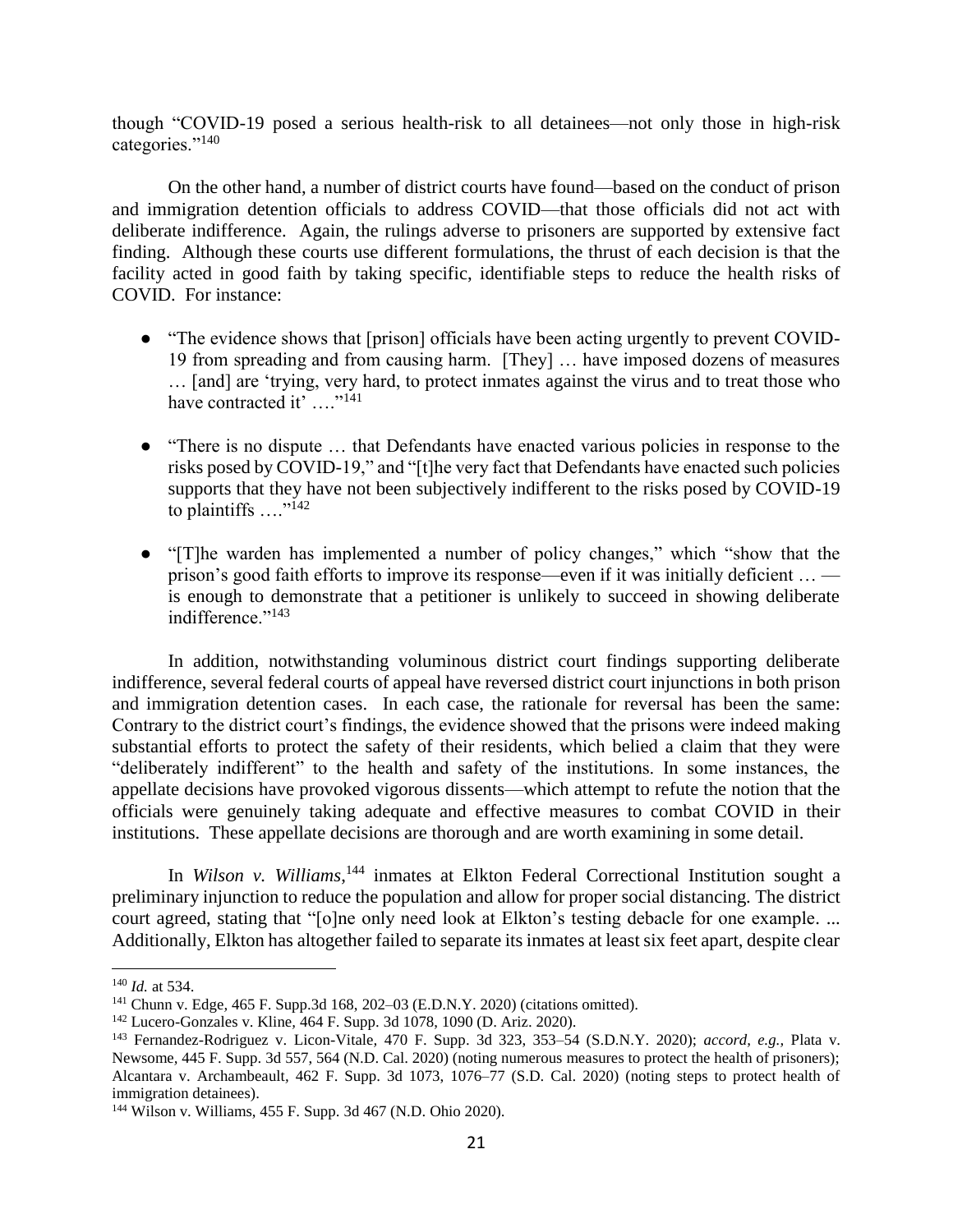though "COVID-19 posed a serious health-risk to all detainees—not only those in high-risk categories."<sup>140</sup>

On the other hand, a number of district courts have found—based on the conduct of prison and immigration detention officials to address COVID—that those officials did not act with deliberate indifference. Again, the rulings adverse to prisoners are supported by extensive fact finding. Although these courts use different formulations, the thrust of each decision is that the facility acted in good faith by taking specific, identifiable steps to reduce the health risks of COVID. For instance:

- "The evidence shows that [prison] officials have been acting urgently to prevent COVID-19 from spreading and from causing harm. [They] … have imposed dozens of measures … [and] are 'trying, very hard, to protect inmates against the virus and to treat those who have contracted it' ...."<sup>141</sup>
- "There is no dispute … that Defendants have enacted various policies in response to the risks posed by COVID-19," and "[t]he very fact that Defendants have enacted such policies supports that they have not been subjectively indifferent to the risks posed by COVID-19 to plaintiffs  $\ldots$ <sup>"142</sup>
- "[T]he warden has implemented a number of policy changes," which "show that the prison's good faith efforts to improve its response—even if it was initially deficient … is enough to demonstrate that a petitioner is unlikely to succeed in showing deliberate indifference."<sup>143</sup>

In addition, notwithstanding voluminous district court findings supporting deliberate indifference, several federal courts of appeal have reversed district court injunctions in both prison and immigration detention cases. In each case, the rationale for reversal has been the same: Contrary to the district court's findings, the evidence showed that the prisons were indeed making substantial efforts to protect the safety of their residents, which belied a claim that they were "deliberately indifferent" to the health and safety of the institutions. In some instances, the appellate decisions have provoked vigorous dissents—which attempt to refute the notion that the officials were genuinely taking adequate and effective measures to combat COVID in their institutions. These appellate decisions are thorough and are worth examining in some detail.

In *Wilson v. Williams*,<sup>144</sup> inmates at Elkton Federal Correctional Institution sought a preliminary injunction to reduce the population and allow for proper social distancing. The district court agreed, stating that "[o]ne only need look at Elkton's testing debacle for one example. ... Additionally, Elkton has altogether failed to separate its inmates at least six feet apart, despite clear

<sup>140</sup> *Id.* at 534.

<sup>141</sup> Chunn v. Edge*,* 465 F. Supp.3d 168, 202–03 (E.D.N.Y. 2020) (citations omitted).

<sup>142</sup> Lucero-Gonzales v. Kline*,* 464 F. Supp. 3d 1078, 1090 (D. Ariz. 2020).

<sup>143</sup> Fernandez-Rodriguez v. Licon-Vitale*,* 470 F. Supp. 3d 323, 353–54 (S.D.N.Y. 2020); *accord, e.g.,* Plata v. Newsome*,* 445 F. Supp. 3d 557, 564 (N.D. Cal. 2020) (noting numerous measures to protect the health of prisoners); Alcantara v. Archambeault*,* 462 F. Supp. 3d 1073, 1076–77 (S.D. Cal. 2020) (noting steps to protect health of immigration detainees).

<sup>144</sup> Wilson v. Williams, 455 F. Supp. 3d 467 (N.D. Ohio 2020).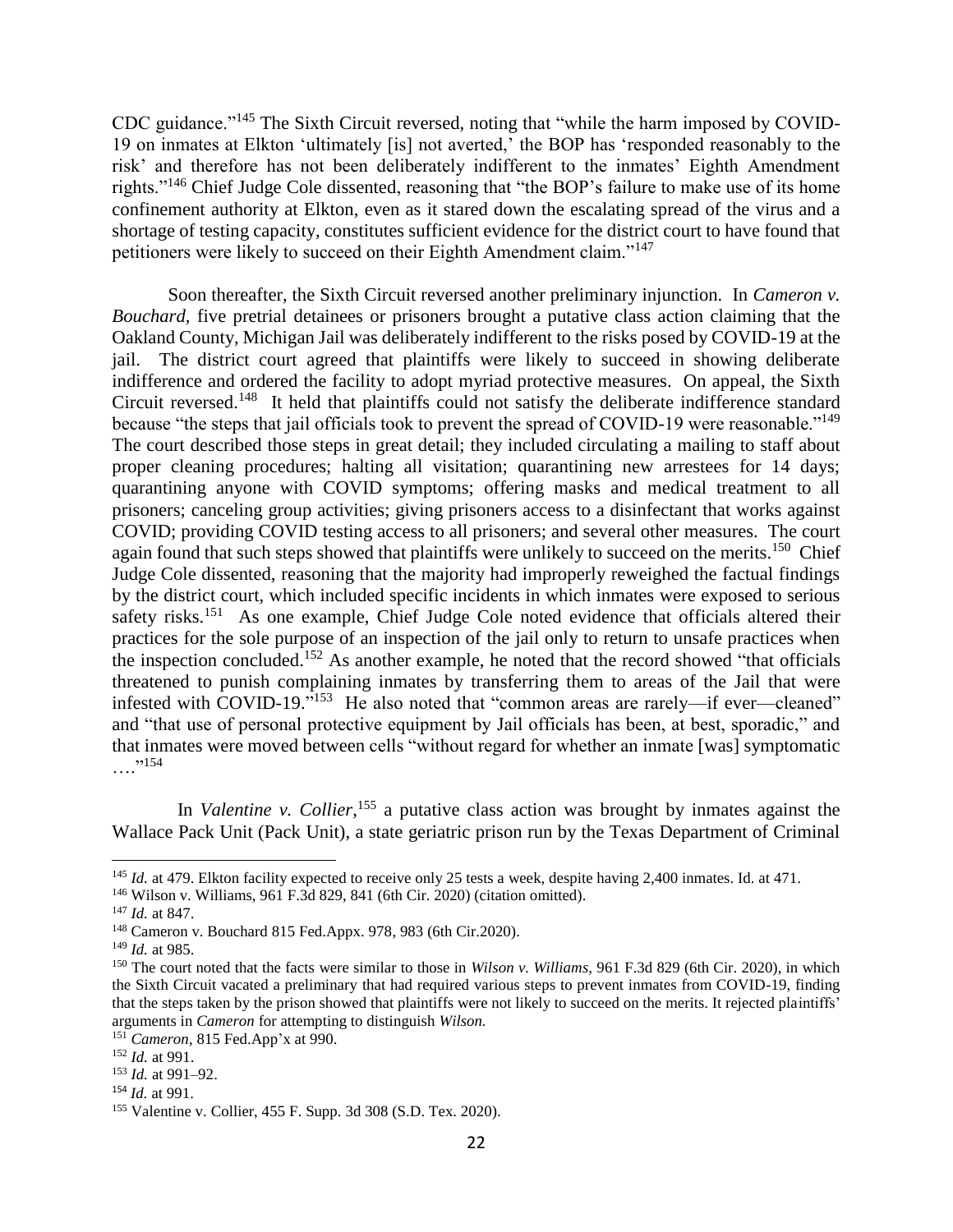CDC guidance."<sup>145</sup> The Sixth Circuit reversed, noting that "while the harm imposed by COVID-19 on inmates at Elkton 'ultimately [is] not averted,' the BOP has 'responded reasonably to the risk' and therefore has not been deliberately indifferent to the inmates' Eighth Amendment rights."<sup>146</sup> Chief Judge Cole dissented, reasoning that "the BOP's failure to make use of its home confinement authority at Elkton, even as it stared down the escalating spread of the virus and a shortage of testing capacity, constitutes sufficient evidence for the district court to have found that petitioners were likely to succeed on their Eighth Amendment claim."<sup>147</sup>

Soon thereafter, the Sixth Circuit reversed another preliminary injunction. In *Cameron v. Bouchard*, five pretrial detainees or prisoners brought a putative class action claiming that the Oakland County, Michigan Jail was deliberately indifferent to the risks posed by COVID-19 at the jail. The district court agreed that plaintiffs were likely to succeed in showing deliberate indifference and ordered the facility to adopt myriad protective measures. On appeal, the Sixth Circuit reversed.<sup>148</sup> It held that plaintiffs could not satisfy the deliberate indifference standard because "the steps that jail officials took to prevent the spread of COVID-19 were reasonable."<sup>149</sup> The court described those steps in great detail; they included circulating a mailing to staff about proper cleaning procedures; halting all visitation; quarantining new arrestees for 14 days; quarantining anyone with COVID symptoms; offering masks and medical treatment to all prisoners; canceling group activities; giving prisoners access to a disinfectant that works against COVID; providing COVID testing access to all prisoners; and several other measures. The court again found that such steps showed that plaintiffs were unlikely to succeed on the merits.<sup>150</sup> Chief Judge Cole dissented, reasoning that the majority had improperly reweighed the factual findings by the district court, which included specific incidents in which inmates were exposed to serious safety risks.<sup>151</sup> As one example, Chief Judge Cole noted evidence that officials altered their practices for the sole purpose of an inspection of the jail only to return to unsafe practices when the inspection concluded.<sup>152</sup> As another example, he noted that the record showed "that officials" threatened to punish complaining inmates by transferring them to areas of the Jail that were infested with COVID-19."<sup>153</sup> He also noted that "common areas are rarely—if ever—cleaned" and "that use of personal protective equipment by Jail officials has been, at best, sporadic," and that inmates were moved between cells "without regard for whether an inmate [was] symptomatic  $\ldots$ . 154

In *Valentine v. Collier*<sup>155</sup> a putative class action was brought by inmates against the Wallace Pack Unit (Pack Unit), a state geriatric prison run by the Texas Department of Criminal

<sup>146</sup> Wilson v. Williams, 961 F.3d 829, 841 (6th Cir. 2020) (citation omitted).

<sup>&</sup>lt;sup>145</sup> *Id.* at 479. Elkton facility expected to receive only 25 tests a week, despite having 2,400 inmates. Id. at 471.

<sup>147</sup> *Id.* at 847.

<sup>148</sup> Cameron v. Bouchard 815 Fed.Appx. 978, 983 (6th Cir.2020).

<sup>149</sup> *Id.* at 985.

<sup>150</sup> The court noted that the facts were similar to those in *Wilson v. Williams,* 961 F.3d 829 (6th Cir. 2020), in which the Sixth Circuit vacated a preliminary that had required various steps to prevent inmates from COVID-19, finding that the steps taken by the prison showed that plaintiffs were not likely to succeed on the merits. It rejected plaintiffs' arguments in *Cameron* for attempting to distinguish *Wilson.*

<sup>151</sup> *Cameron*, 815 Fed.App'x at 990.

<sup>152</sup> *Id.* at 991.

<sup>153</sup> *Id.* at 991–92.

<sup>154</sup> *Id.* at 991.

<sup>155</sup> Valentine v. Collier, 455 F. Supp. 3d 308 (S.D. Tex. 2020).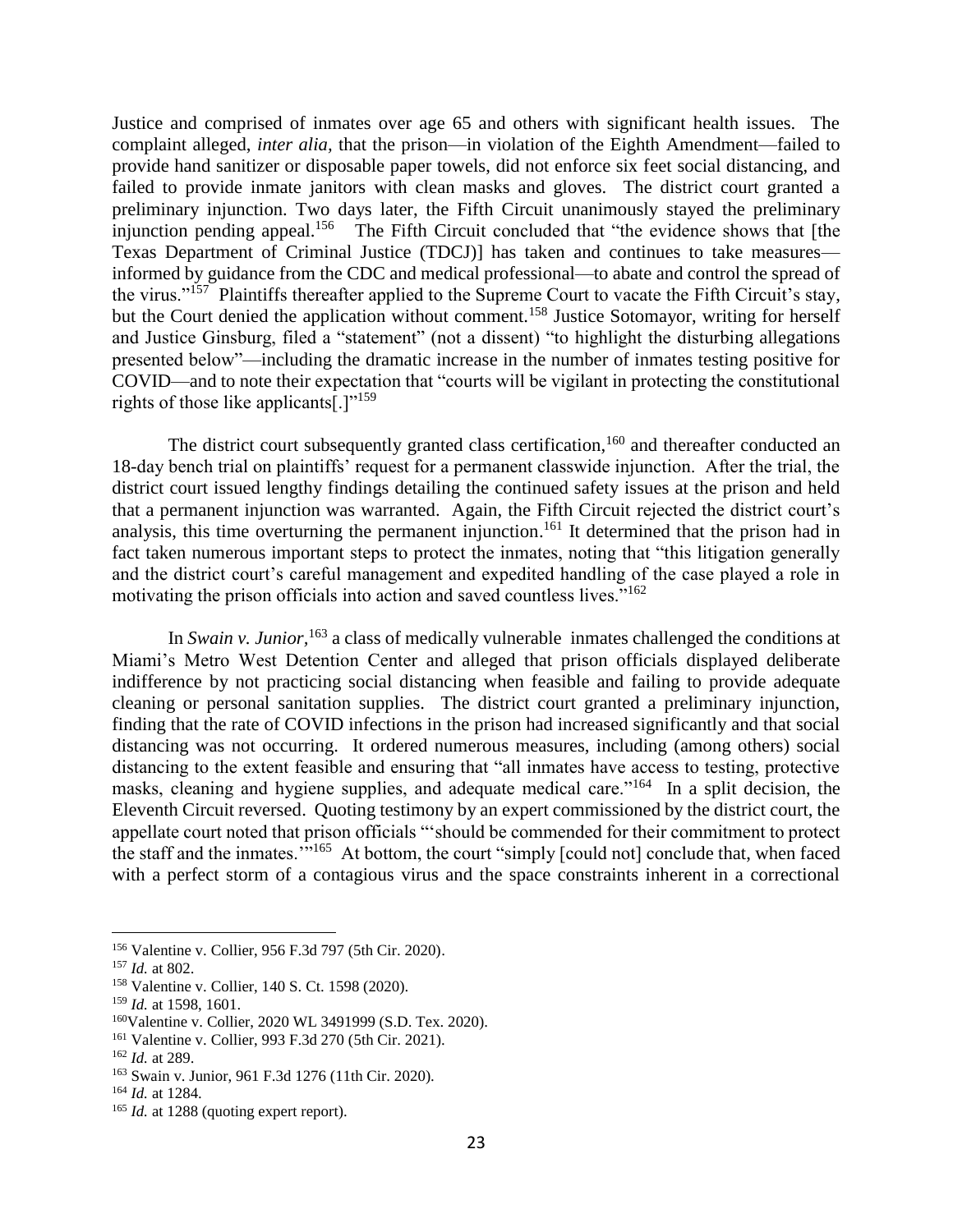Justice and comprised of inmates over age 65 and others with significant health issues. The complaint alleged, *inter alia,* that the prison—in violation of the Eighth Amendment—failed to provide hand sanitizer or disposable paper towels, did not enforce six feet social distancing, and failed to provide inmate janitors with clean masks and gloves. The district court granted a preliminary injunction. Two days later, the Fifth Circuit unanimously stayed the preliminary injunction pending appeal.<sup>156</sup> The Fifth Circuit concluded that "the evidence shows that [the Texas Department of Criminal Justice (TDCJ)] has taken and continues to take measures informed by guidance from the CDC and medical professional—to abate and control the spread of the virus."<sup>157</sup> Plaintiffs thereafter applied to the Supreme Court to vacate the Fifth Circuit's stay, but the Court denied the application without comment.<sup>158</sup> Justice Sotomayor, writing for herself and Justice Ginsburg, filed a "statement" (not a dissent) "to highlight the disturbing allegations presented below"—including the dramatic increase in the number of inmates testing positive for COVID—and to note their expectation that "courts will be vigilant in protecting the constitutional rights of those like applicants[.]"<sup>159</sup>

The district court subsequently granted class certification,<sup>160</sup> and thereafter conducted an 18-day bench trial on plaintiffs' request for a permanent classwide injunction. After the trial, the district court issued lengthy findings detailing the continued safety issues at the prison and held that a permanent injunction was warranted. Again, the Fifth Circuit rejected the district court's analysis, this time overturning the permanent injunction.<sup>161</sup> It determined that the prison had in fact taken numerous important steps to protect the inmates, noting that "this litigation generally and the district court's careful management and expedited handling of the case played a role in motivating the prison officials into action and saved countless lives."<sup>162</sup>

In *Swain v. Junior*,<sup>163</sup> a class of medically vulnerable inmates challenged the conditions at Miami's Metro West Detention Center and alleged that prison officials displayed deliberate indifference by not practicing social distancing when feasible and failing to provide adequate cleaning or personal sanitation supplies. The district court granted a preliminary injunction, finding that the rate of COVID infections in the prison had increased significantly and that social distancing was not occurring. It ordered numerous measures, including (among others) social distancing to the extent feasible and ensuring that "all inmates have access to testing, protective masks, cleaning and hygiene supplies, and adequate medical care."<sup>164</sup> In a split decision, the Eleventh Circuit reversed. Quoting testimony by an expert commissioned by the district court, the appellate court noted that prison officials "'should be commended for their commitment to protect the staff and the inmates."<sup>165</sup> At bottom, the court "simply [could not] conclude that, when faced with a perfect storm of a contagious virus and the space constraints inherent in a correctional

<sup>156</sup> Valentine v. Collier, 956 F.3d 797 (5th Cir. 2020).

<sup>157</sup> *Id.* at 802.

<sup>158</sup> Valentine v. Collier, 140 S. Ct. 1598 (2020).

<sup>159</sup> *Id.* at 1598, 1601.

<sup>160</sup>Valentine v. Collier, 2020 WL 3491999 (S.D. Tex. 2020).

<sup>161</sup> Valentine v. Collier, 993 F.3d 270 (5th Cir. 2021).

<sup>162</sup> *Id.* at 289.

<sup>163</sup> Swain v. Junior, 961 F.3d 1276 (11th Cir. 2020).

<sup>164</sup> *Id.* at 1284.

<sup>&</sup>lt;sup>165</sup> *Id.* at 1288 (quoting expert report).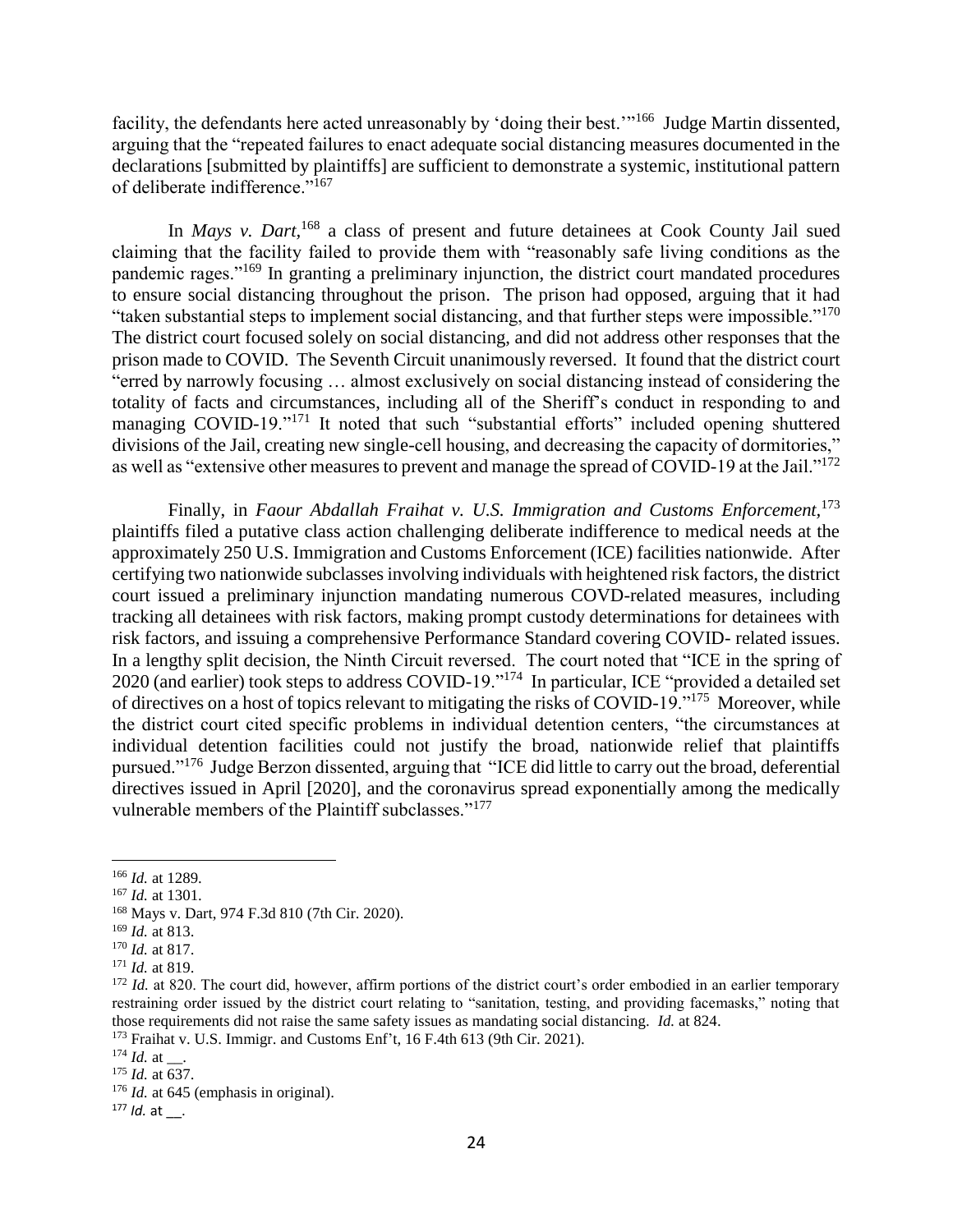facility, the defendants here acted unreasonably by 'doing their best."<sup>166</sup> Judge Martin dissented, arguing that the "repeated failures to enact adequate social distancing measures documented in the declarations [submitted by plaintiffs] are sufficient to demonstrate a systemic, institutional pattern of deliberate indifference."<sup>167</sup>

In *Mays v. Dart,*<sup>168</sup> a class of present and future detainees at Cook County Jail sued claiming that the facility failed to provide them with "reasonably safe living conditions as the pandemic rages."<sup>169</sup> In granting a preliminary injunction, the district court mandated procedures to ensure social distancing throughout the prison. The prison had opposed, arguing that it had "taken substantial steps to implement social distancing, and that further steps were impossible."<sup>170</sup> The district court focused solely on social distancing, and did not address other responses that the prison made to COVID. The Seventh Circuit unanimously reversed. It found that the district court "erred by narrowly focusing … almost exclusively on social distancing instead of considering the totality of facts and circumstances, including all of the Sheriff's conduct in responding to and managing COVID-19."<sup>171</sup> It noted that such "substantial efforts" included opening shuttered divisions of the Jail, creating new single-cell housing, and decreasing the capacity of dormitories," as well as "extensive other measures to prevent and manage the spread of COVID-19 at the Jail."<sup>172</sup>

Finally, in *Faour Abdallah Fraihat v. U.S. Immigration and Customs Enforcement,*<sup>173</sup> plaintiffs filed a putative class action challenging deliberate indifference to medical needs at the approximately 250 U.S. Immigration and Customs Enforcement (ICE) facilities nationwide. After certifying two nationwide subclasses involving individuals with heightened risk factors, the district court issued a preliminary injunction mandating numerous COVD-related measures, including tracking all detainees with risk factors, making prompt custody determinations for detainees with risk factors, and issuing a comprehensive Performance Standard covering COVID- related issues. In a lengthy split decision, the Ninth Circuit reversed. The court noted that "ICE in the spring of 2020 (and earlier) took steps to address COVID-19."<sup>174</sup> In particular, ICE "provided a detailed set of directives on a host of topics relevant to mitigating the risks of COVID-19."<sup>175</sup> Moreover, while the district court cited specific problems in individual detention centers, "the circumstances at individual detention facilities could not justify the broad, nationwide relief that plaintiffs pursued."<sup>176</sup> Judge Berzon dissented, arguing that "ICE did little to carry out the broad, deferential directives issued in April [2020], and the coronavirus spread exponentially among the medically vulnerable members of the Plaintiff subclasses."<sup>177</sup>

<sup>166</sup> *Id.* at 1289.

<sup>167</sup> *Id.* at 1301.

<sup>168</sup> Mays v. Dart, 974 F.3d 810 (7th Cir. 2020).

<sup>169</sup> *Id.* at 813.

<sup>170</sup> *Id.* at 817.

<sup>171</sup> *Id.* at 819.

<sup>&</sup>lt;sup>172</sup> *Id.* at 820. The court did, however, affirm portions of the district court's order embodied in an earlier temporary restraining order issued by the district court relating to "sanitation, testing, and providing facemasks," noting that those requirements did not raise the same safety issues as mandating social distancing. *Id.* at 824.

<sup>173</sup> Fraihat v. U.S. Immigr. and Customs Enf't, 16 F.4th 613 (9th Cir. 2021).

 $^{174}$  *Id.* at  $\;\;$ .

<sup>175</sup> *Id.* at 637.

<sup>&</sup>lt;sup>176</sup> *Id.* at 645 (emphasis in original).

<sup>177</sup> *Id.* at \_\_.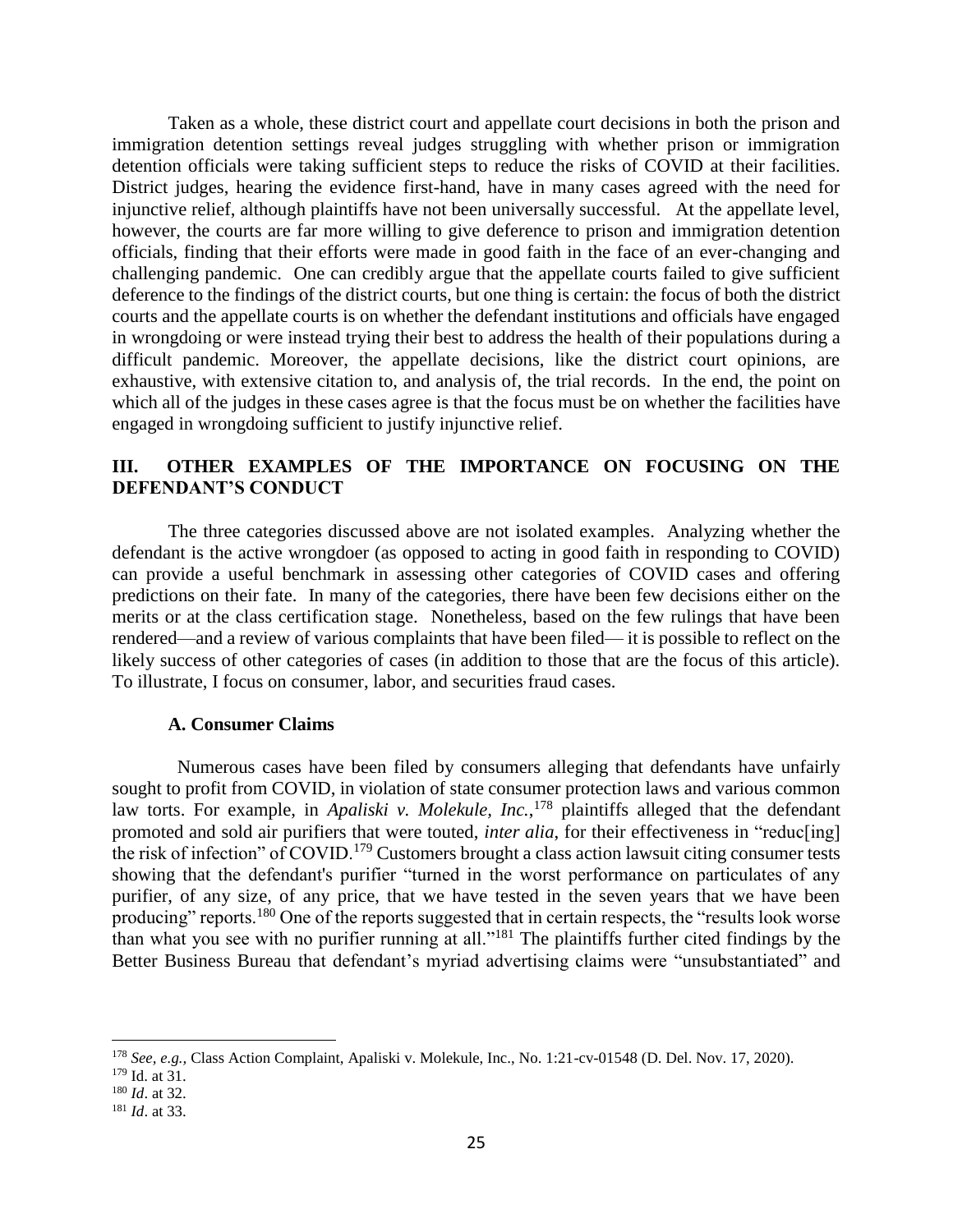Taken as a whole, these district court and appellate court decisions in both the prison and immigration detention settings reveal judges struggling with whether prison or immigration detention officials were taking sufficient steps to reduce the risks of COVID at their facilities. District judges, hearing the evidence first-hand, have in many cases agreed with the need for injunctive relief, although plaintiffs have not been universally successful. At the appellate level, however, the courts are far more willing to give deference to prison and immigration detention officials, finding that their efforts were made in good faith in the face of an ever-changing and challenging pandemic. One can credibly argue that the appellate courts failed to give sufficient deference to the findings of the district courts, but one thing is certain: the focus of both the district courts and the appellate courts is on whether the defendant institutions and officials have engaged in wrongdoing or were instead trying their best to address the health of their populations during a difficult pandemic. Moreover, the appellate decisions, like the district court opinions, are exhaustive, with extensive citation to, and analysis of, the trial records. In the end, the point on which all of the judges in these cases agree is that the focus must be on whether the facilities have engaged in wrongdoing sufficient to justify injunctive relief.

# **III. OTHER EXAMPLES OF THE IMPORTANCE ON FOCUSING ON THE DEFENDANT'S CONDUCT**

The three categories discussed above are not isolated examples. Analyzing whether the defendant is the active wrongdoer (as opposed to acting in good faith in responding to COVID) can provide a useful benchmark in assessing other categories of COVID cases and offering predictions on their fate. In many of the categories, there have been few decisions either on the merits or at the class certification stage. Nonetheless, based on the few rulings that have been rendered—and a review of various complaints that have been filed— it is possible to reflect on the likely success of other categories of cases (in addition to those that are the focus of this article). To illustrate, I focus on consumer, labor, and securities fraud cases.

### **A. Consumer Claims**

 Numerous cases have been filed by consumers alleging that defendants have unfairly sought to profit from COVID, in violation of state consumer protection laws and various common law torts. For example, in *Apaliski v. Molekule, Inc.*, <sup>178</sup> plaintiffs alleged that the defendant promoted and sold air purifiers that were touted, *inter alia*, for their effectiveness in "reduc[ing] the risk of infection" of COVID.<sup>179</sup> Customers brought a class action lawsuit citing consumer tests showing that the defendant's purifier "turned in the worst performance on particulates of any purifier, of any size, of any price, that we have tested in the seven years that we have been producing" reports.<sup>180</sup> One of the reports suggested that in certain respects, the "results look worse than what you see with no purifier running at all."<sup>181</sup> The plaintiffs further cited findings by the Better Business Bureau that defendant's myriad advertising claims were "unsubstantiated" and

<sup>178</sup> *See, e.g.,* Class Action Complaint, Apaliski v. Molekule, Inc., No. 1:21-cv-01548 (D. Del. Nov. 17, 2020).

<sup>179</sup> Id. at 31.

<sup>180</sup> *Id*. at 32.

<sup>181</sup> *Id*. at 33.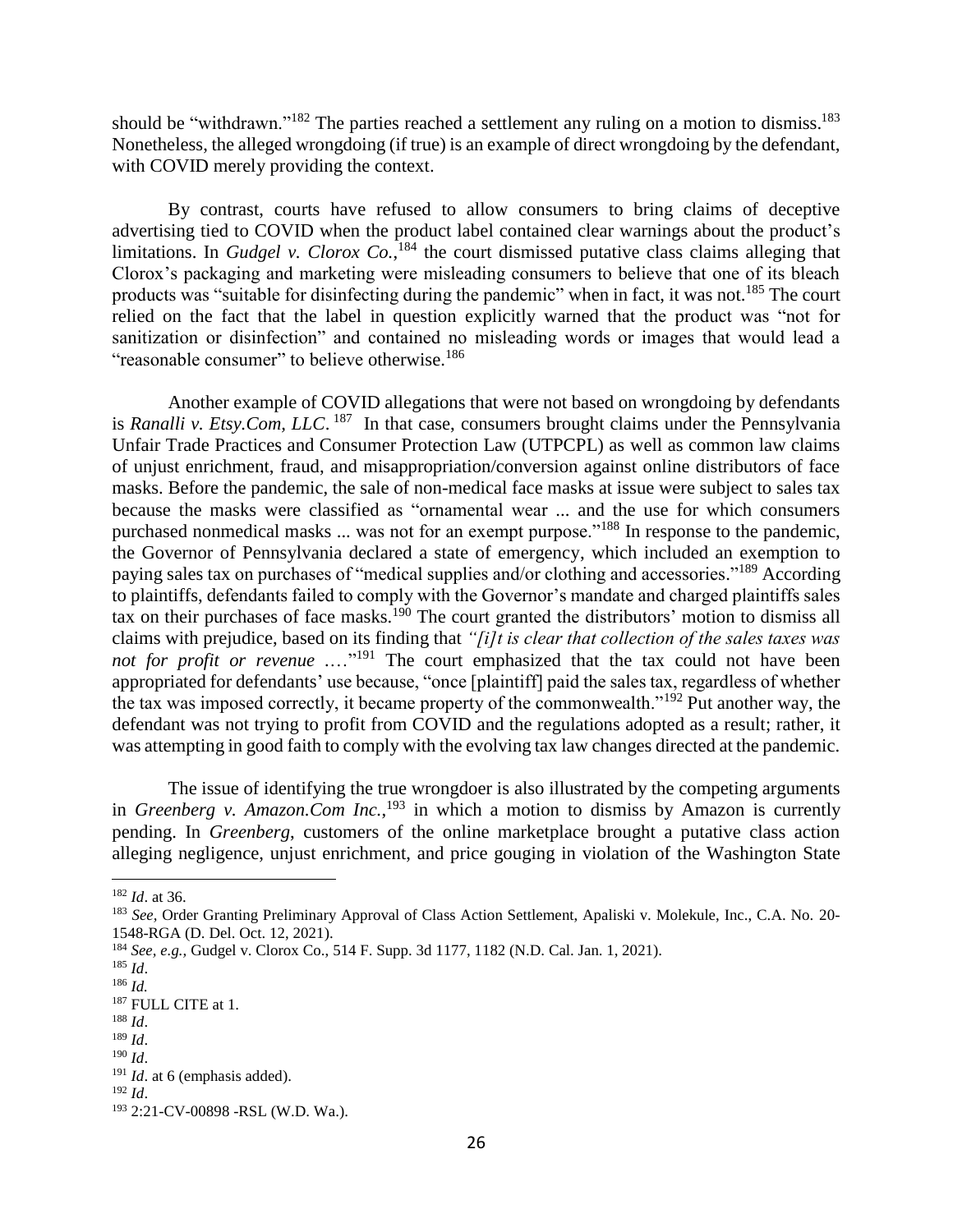should be "withdrawn."<sup>182</sup> The parties reached a settlement any ruling on a motion to dismiss.<sup>183</sup> Nonetheless, the alleged wrongdoing (if true) is an example of direct wrongdoing by the defendant, with COVID merely providing the context.

By contrast, courts have refused to allow consumers to bring claims of deceptive advertising tied to COVID when the product label contained clear warnings about the product's limitations. In *Gudgel v. Clorox Co.*,<sup>184</sup> the court dismissed putative class claims alleging that Clorox's packaging and marketing were misleading consumers to believe that one of its bleach products was "suitable for disinfecting during the pandemic" when in fact, it was not.<sup>185</sup> The court relied on the fact that the label in question explicitly warned that the product was "not for sanitization or disinfection" and contained no misleading words or images that would lead a "reasonable consumer" to believe otherwise.<sup>186</sup>

Another example of COVID allegations that were not based on wrongdoing by defendants is *Ranalli v. Etsy.Com, LLC*. 187 In that case, consumers brought claims under the Pennsylvania Unfair Trade Practices and Consumer Protection Law (UTPCPL) as well as common law claims of unjust enrichment, fraud, and misappropriation/conversion against online distributors of face masks. Before the pandemic, the sale of non-medical face masks at issue were subject to sales tax because the masks were classified as "ornamental wear ... and the use for which consumers purchased nonmedical masks ... was not for an exempt purpose."<sup>188</sup> In response to the pandemic, the Governor of Pennsylvania declared a state of emergency, which included an exemption to paying sales tax on purchases of "medical supplies and/or clothing and accessories."<sup>189</sup> According to plaintiffs, defendants failed to comply with the Governor's mandate and charged plaintiffs sales tax on their purchases of face masks.<sup>190</sup> The court granted the distributors' motion to dismiss all claims with prejudice, based on its finding that *"[i]t is clear that collection of the sales taxes was not for profit or revenue* ....<sup>"191</sup> The court emphasized that the tax could not have been appropriated for defendants' use because, "once [plaintiff] paid the sales tax, regardless of whether the tax was imposed correctly, it became property of the commonwealth."<sup>192</sup> Put another way, the defendant was not trying to profit from COVID and the regulations adopted as a result; rather, it was attempting in good faith to comply with the evolving tax law changes directed at the pandemic.

The issue of identifying the true wrongdoer is also illustrated by the competing arguments in *Greenberg v. Amazon.Com Inc.*, <sup>193</sup> in which a motion to dismiss by Amazon is currently pending. In *Greenberg*, customers of the online marketplace brought a putative class action alleging negligence, unjust enrichment, and price gouging in violation of the Washington State

 $\overline{a}$ 

<sup>190</sup> *Id*.

<sup>182</sup> *Id*. at 36.

<sup>183</sup> *See,* Order Granting Preliminary Approval of Class Action Settlement, Apaliski v. Molekule, Inc., C.A. No. 20- 1548-RGA (D. Del. Oct. 12, 2021).

<sup>184</sup> *See, e.g.,* Gudgel v. Clorox Co., 514 F. Supp. 3d 1177, 1182 (N.D. Cal. Jan. 1, 2021).

<sup>185</sup> *Id*.

<sup>186</sup> *Id.* <sup>187</sup> FULL CITE at 1.

<sup>188</sup> *Id*.

<sup>189</sup> *Id*.

<sup>&</sup>lt;sup>191</sup> *Id.* at 6 (emphasis added).

<sup>192</sup> *Id*.

<sup>193</sup> 2:21-CV-00898 -RSL (W.D. Wa.).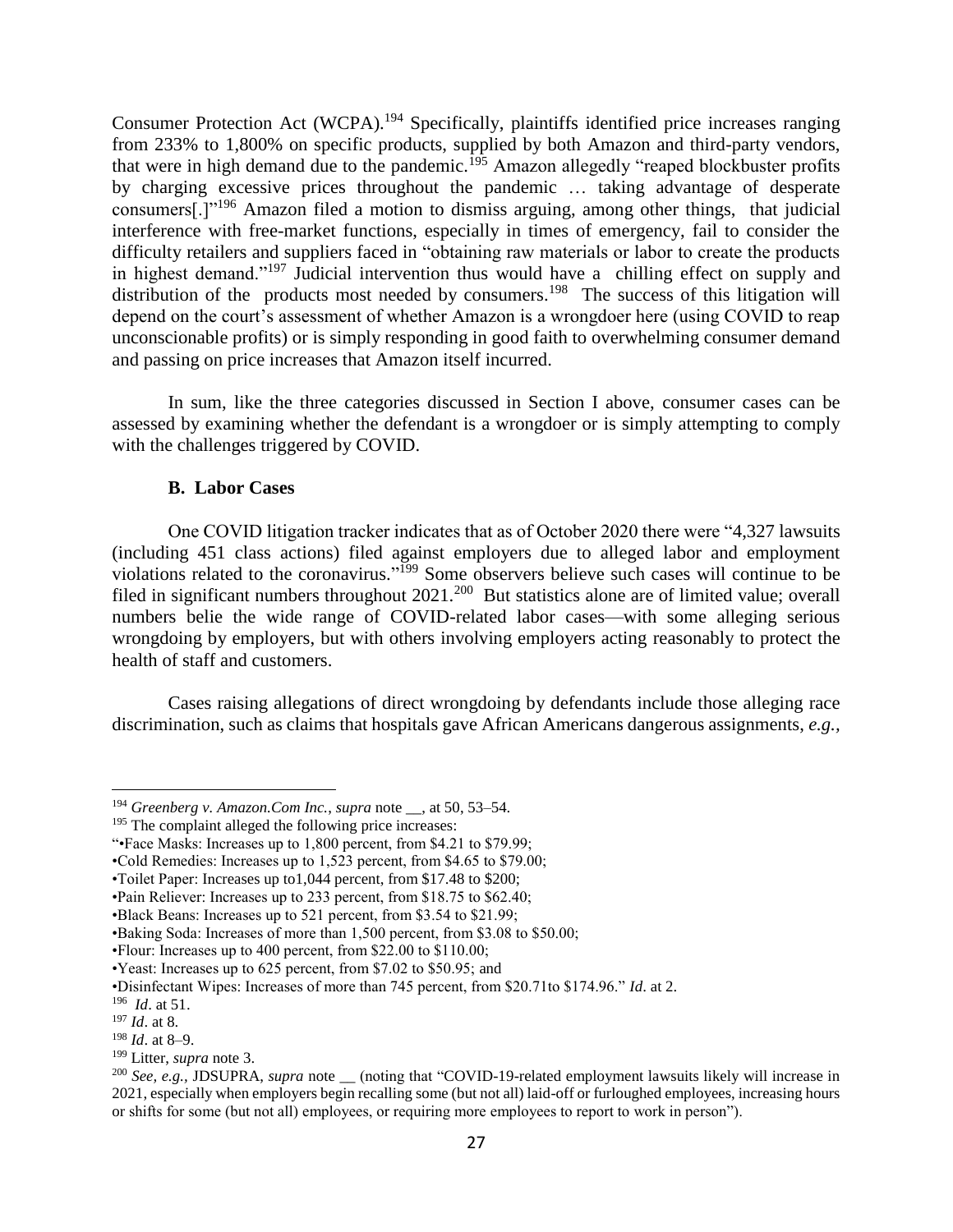Consumer Protection Act (WCPA).<sup>194</sup> Specifically, plaintiffs identified price increases ranging from 233% to 1,800% on specific products, supplied by both Amazon and third-party vendors, that were in high demand due to the pandemic.<sup>195</sup> Amazon allegedly "reaped blockbuster profits by charging excessive prices throughout the pandemic … taking advantage of desperate consumers[.]"<sup>196</sup> Amazon filed a motion to dismiss arguing, among other things, that judicial interference with free-market functions, especially in times of emergency, fail to consider the difficulty retailers and suppliers faced in "obtaining raw materials or labor to create the products in highest demand."<sup>197</sup> Judicial intervention thus would have a chilling effect on supply and distribution of the products most needed by consumers.<sup>198</sup> The success of this litigation will depend on the court's assessment of whether Amazon is a wrongdoer here (using COVID to reap unconscionable profits) or is simply responding in good faith to overwhelming consumer demand and passing on price increases that Amazon itself incurred.

In sum, like the three categories discussed in Section I above, consumer cases can be assessed by examining whether the defendant is a wrongdoer or is simply attempting to comply with the challenges triggered by COVID.

## **B. Labor Cases**

One COVID litigation tracker indicates that as of October 2020 there were "4,327 lawsuits (including 451 class actions) filed against employers due to alleged labor and employment violations related to the coronavirus." <sup>199</sup> Some observers believe such cases will continue to be filed in significant numbers throughout  $2021$ .<sup>200</sup> But statistics alone are of limited value; overall numbers belie the wide range of COVID-related labor cases—with some alleging serious wrongdoing by employers, but with others involving employers acting reasonably to protect the health of staff and customers.

Cases raising allegations of direct wrongdoing by defendants include those alleging race discrimination, such as claims that hospitals gave African Americans dangerous assignments, *e.g.,* 

<sup>194</sup> *Greenberg v. Amazon.Com Inc.*, *supra* note \_\_, at 50, 53–54.

<sup>195</sup> The complaint alleged the following price increases:

<sup>&</sup>quot;•Face Masks: Increases up to 1,800 percent, from \$4.21 to \$79.99;

<sup>•</sup>Cold Remedies: Increases up to 1,523 percent, from \$4.65 to \$79.00;

<sup>•</sup>Toilet Paper: Increases up to1,044 percent, from \$17.48 to \$200;

<sup>•</sup>Pain Reliever: Increases up to 233 percent, from \$18.75 to \$62.40;

<sup>•</sup>Black Beans: Increases up to 521 percent, from \$3.54 to \$21.99;

<sup>•</sup>Baking Soda: Increases of more than 1,500 percent, from \$3.08 to \$50.00;

<sup>•</sup>Flour: Increases up to 400 percent, from \$22.00 to \$110.00;

<sup>•</sup>Yeast: Increases up to 625 percent, from \$7.02 to \$50.95; and

<sup>•</sup>Disinfectant Wipes: Increases of more than 745 percent, from \$20.71to \$174.96." *Id*. at 2.

<sup>196</sup> *Id*. at 51.

<sup>197</sup> *Id*. at 8.

<sup>198</sup> *Id*. at 8–9.

<sup>199</sup> Litter, *supra* note 3.

<sup>&</sup>lt;sup>200</sup> See, e.g., JDSUPRA, *supra* note <sub>\_\_</sub> (noting that "COVID-19-related employment lawsuits likely will increase in 2021, especially when employers begin recalling some (but not all) laid-off or furloughed employees, increasing hours or shifts for some (but not all) employees, or requiring more employees to report to work in person").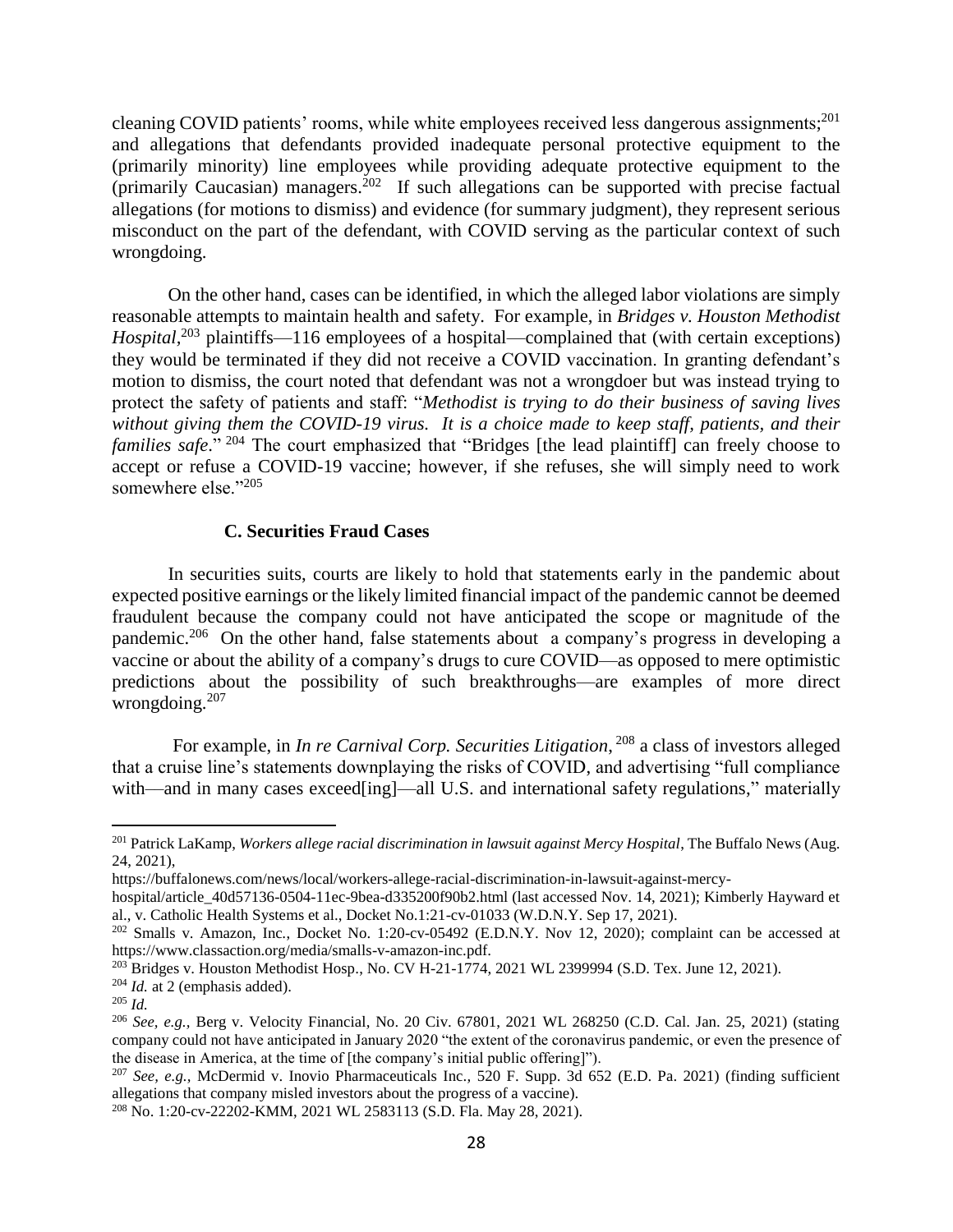cleaning COVID patients' rooms, while white employees received less dangerous assignments;<sup>201</sup> and allegations that defendants provided inadequate personal protective equipment to the (primarily minority) line employees while providing adequate protective equipment to the (primarily Caucasian) managers.<sup>202</sup> If such allegations can be supported with precise factual allegations (for motions to dismiss) and evidence (for summary judgment), they represent serious misconduct on the part of the defendant, with COVID serving as the particular context of such wrongdoing.

On the other hand, cases can be identified, in which the alleged labor violations are simply reasonable attempts to maintain health and safety. For example, in *Bridges v. Houston Methodist Hospital*,<sup>203</sup> plaintiffs—116 employees of a hospital—complained that (with certain exceptions) they would be terminated if they did not receive a COVID vaccination. In granting defendant's motion to dismiss, the court noted that defendant was not a wrongdoer but was instead trying to protect the safety of patients and staff: "*Methodist is trying to do their business of saving lives without giving them the COVID-19 virus. It is a choice made to keep staff, patients, and their families safe*." <sup>204</sup> The court emphasized that "Bridges [the lead plaintiff] can freely choose to accept or refuse a COVID-19 vaccine; however, if she refuses, she will simply need to work somewhere else."205

## **C. Securities Fraud Cases**

In securities suits, courts are likely to hold that statements early in the pandemic about expected positive earnings or the likely limited financial impact of the pandemic cannot be deemed fraudulent because the company could not have anticipated the scope or magnitude of the pandemic.<sup>206</sup> On the other hand, false statements about a company's progress in developing a vaccine or about the ability of a company's drugs to cure COVID—as opposed to mere optimistic predictions about the possibility of such breakthroughs—are examples of more direct wrongdoing.<sup>207</sup>

For example, in *In re Carnival Corp. Securities Litigation*, <sup>208</sup> a class of investors alleged that a cruise line's statements downplaying the risks of COVID, and advertising "full compliance with—and in many cases exceed[ing]—all U.S. and international safety regulations," materially

<sup>201</sup> Patrick LaKamp, *Workers allege racial discrimination in lawsuit against Mercy Hospital*, The Buffalo News (Aug. 24, 2021),

https://buffalonews.com/news/local/workers-allege-racial-discrimination-in-lawsuit-against-mercy-

hospital/article\_40d57136-0504-11ec-9bea-d335200f90b2.html (last accessed Nov. 14, 2021); Kimberly Hayward et al., v. Catholic Health Systems et al., Docket No.1:21-cv-01033 (W.D.N.Y. Sep 17, 2021).

<sup>202</sup> Smalls v. Amazon, Inc*.*, Docket No. 1:20-cv-05492 (E.D.N.Y. Nov 12, 2020); complaint can be accessed at https://www.classaction.org/media/smalls-v-amazon-inc.pdf.

<sup>&</sup>lt;sup>203</sup> Bridges v. Houston Methodist Hosp., No. CV H-21-1774, 2021 WL 2399994 (S.D. Tex. June 12, 2021).

<sup>204</sup> *Id.* at 2 (emphasis added).

<sup>205</sup> *Id.*

<sup>206</sup> *See, e.g.,* Berg v. Velocity Financial*,* No. 20 Civ. 67801, 2021 WL 268250 (C.D. Cal. Jan. 25, 2021) (stating company could not have anticipated in January 2020 "the extent of the coronavirus pandemic, or even the presence of the disease in America, at the time of [the company's initial public offering]").

<sup>207</sup> *See, e.g.,* McDermid v. Inovio Pharmaceuticals Inc.*,* 520 F. Supp. 3d 652 (E.D. Pa. 2021) (finding sufficient allegations that company misled investors about the progress of a vaccine).

<sup>208</sup> No. 1:20-cv-22202-KMM, 2021 WL 2583113 (S.D. Fla. May 28, 2021).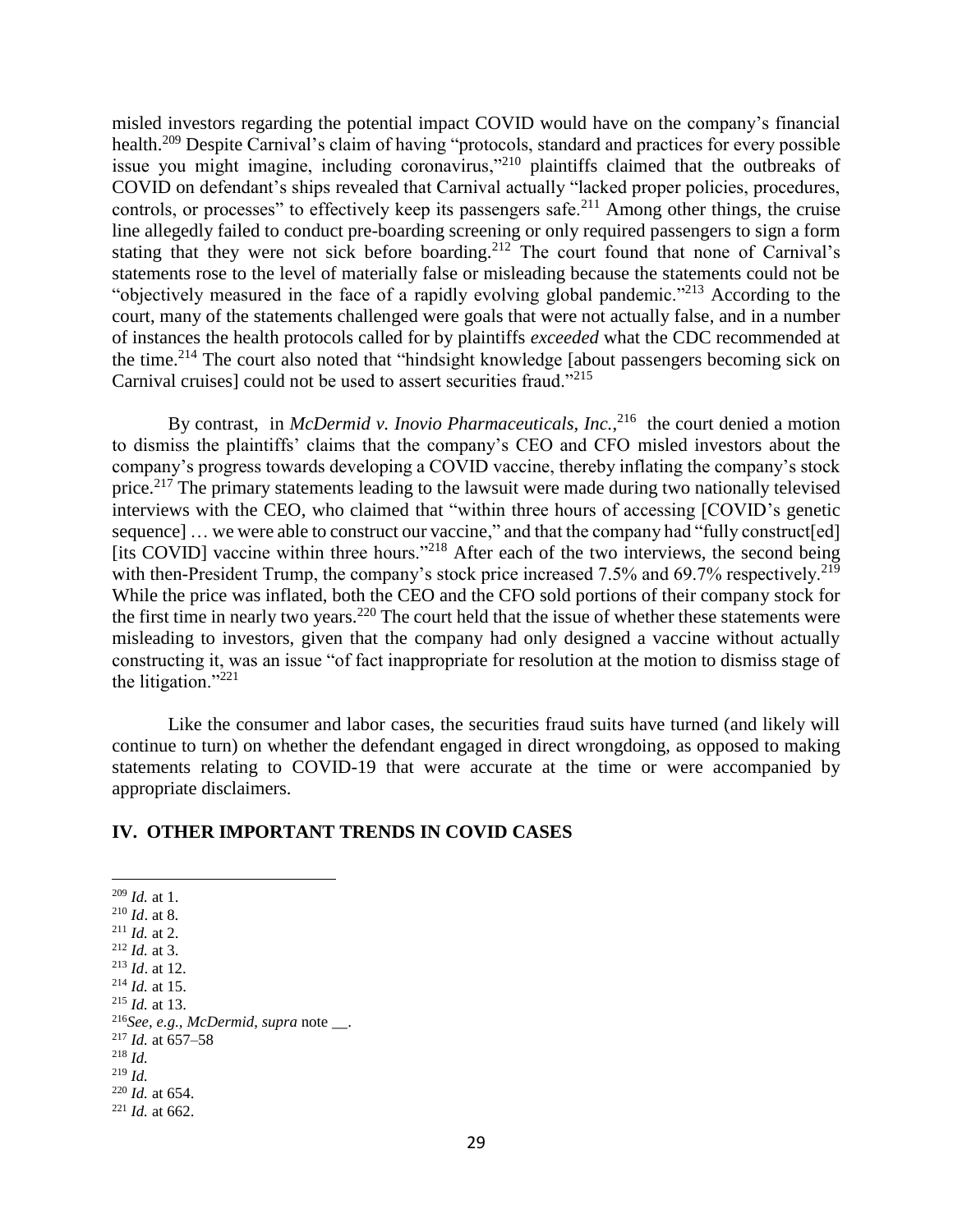misled investors regarding the potential impact COVID would have on the company's financial health.<sup>209</sup> Despite Carnival's claim of having "protocols, standard and practices for every possible issue you might imagine, including coronavirus,"<sup>210</sup> plaintiffs claimed that the outbreaks of COVID on defendant's ships revealed that Carnival actually "lacked proper policies, procedures, controls, or processes" to effectively keep its passengers safe.<sup>211</sup> Among other things, the cruise line allegedly failed to conduct pre-boarding screening or only required passengers to sign a form stating that they were not sick before boarding.<sup>212</sup> The court found that none of Carnival's statements rose to the level of materially false or misleading because the statements could not be "objectively measured in the face of a rapidly evolving global pandemic."<sup>213</sup> According to the court, many of the statements challenged were goals that were not actually false, and in a number of instances the health protocols called for by plaintiffs *exceeded* what the CDC recommended at the time.<sup>214</sup> The court also noted that "hindsight knowledge [about passengers becoming sick on Carnival cruises] could not be used to assert securities fraud."<sup>215</sup>

By contrast, in *McDermid v. Inovio Pharmaceuticals, Inc.*, <sup>216</sup> the court denied a motion to dismiss the plaintiffs' claims that the company's CEO and CFO misled investors about the company's progress towards developing a COVID vaccine, thereby inflating the company's stock price.<sup>217</sup> The primary statements leading to the lawsuit were made during two nationally televised interviews with the CEO, who claimed that "within three hours of accessing [COVID's genetic sequence] ... we were able to construct our vaccine," and that the company had "fully construct[ed] [its COVID] vaccine within three hours."<sup>218</sup> After each of the two interviews, the second being with then-President Trump, the company's stock price increased 7.5% and 69.7% respectively.<sup>219</sup> While the price was inflated, both the CEO and the CFO sold portions of their company stock for the first time in nearly two years.<sup>220</sup> The court held that the issue of whether these statements were misleading to investors, given that the company had only designed a vaccine without actually constructing it, was an issue "of fact inappropriate for resolution at the motion to dismiss stage of the litigation."<sup>221</sup>

Like the consumer and labor cases, the securities fraud suits have turned (and likely will continue to turn) on whether the defendant engaged in direct wrongdoing, as opposed to making statements relating to COVID-19 that were accurate at the time or were accompanied by appropriate disclaimers.

## **IV. OTHER IMPORTANT TRENDS IN COVID CASES**

 *Id.* at 1. *Id*. at 8. *Id.* at 2. *Id.* at 3. *Id*. at 12. *Id.* at 15. *Id.* at 13. *See, e.g., McDermid*, *supra* note \_\_. *Id.* at 657–58 <sup>218</sup> *Id.* <sup>219</sup> *Id. Id.* at 654. *Id.* at 662.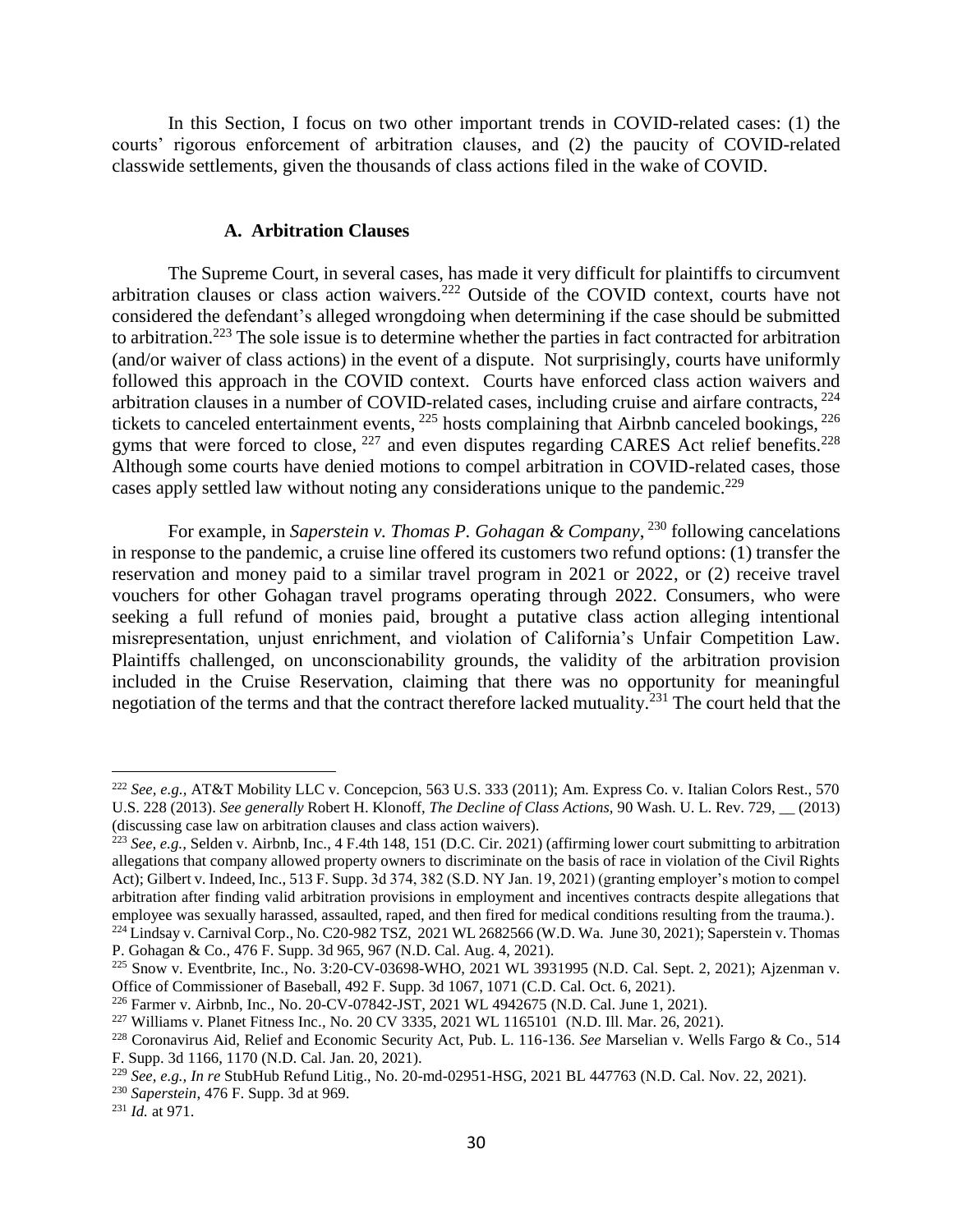In this Section, I focus on two other important trends in COVID-related cases: (1) the courts' rigorous enforcement of arbitration clauses, and (2) the paucity of COVID-related classwide settlements, given the thousands of class actions filed in the wake of COVID.

## **A. Arbitration Clauses**

The Supreme Court, in several cases, has made it very difficult for plaintiffs to circumvent arbitration clauses or class action waivers.<sup>222</sup> Outside of the COVID context, courts have not considered the defendant's alleged wrongdoing when determining if the case should be submitted to arbitration.<sup>223</sup> The sole issue is to determine whether the parties in fact contracted for arbitration (and/or waiver of class actions) in the event of a dispute. Not surprisingly, courts have uniformly followed this approach in the COVID context. Courts have enforced class action waivers and arbitration clauses in a number of COVID-related cases, including cruise and airfare contracts,  $^{224}$ tickets to canceled entertainment events,  $^{225}$  hosts complaining that Airbnb canceled bookings,  $^{226}$ gyms that were forced to close,  $227$  and even disputes regarding CARES Act relief benefits.  $228$ Although some courts have denied motions to compel arbitration in COVID-related cases, those cases apply settled law without noting any considerations unique to the pandemic.<sup>229</sup>

For example, in *Saperstein v. Thomas P. Gohagan & Company*, <sup>230</sup> following cancelations in response to the pandemic, a cruise line offered its customers two refund options: (1) transfer the reservation and money paid to a similar travel program in 2021 or 2022, or (2) receive travel vouchers for other Gohagan travel programs operating through 2022. Consumers, who were seeking a full refund of monies paid, brought a putative class action alleging intentional misrepresentation, unjust enrichment, and violation of California's Unfair Competition Law. Plaintiffs challenged, on unconscionability grounds, the validity of the arbitration provision included in the Cruise Reservation, claiming that there was no opportunity for meaningful negotiation of the terms and that the contract therefore lacked mutuality.<sup>231</sup> The court held that the

<sup>222</sup> *See, e.g.,* AT&T Mobility LLC v. Concepcion, 563 U.S. 333 (2011); Am. Express Co. v. Italian Colors Rest., 570 U.S. 228 (2013). *See generally* Robert H. Klonoff, *The Decline of Class Actions,* 90 Wash. U. L. Rev. 729, \_\_ (2013) (discussing case law on arbitration clauses and class action waivers).

<sup>223</sup> *See, e.g.,* Selden v. Airbnb, Inc., 4 F.4th 148, 151 (D.C. Cir. 2021) (affirming lower court submitting to arbitration allegations that company allowed property owners to discriminate on the basis of race in violation of the Civil Rights Act); Gilbert v. Indeed, Inc., 513 F. Supp. 3d 374, 382 (S.D. NY Jan. 19, 2021) (granting employer's motion to compel arbitration after finding valid arbitration provisions in employment and incentives contracts despite allegations that employee was sexually harassed, assaulted, raped, and then fired for medical conditions resulting from the trauma.).

<sup>224</sup> Lindsay v. Carnival Corp.*,* No. C20-982 TSZ, 2021 WL 2682566 (W.D. Wa. June 30, 2021); Saperstein v. Thomas P. Gohagan & Co., 476 F. Supp. 3d 965, 967 (N.D. Cal. Aug. 4, 2021).

<sup>225</sup> Snow v. Eventbrite, Inc.*,* No. 3:20-CV-03698-WHO, 2021 WL 3931995 (N.D. Cal. Sept. 2, 2021); Ajzenman v. Office of Commissioner of Baseball, 492 F. Supp. 3d 1067, 1071 (C.D. Cal. Oct. 6, 2021).

<sup>226</sup> Farmer v. Airbnb, Inc., No. 20-CV-07842-JST, 2021 WL 4942675 (N.D. Cal. June 1, 2021).

<sup>227</sup> Williams v. Planet Fitness Inc.*,* No. 20 CV 3335, 2021 WL 1165101 (N.D. Ill. Mar. 26, 2021).

<sup>228</sup> Coronavirus Aid, Relief and Economic Security Act, Pub. L. 116-136. *See* Marselian v. Wells Fargo & Co., 514 F. Supp. 3d 1166, 1170 (N.D. Cal. Jan. 20, 2021).

<sup>229</sup> *See, e.g., In re* StubHub Refund Litig., No. 20-md-02951-HSG, 2021 BL 447763 (N.D. Cal. Nov. 22, 2021).

<sup>230</sup> *Saperstein*, 476 F. Supp. 3d at 969.

<sup>231</sup> *Id.* at 971.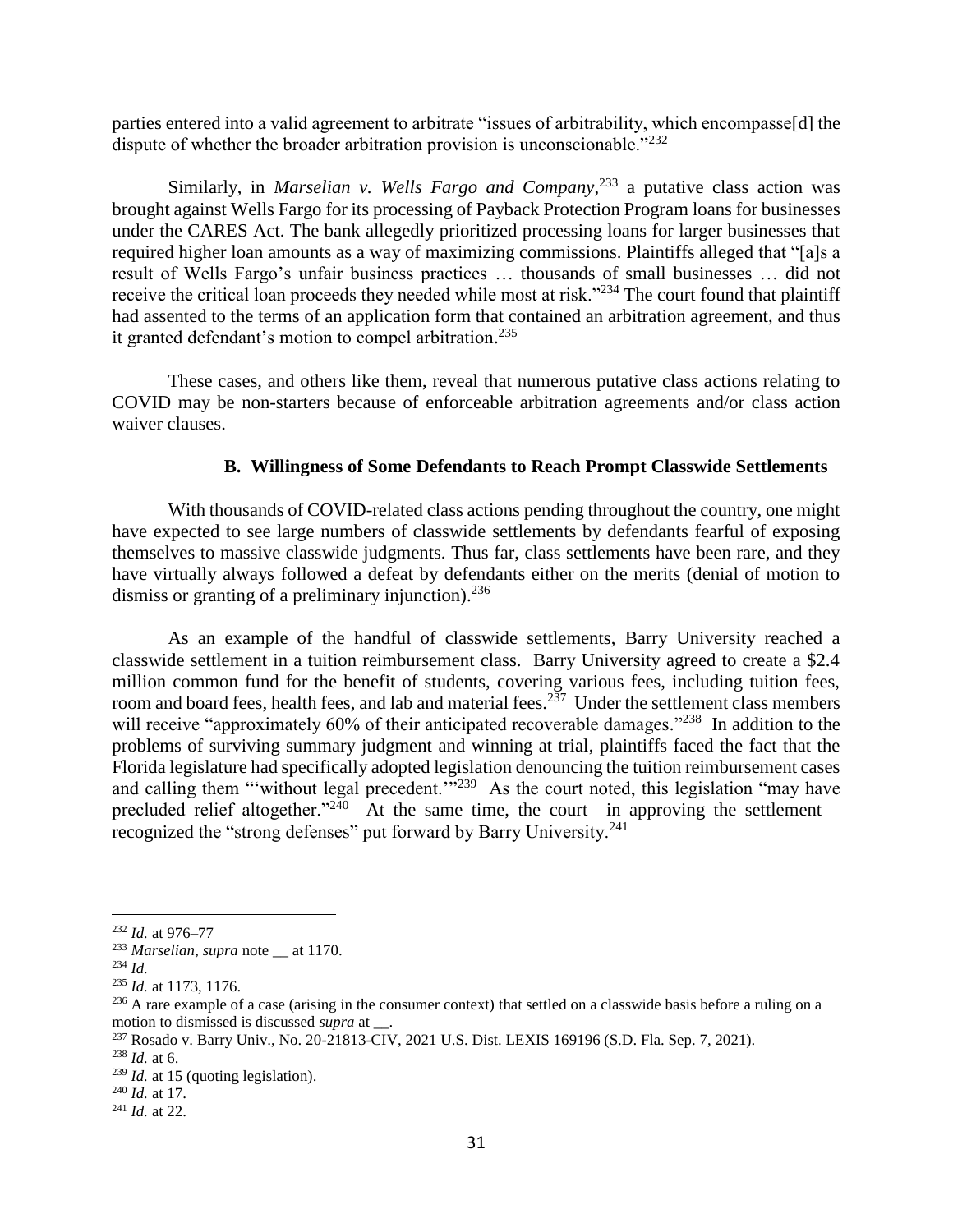parties entered into a valid agreement to arbitrate "issues of arbitrability, which encompasse[d] the dispute of whether the broader arbitration provision is unconscionable."<sup>232</sup>

Similarly, in *Marselian v. Wells Fargo and Company*, <sup>233</sup> a putative class action was brought against Wells Fargo for its processing of Payback Protection Program loans for businesses under the CARES Act. The bank allegedly prioritized processing loans for larger businesses that required higher loan amounts as a way of maximizing commissions. Plaintiffs alleged that "[a]s a result of Wells Fargo's unfair business practices … thousands of small businesses … did not receive the critical loan proceeds they needed while most at risk."<sup>234</sup> The court found that plaintiff had assented to the terms of an application form that contained an arbitration agreement, and thus it granted defendant's motion to compel arbitration.<sup>235</sup>

These cases, and others like them, reveal that numerous putative class actions relating to COVID may be non-starters because of enforceable arbitration agreements and/or class action waiver clauses.

## **B. Willingness of Some Defendants to Reach Prompt Classwide Settlements**

With thousands of COVID-related class actions pending throughout the country, one might have expected to see large numbers of classwide settlements by defendants fearful of exposing themselves to massive classwide judgments. Thus far, class settlements have been rare, and they have virtually always followed a defeat by defendants either on the merits (denial of motion to dismiss or granting of a preliminary injunction).<sup>236</sup>

As an example of the handful of classwide settlements, Barry University reached a classwide settlement in a tuition reimbursement class. Barry University agreed to create a \$2.4 million common fund for the benefit of students, covering various fees, including tuition fees, room and board fees, health fees, and lab and material fees.<sup>237</sup> Under the settlement class members will receive "approximately 60% of their anticipated recoverable damages."<sup>238</sup> In addition to the problems of surviving summary judgment and winning at trial, plaintiffs faced the fact that the Florida legislature had specifically adopted legislation denouncing the tuition reimbursement cases and calling them "'without legal precedent.'"<sup>239</sup> As the court noted, this legislation "may have precluded relief altogether."<sup>240</sup> At the same time, the court—in approving the settlement recognized the "strong defenses" put forward by Barry University.<sup>241</sup>

<sup>232</sup> *Id.* at 976–77

<sup>233</sup> *Marselian*, *supra* note \_\_ at 1170.

<sup>234</sup> *Id.*

<sup>235</sup> *Id.* at 1173, 1176.

 $^{236}$  A rare example of a case (arising in the consumer context) that settled on a classwide basis before a ruling on a motion to dismissed is discussed *supra* at  $\qquad$ .

<sup>237</sup> Rosado v. Barry Univ., No. 20-21813-CIV, 2021 U.S. Dist. LEXIS 169196 (S.D. Fla. Sep. 7, 2021).

<sup>238</sup> *Id.* at 6.

<sup>239</sup> *Id.* at 15 (quoting legislation).

<sup>240</sup> *Id.* at 17.

<sup>241</sup> *Id.* at 22.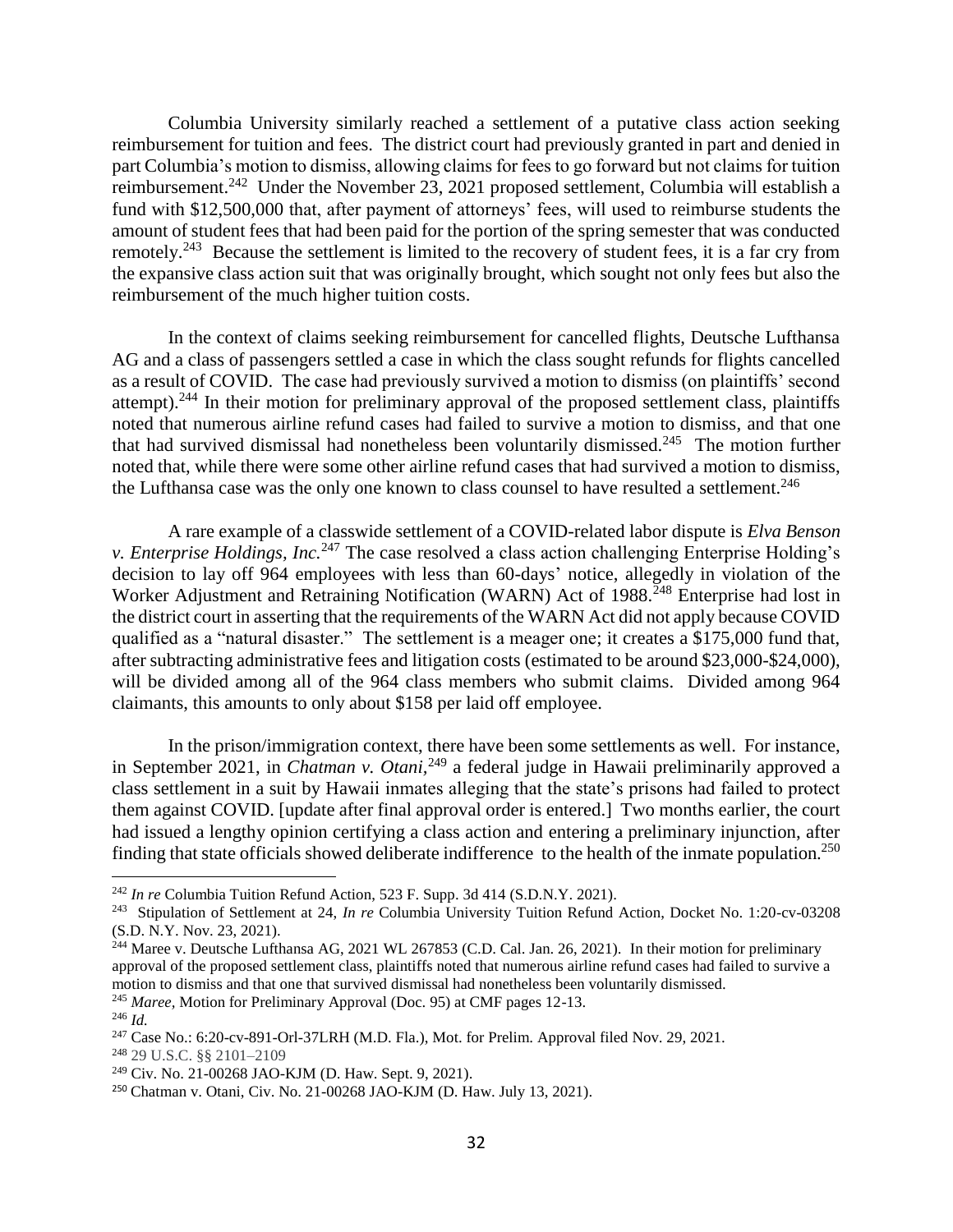Columbia University similarly reached a settlement of a putative class action seeking reimbursement for tuition and fees. The district court had previously granted in part and denied in part Columbia's motion to dismiss, allowing claims for fees to go forward but not claims for tuition reimbursement.<sup>242</sup> Under the November 23, 2021 proposed settlement, Columbia will establish a fund with \$12,500,000 that, after payment of attorneys' fees, will used to reimburse students the amount of student fees that had been paid for the portion of the spring semester that was conducted remotely.<sup>243</sup> Because the settlement is limited to the recovery of student fees, it is a far cry from the expansive class action suit that was originally brought, which sought not only fees but also the reimbursement of the much higher tuition costs.

In the context of claims seeking reimbursement for cancelled flights, Deutsche Lufthansa AG and a class of passengers settled a case in which the class sought refunds for flights cancelled as a result of COVID. The case had previously survived a motion to dismiss (on plaintiffs' second attempt).<sup>244</sup> In their motion for preliminary approval of the proposed settlement class, plaintiffs noted that numerous airline refund cases had failed to survive a motion to dismiss, and that one that had survived dismissal had nonetheless been voluntarily dismissed.<sup>245</sup> The motion further noted that, while there were some other airline refund cases that had survived a motion to dismiss, the Lufthansa case was the only one known to class counsel to have resulted a settlement.<sup>246</sup>

A rare example of a classwide settlement of a COVID-related labor dispute is *Elva Benson v. Enterprise Holdings, Inc.*<sup>247</sup> The case resolved a class action challenging Enterprise Holding's decision to lay off 964 employees with less than 60-days' notice, allegedly in violation of the Worker Adjustment and Retraining Notification (WARN) Act of 1988.<sup>248</sup> Enterprise had lost in the district court in asserting that the requirements of the WARN Act did not apply because COVID qualified as a "natural disaster." The settlement is a meager one; it creates a \$175,000 fund that, after subtracting administrative fees and litigation costs (estimated to be around \$23,000-\$24,000), will be divided among all of the 964 class members who submit claims. Divided among 964 claimants, this amounts to only about \$158 per laid off employee.

In the prison/immigration context, there have been some settlements as well. For instance, in September 2021, in *Chatman v. Otani,*<sup>249</sup> a federal judge in Hawaii preliminarily approved a class settlement in a suit by Hawaii inmates alleging that the state's prisons had failed to protect them against COVID. [update after final approval order is entered.] Two months earlier, the court had issued a lengthy opinion certifying a class action and entering a preliminary injunction, after finding that state officials showed deliberate indifference to the health of the inmate population.<sup>250</sup>

 $\overline{a}$ 

<sup>248</sup> 29 U.S.C. §§ 2101–2109

<sup>242</sup> *In re* Columbia Tuition Refund Action, 523 F. Supp. 3d 414 (S.D.N.Y. 2021).

<sup>243</sup> Stipulation of Settlement at 24, *In re* Columbia University Tuition Refund Action, Docket No. 1:20-cv-03208 (S.D. N.Y. Nov. 23, 2021).

<sup>&</sup>lt;sup>244</sup> Maree v. Deutsche Lufthansa AG, 2021 WL 267853 (C.D. Cal. Jan. 26, 2021). In their motion for preliminary approval of the proposed settlement class, plaintiffs noted that numerous airline refund cases had failed to survive a motion to dismiss and that one that survived dismissal had nonetheless been voluntarily dismissed. <sup>245</sup> *Maree,* Motion for Preliminary Approval (Doc. 95) at CMF pages 12-13.

<sup>246</sup> *Id.*

<sup>247</sup> Case No.: 6:20-cv-891-Orl-37LRH (M.D. Fla.), Mot. for Prelim. Approval filed Nov. 29, 2021.

<sup>249</sup> Civ. No. 21-00268 JAO-KJM (D. Haw. Sept. 9, 2021).

<sup>250</sup> Chatman v. Otani, Civ. No. 21-00268 JAO-KJM (D. Haw. July 13, 2021).